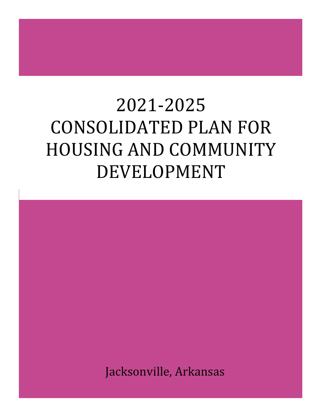# 2021-2025 CONSOLIDATED PLAN FOR HOUSING AND COMMUNITY DEVELOPMENT

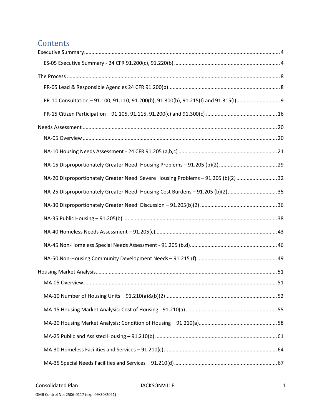# **Contents**

| NA-20 Disproportionately Greater Need: Severe Housing Problems - 91.205 (b)(2) 32 |  |
|-----------------------------------------------------------------------------------|--|
| NA-25 Disproportionately Greater Need: Housing Cost Burdens - 91.205 (b)(2)35     |  |
|                                                                                   |  |
|                                                                                   |  |
|                                                                                   |  |
|                                                                                   |  |
|                                                                                   |  |
|                                                                                   |  |
|                                                                                   |  |
|                                                                                   |  |
|                                                                                   |  |
|                                                                                   |  |
|                                                                                   |  |
|                                                                                   |  |
|                                                                                   |  |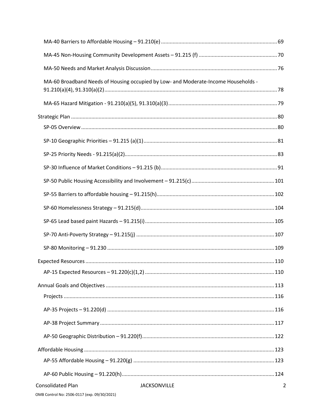|                   | MA-60 Broadband Needs of Housing occupied by Low- and Moderate-Income Households - |  |
|-------------------|------------------------------------------------------------------------------------|--|
|                   |                                                                                    |  |
|                   |                                                                                    |  |
|                   |                                                                                    |  |
|                   |                                                                                    |  |
|                   |                                                                                    |  |
|                   |                                                                                    |  |
|                   |                                                                                    |  |
|                   |                                                                                    |  |
|                   |                                                                                    |  |
|                   |                                                                                    |  |
|                   |                                                                                    |  |
|                   |                                                                                    |  |
|                   |                                                                                    |  |
|                   |                                                                                    |  |
|                   |                                                                                    |  |
|                   |                                                                                    |  |
|                   |                                                                                    |  |
|                   |                                                                                    |  |
|                   |                                                                                    |  |
|                   |                                                                                    |  |
|                   |                                                                                    |  |
|                   |                                                                                    |  |
| Consolidated Plan | <b>JACKSONVILLE</b>                                                                |  |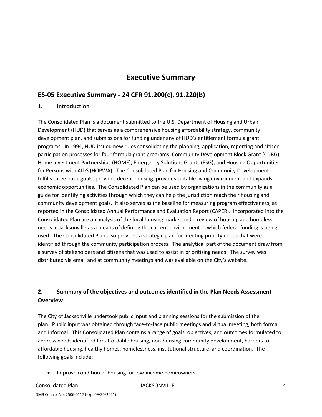# **Executive Summary**

# <span id="page-4-1"></span><span id="page-4-0"></span>**ES-05 Executive Summary - 24 CFR 91.200(c), 91.220(b)**

#### **1. Introduction**

The Consolidated Plan is a document submitted to the U.S. Department of Housing and Urban Development (HUD) that serves as a comprehensive housing affordability strategy, community development plan, and submissions for funding under any of HUD's entitlement formula grant programs. In 1994, HUD issued new rules consolidating the planning, application, reporting and citizen participation processes for four formula grant programs: Community Development Block Grant (CDBG), Home investment Partnerships (HOME), Emergency Solutions Grants (ESG), and Housing Opportunities for Persons with AIDS (HOPWA). The Consolidated Plan for Housing and Community Development fulfills three basic goals: provides decent housing, provides suitable living environment and expands economic opportunities. The Consolidated Plan can be used by organizations in the community as a guide for identifying activities through which they can help the jurisdiction reach their housing and community development goals. It also serves as the baseline for measuring program effectiveness, as reported in the Consolidated Annual Performance and Evaluation Report (CAPER). Incorporated into the Consolidated Plan are an analysis of the local housing market and a review of housing and homeless needs in Jacksonville as a means of defining the current environment in which federal funding is being used. The Consolidated Plan also provides a strategic plan for meeting priority needs that were identified through the community participation process. The analytical part of the document draw from a survey of stakeholders and citizens that was used to assist in prioritizing needs. The survey was distributed via email and at community meetings and was available on the City's website.

# **2. Summary of the objectives and outcomes identified in the Plan Needs Assessment Overview**

The City of Jacksonville undertook public input and planning sessions for the submission of the plan. Public input was obtained through face-to-face public meetings and virtual meeting, both formal and informal. This Consolidated Plan contains a range of goals, objectives, and outcomes formulated to address needs identified for affordable housing, non-housing community development, barriers to affordable housing, healthy homes, homelessness, institutional structure, and coordination. The following goals include:

• Improve condition of housing for low-income homeowners

#### Consolidated Plan JACKSONVILLE 4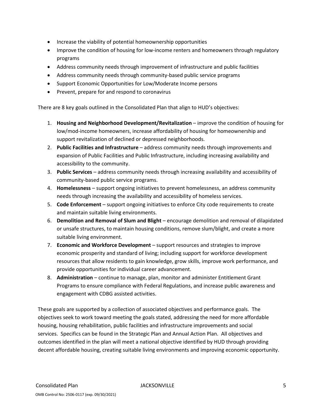- Increase the viability of potential homeownership opportunities
- Improve the condition of housing for low-income renters and homeowners through regulatory programs
- Address community needs through improvement of infrastructure and public facilities
- Address community needs through community-based public service programs
- Support Economic Opportunities for Low/Moderate Income persons
- Prevent, prepare for and respond to coronavirus

There are 8 key goals outlined in the Consolidated Plan that align to HUD's objectives:

- 1. **Housing and Neighborhood Development/Revitalization** improve the condition of housing for low/mod-income homeowners, increase affordability of housing for homeownership and support revitalization of declined or depressed neighborhoods.
- 2. **Public Facilities and Infrastructure** address community needs through improvements and expansion of Public Facilities and Public Infrastructure, including increasing availability and accessibility to the community.
- 3. **Public Services** address community needs through increasing availability and accessibility of community-based public service programs.
- 4. **Homelessness** support ongoing initiatives to prevent homelessness, an address community needs through increasing the availability and accessibility of homeless services.
- 5. **Code Enforcement** support ongoing initiatives to enforce City code requirements to create and maintain suitable living environments.
- 6. **Demolition and Removal of Slum and Blight** encourage demolition and removal of dilapidated or unsafe structures, to maintain housing conditions, remove slum/blight, and create a more suitable living environment.
- 7. **Economic and Workforce Development** support resources and strategies to improve economic prosperity and standard of living; including support for workforce development resources that allow residents to gain knowledge, grow skills, improve work performance, and provide opportunities for individual career advancement.
- 8. **Administration** continue to manage, plan, monitor and administer Entitlement Grant Programs to ensure compliance with Federal Regulations, and increase public awareness and engagement with CDBG assisted activities.

These goals are supported by a collection of associated objectives and performance goals. The objectives seek to work toward meeting the goals stated, addressing the need for more affordable housing, housing rehabilitation, public facilities and infrastructure improvements and social services. Specifics can be found in the Strategic Plan and Annual Action Plan. All objectives and outcomes identified in the plan will meet a national objective identified by HUD through providing decent affordable housing, creating suitable living environments and improving economic opportunity.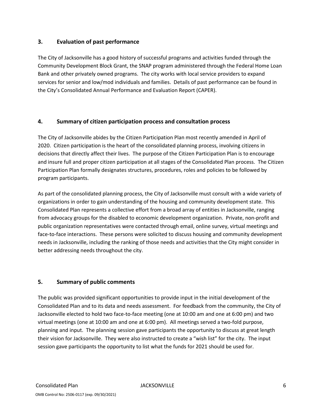## **3. Evaluation of past performance**

The City of Jacksonville has a good history of successful programs and activities funded through the Community Development Block Grant, the SNAP program administered through the Federal Home Loan Bank and other privately owned programs. The city works with local service providers to expand services for senior and low/mod individuals and families. Details of past performance can be found in the City's Consolidated Annual Performance and Evaluation Report (CAPER).

## **4. Summary of citizen participation process and consultation process**

The City of Jacksonville abides by the Citizen Participation Plan most recently amended in April of 2020. Citizen participation is the heart of the consolidated planning process, involving citizens in decisions that directly affect their lives. The purpose of the Citizen Participation Plan is to encourage and insure full and proper citizen participation at all stages of the Consolidated Plan process. The Citizen Participation Plan formally designates structures, procedures, roles and policies to be followed by program participants.

As part of the consolidated planning process, the City of Jacksonville must consult with a wide variety of organizations in order to gain understanding of the housing and community development state. This Consolidated Plan represents a collective effort from a broad array of entities in Jacksonville, ranging from advocacy groups for the disabled to economic development organization. Private, non-profit and public organization representatives were contacted through email, online survey, virtual meetings and face-to-face interactions. These persons were solicited to discuss housing and community development needs in Jacksonville, including the ranking of those needs and activities that the City might consider in better addressing needs throughout the city.

## **5. Summary of public comments**

The public was provided significant opportunities to provide input in the initial development of the Consolidated Plan and to its data and needs assessment. For feedback from the community, the City of Jacksonville elected to hold two face-to-face meeting (one at 10:00 am and one at 6:00 pm) and two virtual meetings (one at 10:00 am and one at 6:00 pm). All meetings served a two-fold purpose, planning and input. The planning session gave participants the opportunity to discuss at great length their vision for Jacksonville. They were also instructed to create a "wish list" for the city. The input session gave participants the opportunity to list what the funds for 2021 should be used for.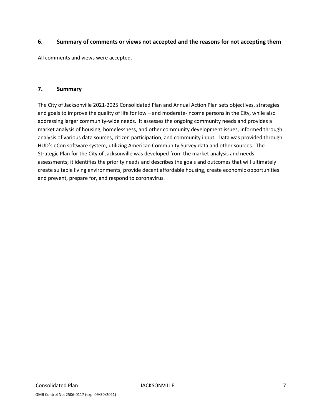## **6. Summary of comments or views not accepted and the reasons for not accepting them**

All comments and views were accepted.

## **7. Summary**

The City of Jacksonville 2021-2025 Consolidated Plan and Annual Action Plan sets objectives, strategies and goals to improve the quality of life for low – and moderate-income persons in the City, while also addressing larger community-wide needs. It assesses the ongoing community needs and provides a market analysis of housing, homelessness, and other community development issues, informed through analysis of various data sources, citizen participation, and community input. Data was provided through HUD's eCon software system, utilizing American Community Survey data and other sources. The Strategic Plan for the City of Jacksonville was developed from the market analysis and needs assessments; it identifies the priority needs and describes the goals and outcomes that will ultimately create suitable living environments, provide decent affordable housing, create economic opportunities and prevent, prepare for, and respond to coronavirus.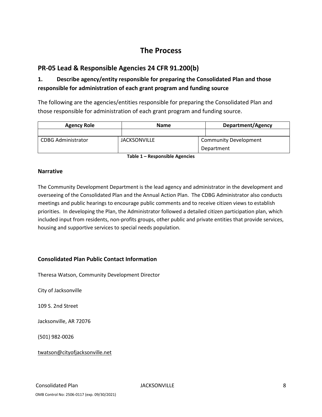# **The Process**

# <span id="page-8-1"></span><span id="page-8-0"></span>**PR-05 Lead & Responsible Agencies 24 CFR 91.200(b)**

# **1. Describe agency/entity responsible for preparing the Consolidated Plan and those responsible for administration of each grant program and funding source**

The following are the agencies/entities responsible for preparing the Consolidated Plan and those responsible for administration of each grant program and funding source.

| <b>Agency Role</b>        | <b>Name</b>         | <b>Department/Agency</b>     |
|---------------------------|---------------------|------------------------------|
|                           |                     |                              |
| <b>CDBG Administrator</b> | <b>JACKSONVILLE</b> | <b>Community Development</b> |
|                           |                     | Department                   |

**Table 1 – Responsible Agencies**

## **Narrative**

The Community Development Department is the lead agency and administrator in the development and overseeing of the Consolidated Plan and the Annual Action Plan. The CDBG Administrator also conducts meetings and public hearings to encourage public comments and to receive citizen views to establish priorities. In developing the Plan, the Administrator followed a detailed citizen participation plan, which included input from residents, non-profits groups, other public and private entities that provide services, housing and supportive services to special needs population.

## **Consolidated Plan Public Contact Information**

Theresa Watson, Community Development Director

City of Jacksonville

109 S. 2nd Street

Jacksonville, AR 72076

(501) 982-0026

twatson@cityofjacksonville.net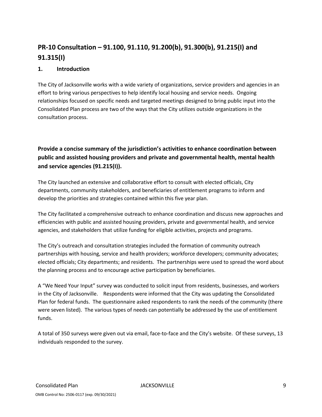# <span id="page-9-0"></span>**PR-10 Consultation – 91.100, 91.110, 91.200(b), 91.300(b), 91.215(I) and 91.315(I)**

## **1. Introduction**

The City of Jacksonville works with a wide variety of organizations, service providers and agencies in an effort to bring various perspectives to help identify local housing and service needs. Ongoing relationships focused on specific needs and targeted meetings designed to bring public input into the Consolidated Plan process are two of the ways that the City utilizes outside organizations in the consultation process.

**Provide a concise summary of the jurisdiction's activities to enhance coordination between public and assisted housing providers and private and governmental health, mental health and service agencies (91.215(I)).**

The City launched an extensive and collaborative effort to consult with elected officials, City departments, community stakeholders, and beneficiaries of entitlement programs to inform and develop the priorities and strategies contained within this five year plan.

The City facilitated a comprehensive outreach to enhance coordination and discuss new approaches and efficiencies with public and assisted housing providers, private and governmental health, and service agencies, and stakeholders that utilize funding for eligible activities, projects and programs.

The City's outreach and consultation strategies included the formation of community outreach partnerships with housing, service and health providers; workforce developers; community advocates; elected officials; City departments; and residents. The partnerships were used to spread the word about the planning process and to encourage active participation by beneficiaries.

A "We Need Your Input" survey was conducted to solicit input from residents, businesses, and workers in the City of Jacksonville. Respondents were informed that the City was updating the Consolidated Plan for federal funds. The questionnaire asked respondents to rank the needs of the community (there were seven listed). The various types of needs can potentially be addressed by the use of entitlement funds.

A total of 350 surveys were given out via email, face-to-face and the City's website. Of these surveys, 13 individuals responded to the survey.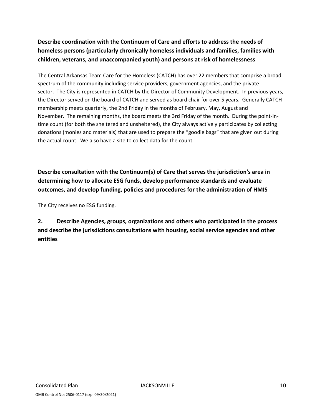# **Describe coordination with the Continuum of Care and efforts to address the needs of homeless persons (particularly chronically homeless individuals and families, families with children, veterans, and unaccompanied youth) and persons at risk of homelessness**

The Central Arkansas Team Care for the Homeless (CATCH) has over 22 members that comprise a broad spectrum of the community including service providers, government agencies, and the private sector. The City is represented in CATCH by the Director of Community Development. In previous years, the Director served on the board of CATCH and served as board chair for over 5 years. Generally CATCH membership meets quarterly, the 2nd Friday in the months of February, May, August and November. The remaining months, the board meets the 3rd Friday of the month. During the point-intime count (for both the sheltered and unsheltered), the City always actively participates by collecting donations (monies and materials) that are used to prepare the "goodie bags" that are given out during the actual count. We also have a site to collect data for the count.

**Describe consultation with the Continuum(s) of Care that serves the jurisdiction's area in determining how to allocate ESG funds, develop performance standards and evaluate outcomes, and develop funding, policies and procedures for the administration of HMIS**

The City receives no ESG funding.

**2. Describe Agencies, groups, organizations and others who participated in the process and describe the jurisdictions consultations with housing, social service agencies and other entities**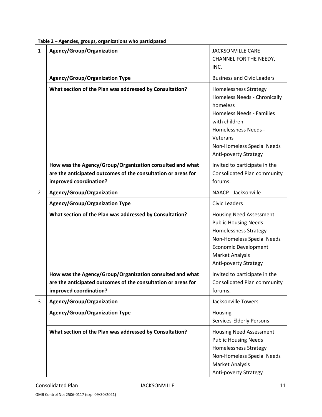| $\mathbf{1}$   | Agency/Group/Organization                                                                                                                           | <b>JACKSONVILLE CARE</b><br>CHANNEL FOR THE NEEDY,<br>INC.                                                                                                                                                                      |
|----------------|-----------------------------------------------------------------------------------------------------------------------------------------------------|---------------------------------------------------------------------------------------------------------------------------------------------------------------------------------------------------------------------------------|
|                | <b>Agency/Group/Organization Type</b>                                                                                                               | <b>Business and Civic Leaders</b>                                                                                                                                                                                               |
|                | What section of the Plan was addressed by Consultation?                                                                                             | <b>Homelessness Strategy</b><br>Homeless Needs - Chronically<br>homeless<br><b>Homeless Needs - Families</b><br>with children<br>Homelessness Needs -<br>Veterans<br>Non-Homeless Special Needs<br><b>Anti-poverty Strategy</b> |
|                | How was the Agency/Group/Organization consulted and what<br>are the anticipated outcomes of the consultation or areas for<br>improved coordination? | Invited to participate in the<br><b>Consolidated Plan community</b><br>forums.                                                                                                                                                  |
| $\overline{2}$ | Agency/Group/Organization                                                                                                                           | NAACP - Jacksonville                                                                                                                                                                                                            |
|                | <b>Agency/Group/Organization Type</b>                                                                                                               | <b>Civic Leaders</b>                                                                                                                                                                                                            |
|                | What section of the Plan was addressed by Consultation?                                                                                             | <b>Housing Need Assessment</b><br><b>Public Housing Needs</b><br>Homelessness Strategy<br>Non-Homeless Special Needs<br><b>Economic Development</b><br><b>Market Analysis</b><br>Anti-poverty Strategy                          |
|                | How was the Agency/Group/Organization consulted and what<br>are the anticipated outcomes of the consultation or areas for<br>improved coordination? | Invited to participate in the<br><b>Consolidated Plan community</b><br>forums.                                                                                                                                                  |
| 3              | Agency/Group/Organization                                                                                                                           | Jacksonville Towers                                                                                                                                                                                                             |
|                | <b>Agency/Group/Organization Type</b>                                                                                                               | Housing<br>Services-Elderly Persons                                                                                                                                                                                             |
|                | What section of the Plan was addressed by Consultation?                                                                                             | <b>Housing Need Assessment</b><br><b>Public Housing Needs</b><br><b>Homelessness Strategy</b><br>Non-Homeless Special Needs<br><b>Market Analysis</b><br>Anti-poverty Strategy                                                  |

## **Table 2 – Agencies, groups, organizations who participated**

OMB Control No: 2506-0117 (exp. 09/30/2021)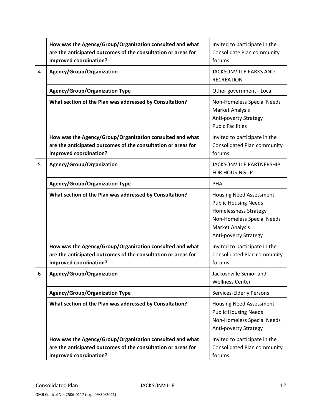|   | How was the Agency/Group/Organization consulted and what<br>are the anticipated outcomes of the consultation or areas for<br>improved coordination? | Invited to participate in the<br>Consolidate Plan community<br>forums.                                                                                                         |
|---|-----------------------------------------------------------------------------------------------------------------------------------------------------|--------------------------------------------------------------------------------------------------------------------------------------------------------------------------------|
| 4 | Agency/Group/Organization                                                                                                                           | JACKSONVILLE PARKS AND<br><b>RECREATION</b>                                                                                                                                    |
|   | <b>Agency/Group/Organization Type</b>                                                                                                               | Other government - Local                                                                                                                                                       |
|   | What section of the Plan was addressed by Consultation?                                                                                             | Non-Homeless Special Needs<br><b>Market Analysis</b><br>Anti-poverty Strategy<br><b>Publc Facilities</b>                                                                       |
|   | How was the Agency/Group/Organization consulted and what<br>are the anticipated outcomes of the consultation or areas for<br>improved coordination? | Invited to participate in the<br><b>Consolidated Plan community</b><br>forums.                                                                                                 |
| 5 | Agency/Group/Organization                                                                                                                           | JACKSONVILLE PARTNERSHIP<br>FOR HOUSING LP                                                                                                                                     |
|   | <b>Agency/Group/Organization Type</b>                                                                                                               | PHA                                                                                                                                                                            |
|   | What section of the Plan was addressed by Consultation?                                                                                             | <b>Housing Need Assessment</b><br><b>Public Housing Needs</b><br><b>Homelessness Strategy</b><br>Non-Homeless Special Needs<br><b>Market Analysis</b><br>Anti-poverty Strategy |
|   | How was the Agency/Group/Organization consulted and what<br>are the anticipated outcomes of the consultation or areas for<br>improved coordination? | Invited to participate in the<br><b>Consolidated Plan community</b><br>forums.                                                                                                 |
| 6 | Agency/Group/Organization                                                                                                                           | Jackosnville Senior and<br><b>Wellness Center</b>                                                                                                                              |
|   | <b>Agency/Group/Organization Type</b>                                                                                                               | Services-Elderly Persons                                                                                                                                                       |
|   | What section of the Plan was addressed by Consultation?                                                                                             | <b>Housing Need Assessment</b><br><b>Public Housing Needs</b><br>Non-Homeless Special Needs<br>Anti-poverty Strategy                                                           |
|   | How was the Agency/Group/Organization consulted and what<br>are the anticipated outcomes of the consultation or areas for<br>improved coordination? | Invited to participate in the<br><b>Consolidated Plan community</b><br>forums.                                                                                                 |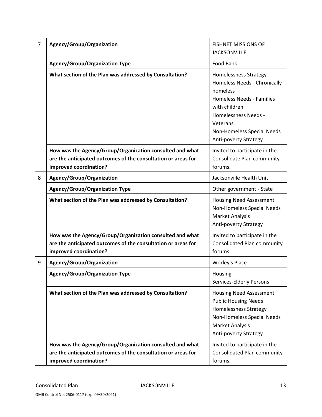| $\overline{7}$ | Agency/Group/Organization                                                                                                                           | <b>FISHNET MISSIONS OF</b><br><b>JACKSONVILLE</b>                                                                                                                                                                               |
|----------------|-----------------------------------------------------------------------------------------------------------------------------------------------------|---------------------------------------------------------------------------------------------------------------------------------------------------------------------------------------------------------------------------------|
|                | <b>Agency/Group/Organization Type</b>                                                                                                               | Food Bank                                                                                                                                                                                                                       |
|                | What section of the Plan was addressed by Consultation?                                                                                             | <b>Homelessness Strategy</b><br>Homeless Needs - Chronically<br>homeless<br><b>Homeless Needs - Families</b><br>with children<br><b>Homelessness Needs -</b><br>Veterans<br>Non-Homeless Special Needs<br>Anti-poverty Strategy |
|                | How was the Agency/Group/Organization consulted and what<br>are the anticipated outcomes of the consultation or areas for<br>improved coordination? | Invited to participate in the<br>Consolidate Plan community<br>forums.                                                                                                                                                          |
| 8              | Agency/Group/Organization                                                                                                                           | Jacksonville Health Unit                                                                                                                                                                                                        |
|                | <b>Agency/Group/Organization Type</b>                                                                                                               | Other government - State                                                                                                                                                                                                        |
|                | What section of the Plan was addressed by Consultation?                                                                                             | <b>Housing Need Assessment</b><br>Non-Homeless Special Needs<br><b>Market Analysis</b><br>Anti-poverty Strategy                                                                                                                 |
|                | How was the Agency/Group/Organization consulted and what<br>are the anticipated outcomes of the consultation or areas for<br>improved coordination? | Invited to participate in the<br><b>Consolidated Plan community</b><br>forums.                                                                                                                                                  |
| 9              | Agency/Group/Organization                                                                                                                           | Worley's Place                                                                                                                                                                                                                  |
|                | <b>Agency/Group/Organization Type</b>                                                                                                               | Housing<br>Services-Elderly Persons                                                                                                                                                                                             |
|                | What section of the Plan was addressed by Consultation?                                                                                             | <b>Housing Need Assessment</b><br><b>Public Housing Needs</b><br><b>Homelessness Strategy</b><br>Non-Homeless Special Needs<br><b>Market Analysis</b><br>Anti-poverty Strategy                                                  |
|                | How was the Agency/Group/Organization consulted and what<br>are the anticipated outcomes of the consultation or areas for<br>improved coordination? | Invited to participate in the<br><b>Consolidated Plan community</b><br>forums.                                                                                                                                                  |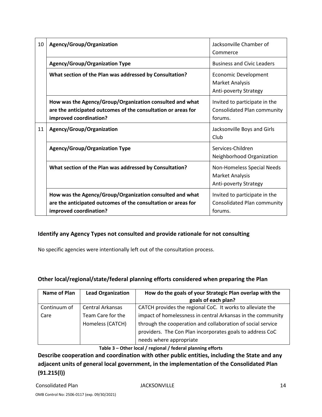| 10 | Agency/Group/Organization                                                                                                                           | Jacksonville Chamber of<br>Commerce                                                  |
|----|-----------------------------------------------------------------------------------------------------------------------------------------------------|--------------------------------------------------------------------------------------|
|    | <b>Agency/Group/Organization Type</b>                                                                                                               | <b>Business and Civic Leaders</b>                                                    |
|    | What section of the Plan was addressed by Consultation?                                                                                             | <b>Economic Development</b><br><b>Market Analysis</b><br>Anti-poverty Strategy       |
|    | How was the Agency/Group/Organization consulted and what<br>are the anticipated outcomes of the consultation or areas for<br>improved coordination? | Invited to participate in the<br>Consolidated Plan community<br>forums.              |
| 11 | Agency/Group/Organization                                                                                                                           | Jacksonville Boys and Girls<br>Club                                                  |
|    | <b>Agency/Group/Organization Type</b>                                                                                                               | Services-Children<br>Neighborhood Organization                                       |
|    | What section of the Plan was addressed by Consultation?                                                                                             | Non-Homeless Special Needs<br><b>Market Analysis</b><br><b>Anti-poverty Strategy</b> |
|    | How was the Agency/Group/Organization consulted and what<br>are the anticipated outcomes of the consultation or areas for<br>improved coordination? | Invited to participate in the<br>Consolidated Plan community<br>forums.              |

## **Identify any Agency Types not consulted and provide rationale for not consulting**

No specific agencies were intentionally left out of the consultation process.

# **Other local/regional/state/federal planning efforts considered when preparing the Plan**

| Name of Plan | <b>Lead Organization</b> | How do the goals of your Strategic Plan overlap with the<br>goals of each plan? |
|--------------|--------------------------|---------------------------------------------------------------------------------|
| Continuum of | Central Arkansas         | CATCH provides the regional CoC. It works to alleviate the                      |
| Care         | Team Care for the        | impact of homelessness in central Arkansas in the community                     |
|              | Homeless (CATCH)         | through the cooperation and collaboration of social service                     |
|              |                          | providers. The Con Plan incorporates goals to address CoC                       |
|              |                          | needs where appropriate                                                         |

**Table 3 – Other local / regional / federal planning efforts**

**Describe cooperation and coordination with other public entities, including the State and any adjacent units of general local government, in the implementation of the Consolidated Plan (91.215(l))**

Consolidated Plan 14 and 2008 and 2008 JACKSONVILLE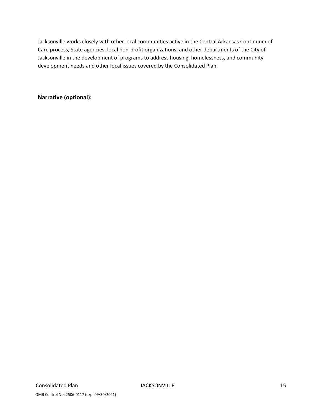Jacksonville works closely with other local communities active in the Central Arkansas Continuum of Care process, State agencies, local non-profit organizations, and other departments of the City of Jacksonville in the development of programs to address housing, homelessness, and community development needs and other local issues covered by the Consolidated Plan.

**Narrative (optional):**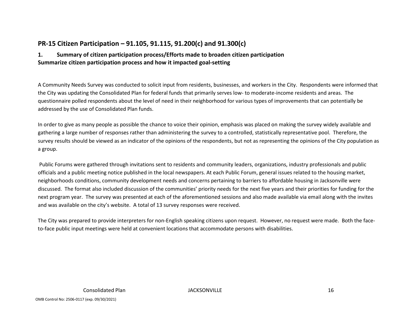# **PR-15 Citizen Participation – 91.105, 91.115, 91.200(c) and 91.300(c)**

## **1. Summary of citizen participation process/Efforts made to broaden citizen participation Summarize citizen participation process and how it impacted goal-setting**

A Community Needs Survey was conducted to solicit input from residents, businesses, and workers in the City. Respondents were informed that the City was updating the Consolidated Plan for federal funds that primarily serves low- to moderate-income residents and areas. The questionnaire polled respondents about the level of need in their neighborhood for various types of improvements that can potentially be addressed by the use of Consolidated Plan funds.

<span id="page-16-0"></span>In order to give as many people as possible the chance to voice their opinion, emphasis was placed on making the survey widely available and gathering a large number of responses rather than administering the survey to a controlled, statistically representative pool. Therefore, the survey results should be viewed as an indicator of the opinions of the respondents, but not as representing the opinions of the City population as a group.

Public Forums were gathered through invitations sent to residents and community leaders, organizations, industry professionals and public officials and a public meeting notice published in the local newspapers. At each Public Forum, general issues related to the housing market, neighborhoods conditions, community development needs and concerns pertaining to barriers to affordable housing in Jacksonville were discussed. The format also included discussion of the communities' priority needs for the next five years and their priorities for funding for the next program year. The survey was presented at each of the aforementioned sessions and also made available via email along with the invites and was available on the city's website. A total of 13 survey responses were received.

The City was prepared to provide interpreters for non-English speaking citizens upon request. However, no request were made. Both the faceto-face public input meetings were held at convenient locations that accommodate persons with disabilities.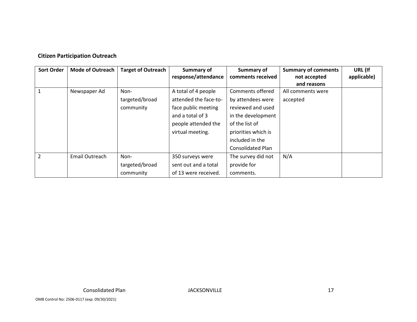## **Citizen Participation Outreach**

| <b>Sort Order</b> | <b>Mode of Outreach</b> | <b>Target of Outreach</b> | Summary of<br>response/attendance | Summary of<br>comments received | <b>Summary of comments</b><br>not accepted | URL (If<br>applicable) |
|-------------------|-------------------------|---------------------------|-----------------------------------|---------------------------------|--------------------------------------------|------------------------|
|                   |                         |                           |                                   |                                 | and reasons                                |                        |
| $\mathbf{1}$      | Newspaper Ad            | Non-                      | A total of 4 people               | Comments offered                | All comments were                          |                        |
|                   |                         | targeted/broad            | attended the face-to-             | by attendees were               | accepted                                   |                        |
|                   |                         | community                 | face public meeting               | reviewed and used               |                                            |                        |
|                   |                         |                           | and a total of 3                  | in the development              |                                            |                        |
|                   |                         |                           | people attended the               | of the list of                  |                                            |                        |
|                   |                         |                           | virtual meeting.                  | priorities which is             |                                            |                        |
|                   |                         |                           |                                   | included in the                 |                                            |                        |
|                   |                         |                           |                                   | <b>Consolidated Plan</b>        |                                            |                        |
| $\overline{2}$    | Email Outreach          | Non-                      | 350 surveys were                  | The survey did not              | N/A                                        |                        |
|                   |                         | targeted/broad            | sent out and a total              | provide for                     |                                            |                        |
|                   |                         | community                 | of 13 were received.              | comments.                       |                                            |                        |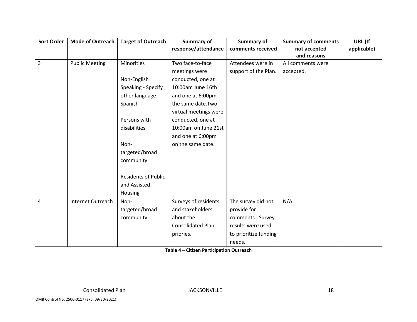| <b>Sort Order</b> | Mode of Outreach      | <b>Target of Outreach</b>  | <b>Summary of</b>        | <b>Summary of</b>     | <b>Summary of comments</b> | URL (If     |
|-------------------|-----------------------|----------------------------|--------------------------|-----------------------|----------------------------|-------------|
|                   |                       |                            | response/attendance      | comments received     | not accepted               | applicable) |
|                   |                       |                            |                          |                       | and reasons                |             |
| 3                 | <b>Public Meeting</b> | <b>Minorities</b>          | Two face-to-face         | Attendees were in     | All comments were          |             |
|                   |                       |                            | meetings were            | support of the Plan.  | accepted.                  |             |
|                   |                       | Non-English                | conducted, one at        |                       |                            |             |
|                   |                       | Speaking - Specify         | 10:00am June 16th        |                       |                            |             |
|                   |                       | other language:            | and one at 6:00pm        |                       |                            |             |
|                   |                       | Spanish                    | the same date.Two        |                       |                            |             |
|                   |                       |                            | virtual meetings were    |                       |                            |             |
|                   |                       | Persons with               | conducted, one at        |                       |                            |             |
|                   |                       | disabilities               | 10:00am on June 21st     |                       |                            |             |
|                   |                       |                            | and one at 6:00pm        |                       |                            |             |
|                   |                       | Non-                       | on the same date.        |                       |                            |             |
|                   |                       | targeted/broad             |                          |                       |                            |             |
|                   |                       | community                  |                          |                       |                            |             |
|                   |                       |                            |                          |                       |                            |             |
|                   |                       | <b>Residents of Public</b> |                          |                       |                            |             |
|                   |                       | and Assisted               |                          |                       |                            |             |
|                   |                       | Housing                    |                          |                       |                            |             |
| $\overline{4}$    | Internet Outreach     | Non-                       | Surveys of residents     | The survey did not    | N/A                        |             |
|                   |                       | targeted/broad             | and stakeholders         | provide for           |                            |             |
|                   |                       | community                  | about the                | comments. Survey      |                            |             |
|                   |                       |                            | <b>Consolidated Plan</b> | results were used     |                            |             |
|                   |                       |                            | priories.                | to prioritize funding |                            |             |
|                   |                       |                            |                          | needs.                |                            |             |

**Table 4 – Citizen Participation Outreach**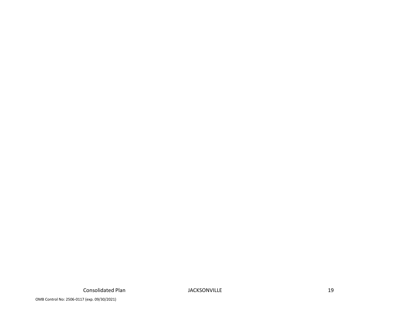Consolidated Plan 19<br>
SACKSONVILLE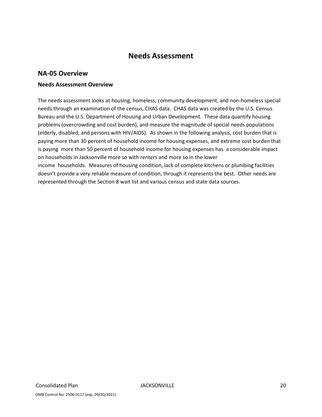# **Needs Assessment**

## <span id="page-20-1"></span><span id="page-20-0"></span>**NA-05 Overview**

## **Needs Assessment Overview**

The needs assessment looks at housing, homeless, community development, and non-homeless special needs through an examination of the census, CHAS data. CHAS data was created by the U.S. Census Bureau and the U.S. Department of Housing and Urban Development. These data quantify housing problems (overcrowding and cost burden), and measure the magnitude of special needs populations (elderly, disabled, and persons with HIV/AIDS). As shown in the following analysis, cost burden that is paying more than 30 percent of household income for housing expenses, and extreme cost burden that is paying more than 50 percent of household income for housing expenses has a considerable impact on households in Jacksonville more so with renters and more so in the lower income households. Measures of housing condition, lack of complete kitchens or plumbing facilities doesn't provide a very reliable measure of condition, through it represents the best. Other needs are represented through the Section 8 wait list and various census and state data sources.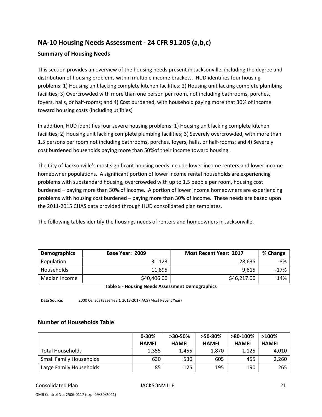# <span id="page-21-0"></span>**NA-10 Housing Needs Assessment - 24 CFR 91.205 (a,b,c)**

## **Summary of Housing Needs**

This section provides an overview of the housing needs present in Jacksonville, including the degree and distribution of housing problems within multiple income brackets. HUD identifies four housing problems: 1) Housing unit lacking complete kitchen facilities; 2) Housing unit lacking complete plumbing facilities; 3) Overcrowded with more than one person per room, not including bathrooms, porches, foyers, halls, or half-rooms; and 4) Cost burdened, with household paying more that 30% of income toward housing costs (including utilities)

In addition, HUD identifies four severe housing problems: 1) Housing unit lacking complete kitchen facilities; 2) Housing unit lacking complete plumbing facilities; 3) Severely overcrowded, with more than 1.5 persons per room not including bathrooms, porches, foyers, halls, or half-rooms; and 4) Severely cost burdened households paying more than 50%of their income toward housing.

The City of Jacksonville's most significant housing needs include lower income renters and lower income homeowner populations. A significant portion of lower income rental households are experiencing problems with substandard housing, overcrowded with up to 1.5 people per room, housing cost burdened – paying more than 30% of income. A portion of lower income homeowners are experiencing problems with housing cost burdened – paying more than 30% of income. These needs are based upon the 2011-2015 CHAS data provided through HUD consolidated plan templates.

The following tables identify the housings needs of renters and homeowners in Jacksonville.

| Demographics  | Base Year: 2009 | <b>Most Recent Year: 2017</b> | % Change |
|---------------|-----------------|-------------------------------|----------|
| Population    | 31,123          | 28.635                        | -8%      |
| Households    | 11.895          | 9,815                         | $-17%$   |
| Median Income | \$40,406.00     | \$46,217.00                   | 14%      |

|  |  |  |  | <b>Table 5 - Housing Needs Assessment Demographics</b> |
|--|--|--|--|--------------------------------------------------------|
|--|--|--|--|--------------------------------------------------------|

**Data Source:** 2000 Census (Base Year), 2013-2017 ACS (Most Recent Year)

## **Number of Households Table**

|                                | $0 - 30%$<br><b>HAMFI</b> | $>30-50\%$<br><b>HAMFI</b> | >50-80%<br><b>HAMFI</b> | >80-100%<br><b>HAMFI</b> | >100%<br><b>HAMFI</b> |
|--------------------------------|---------------------------|----------------------------|-------------------------|--------------------------|-----------------------|
| <b>Total Households</b>        | 1,355                     | 1,455                      | 1.870                   | 1,125                    | 4,010                 |
| <b>Small Family Households</b> | 630                       | 530                        | 605                     | 455                      | 2,260                 |
| Large Family Households        | 85                        | 125                        | 195                     | 190                      | 265                   |

#### Consolidated Plan JACKSONVILLE 21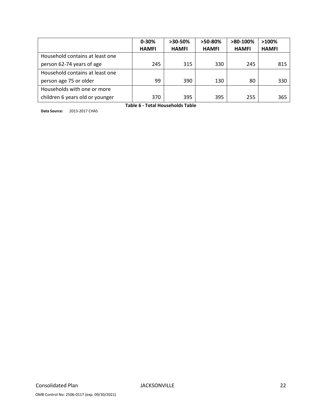|                                  | $0 - 30%$    | $>30-50%$    | $>50-80\%$   | $>80-100\%$  | $>100\%$     |  |  |  |  |  |
|----------------------------------|--------------|--------------|--------------|--------------|--------------|--|--|--|--|--|
|                                  | <b>HAMFI</b> | <b>HAMFI</b> | <b>HAMFI</b> | <b>HAMFI</b> | <b>HAMFI</b> |  |  |  |  |  |
| Household contains at least one  |              |              |              |              |              |  |  |  |  |  |
| person 62-74 years of age        | 245          | 315          | 330          | 245          | 815          |  |  |  |  |  |
| Household contains at least one  |              |              |              |              |              |  |  |  |  |  |
| person age 75 or older           | 99           | 390          | 130          | 80           | 330          |  |  |  |  |  |
| Households with one or more      |              |              |              |              |              |  |  |  |  |  |
| children 6 years old or younger  | 370          | 395          | 395          | 255          | 365          |  |  |  |  |  |
| Table 6 - Total Households Table |              |              |              |              |              |  |  |  |  |  |

**Data Source:** 2013-2017 CHAS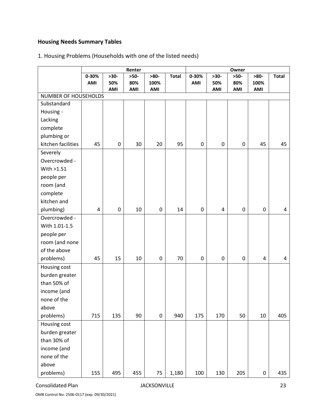# **Housing Needs Summary Tables**

# 1. Housing Problems (Households with one of the listed needs)

|                      |       |            | Renter     |             |              | Owner     |            |            |             |                |
|----------------------|-------|------------|------------|-------------|--------------|-----------|------------|------------|-------------|----------------|
|                      | 0-30% | $>30-$     | $>50-$     | $>80-$      | <b>Total</b> | 0-30%     | $>30-$     | $>50-$     | $>80-$      | <b>Total</b>   |
|                      | AMI   | 50%<br>AMI | 80%<br>AMI | 100%<br>AMI |              | AMI       | 50%<br>AMI | 80%<br>AMI | 100%<br>AMI |                |
| NUMBER OF HOUSEHOLDS |       |            |            |             |              |           |            |            |             |                |
| Substandard          |       |            |            |             |              |           |            |            |             |                |
| Housing -            |       |            |            |             |              |           |            |            |             |                |
| Lacking              |       |            |            |             |              |           |            |            |             |                |
| complete             |       |            |            |             |              |           |            |            |             |                |
| plumbing or          |       |            |            |             |              |           |            |            |             |                |
| kitchen facilities   | 45    | $\pmb{0}$  | 30         | 20          | 95           | 0         | $\pmb{0}$  | $\pmb{0}$  | 45          | 45             |
| Severely             |       |            |            |             |              |           |            |            |             |                |
| Overcrowded -        |       |            |            |             |              |           |            |            |             |                |
| With >1.51           |       |            |            |             |              |           |            |            |             |                |
| people per           |       |            |            |             |              |           |            |            |             |                |
| room (and            |       |            |            |             |              |           |            |            |             |                |
| complete             |       |            |            |             |              |           |            |            |             |                |
| kitchen and          |       |            |            |             |              |           |            |            |             |                |
| plumbing)            | 4     | $\pmb{0}$  | 10         | 0           | 14           | $\pmb{0}$ | 4          | $\pmb{0}$  | $\pmb{0}$   | $\overline{a}$ |
| Overcrowded -        |       |            |            |             |              |           |            |            |             |                |
| With 1.01-1.5        |       |            |            |             |              |           |            |            |             |                |
| people per           |       |            |            |             |              |           |            |            |             |                |
| room (and none       |       |            |            |             |              |           |            |            |             |                |
| of the above         |       |            |            |             |              |           |            |            |             |                |
| problems)            | 45    | 15         | 10         | 0           | 70           | $\pmb{0}$ | $\pmb{0}$  | $\pmb{0}$  | 4           | 4              |
| Housing cost         |       |            |            |             |              |           |            |            |             |                |
| burden greater       |       |            |            |             |              |           |            |            |             |                |
| than 50% of          |       |            |            |             |              |           |            |            |             |                |
| income (and          |       |            |            |             |              |           |            |            |             |                |
| none of the          |       |            |            |             |              |           |            |            |             |                |
| above                |       |            |            |             |              |           |            |            |             |                |
| problems)            | 715   | 135        | 90         | $\pmb{0}$   | 940          | 175       | 170        | 50         | 10          | 405            |
| Housing cost         |       |            |            |             |              |           |            |            |             |                |
| burden greater       |       |            |            |             |              |           |            |            |             |                |
| than 30% of          |       |            |            |             |              |           |            |            |             |                |
| income (and          |       |            |            |             |              |           |            |            |             |                |
| none of the          |       |            |            |             |              |           |            |            |             |                |
| above                |       |            |            |             |              |           |            |            |             |                |
| problems)            | 155   | 495        | 455        | 75          | 1,180        | 100       | 130        | 205        | 0           | 435            |

Consolidated Plan 1999 123

OMB Control No: 2506-0117 (exp. 09/30/2021)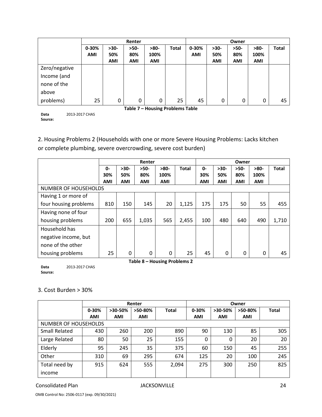|               |                                  | Renter     |            |            |              | Owner      |            |        |            |              |
|---------------|----------------------------------|------------|------------|------------|--------------|------------|------------|--------|------------|--------------|
|               | $0 - 30%$                        | $>30-$     | $>50-$     | $>80-$     | <b>Total</b> | $0 - 30%$  | $>30-$     | $>50-$ | $>80-$     | <b>Total</b> |
|               | <b>AMI</b>                       | 50%        | 80%        | 100%       |              | <b>AMI</b> | 50%        | 80%    | 100%       |              |
|               |                                  | <b>AMI</b> | <b>AMI</b> | <b>AMI</b> |              |            | <b>AMI</b> | AMI    | <b>AMI</b> |              |
| Zero/negative |                                  |            |            |            |              |            |            |        |            |              |
| Income (and   |                                  |            |            |            |              |            |            |        |            |              |
| none of the   |                                  |            |            |            |              |            |            |        |            |              |
| above         |                                  |            |            |            |              |            |            |        |            |              |
| problems)     | 25                               | 0          | 0          | 0          | 25           | 45         | 0          | 0      | 0          | 45           |
|               | Table 7 - Housing Problems Table |            |            |            |              |            |            |        |            |              |

**Data Source:** 2013-2017 CHAS

2. Housing Problems 2 (Households with one or more Severe Housing Problems: Lacks kitchen or complete plumbing, severe overcrowding, severe cost burden)

|                       |            |          | Renter                       |            |              |     |        | Owner      |            |              |
|-----------------------|------------|----------|------------------------------|------------|--------------|-----|--------|------------|------------|--------------|
|                       | $0 -$      | $>30-$   | $>50-$                       | $>80-$     | <b>Total</b> | 0-  | $>30-$ | $>50-$     | $>80-$     | <b>Total</b> |
|                       | 30%        | 50%      | 80%                          | 100%       |              | 30% | 50%    | 80%        | 100%       |              |
|                       | <b>AMI</b> | AMI      | AMI                          | <b>AMI</b> |              | AMI | AMI    | <b>AMI</b> | <b>AMI</b> |              |
| NUMBER OF HOUSEHOLDS  |            |          |                              |            |              |     |        |            |            |              |
| Having 1 or more of   |            |          |                              |            |              |     |        |            |            |              |
| four housing problems | 810        | 150      | 145                          | 20         | 1,125        | 175 | 175    | 50         | 55         | 455          |
| Having none of four   |            |          |                              |            |              |     |        |            |            |              |
| housing problems      | 200        | 655      | 1,035                        | 565        | 2,455        | 100 | 480    | 640        | 490        | 1,710        |
| Household has         |            |          |                              |            |              |     |        |            |            |              |
| negative income, but  |            |          |                              |            |              |     |        |            |            |              |
| none of the other     |            |          |                              |            |              |     |        |            |            |              |
| housing problems      | 25         | $\Omega$ | 0                            | 0          | 25           | 45  | 0      | 0          | 0          | 45           |
|                       |            |          | Table 8 – Housing Problems 2 |            |              |     |        |            |            |              |

**Data Source:** 2013-2017 CHAS

## 3. Cost Burden > 30%

|                      |            |            | Renter     |              | Owner        |            |            |              |  |  |  |
|----------------------|------------|------------|------------|--------------|--------------|------------|------------|--------------|--|--|--|
|                      | $0 - 30%$  | >30-50%    | >50-80%    | <b>Total</b> | $0 - 30%$    | >30-50%    | >50-80%    | <b>Total</b> |  |  |  |
|                      | <b>AMI</b> | <b>AMI</b> | <b>AMI</b> |              | <b>AMI</b>   | <b>AMI</b> | <b>AMI</b> |              |  |  |  |
| NUMBER OF HOUSEHOLDS |            |            |            |              |              |            |            |              |  |  |  |
| <b>Small Related</b> | 430        | 260        | 200        | 890          | 90           | 130        | 85         | 305          |  |  |  |
| Large Related        | 80         | 50         | 25         | 155          | $\mathbf{0}$ | 0          | 20         | 20           |  |  |  |
| Elderly              | 95         | 245        | 35         | 375          | 60           | 150        | 45         | 255          |  |  |  |
| Other                | 310        | 69         | 295        | 674          | 125          | 20         | 100        | 245          |  |  |  |
| Total need by        | 915        | 624        | 555        | 2,094        | 275          | 300        | 250        | 825          |  |  |  |
| income               |            |            |            |              |              |            |            |              |  |  |  |

Consolidated Plan JACKSONVILLE 24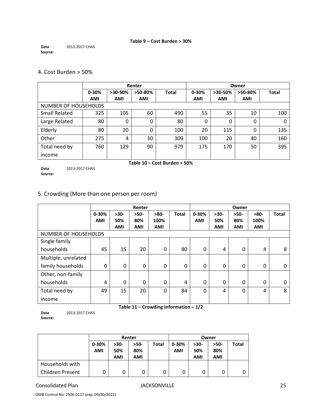**Data Source:** 2013-2017 CHAS

## 4. Cost Burden > 50%

|                      |                              |                                      | Renter |           | Owner      |            |              |     |  |  |  |
|----------------------|------------------------------|--------------------------------------|--------|-----------|------------|------------|--------------|-----|--|--|--|
|                      | $0 - 30%$                    | $>50-80%$<br><b>Total</b><br>>30-50% |        | $0 - 30%$ | $>30-50%$  | >50-80%    | <b>Total</b> |     |  |  |  |
|                      | <b>AMI</b>                   | AMI                                  | AMI    |           | <b>AMI</b> | <b>AMI</b> | <b>AMI</b>   |     |  |  |  |
| NUMBER OF HOUSEHOLDS |                              |                                      |        |           |            |            |              |     |  |  |  |
| <b>Small Related</b> | 325                          | 105                                  | 60     | 490       | 55         | 35         | 10           | 100 |  |  |  |
| Large Related        | 80                           | 0                                    | 0      | 80        | 0          | 0          | 0            | 0   |  |  |  |
| Elderly              | 80                           | 20                                   | 0      | 100       | 20         | 115        | 0            | 135 |  |  |  |
| Other                | 275                          | 4                                    | 30     | 309       | 100        | 20         | 40           | 160 |  |  |  |
| Total need by        | 760                          | 129                                  | 90     | 979       | 175        | 170        | 50           | 395 |  |  |  |
| income               |                              |                                      |        |           |            |            |              |     |  |  |  |
|                      | Table 10 - Cost Burden > 50% |                                      |        |           |            |            |              |     |  |  |  |

**Data Source:** 2013-2017 CHAS

# 5. Crowding (More than one person per room)

|                                        |            |            | Renter |              |              |              |        | Owner        |        |       |
|----------------------------------------|------------|------------|--------|--------------|--------------|--------------|--------|--------------|--------|-------|
|                                        | $0 - 30%$  | $>30-$     | $>50-$ | $>80-$       | <b>Total</b> | $0 - 30%$    | $>30-$ | $>50-$       | $>80-$ | Total |
|                                        | <b>AMI</b> | 50%        | 80%    | 100%         |              | <b>AMI</b>   | 50%    | 80%          | 100%   |       |
|                                        |            | <b>AMI</b> | AMI    | AMI          |              |              | AMI    | <b>AMI</b>   | AMI    |       |
| <b>NUMBER OF HOUSEHOLDS</b>            |            |            |        |              |              |              |        |              |        |       |
| Single family                          |            |            |        |              |              |              |        |              |        |       |
| households                             | 45         | 15         | 20     | 0            | 80           | 0            | 4      | $\mathbf{0}$ | 4      | 8     |
| Multiple, unrelated                    |            |            |        |              |              |              |        |              |        |       |
| family households                      | 0          | 0          | 0      | 0            | 0            | 0            | 0      | $\mathbf{0}$ | 0      | 0     |
| Other, non-family                      |            |            |        |              |              |              |        |              |        |       |
| households                             | 4          | 0          | 0      | 0            | 4            | 0            | 0      | $\mathbf{0}$ | 0      | 0     |
| Total need by                          | 49         | 15         | 20     | $\mathbf{0}$ | 84           | $\mathbf{0}$ | 4      | $\Omega$     | 4      | 8     |
| income                                 |            |            |        |              |              |              |        |              |        |       |
| Table 11 - Crowding Information $-1/2$ |            |            |        |              |              |              |        |              |        |       |

**Data Source:** 2013-2017 CHAS

|                  |                  |             | Renter      |              | Owner            |               |             |       |
|------------------|------------------|-------------|-------------|--------------|------------------|---------------|-------------|-------|
|                  | $0 - 30%$<br>AMI | >30-<br>50% | >50-<br>80% | <b>Total</b> | $0 - 30%$<br>AMI | $>30-$<br>50% | >50-<br>80% | Total |
|                  |                  | AMI         | AMI         |              |                  | AMI           | AMI         |       |
| Households with  |                  |             |             |              |                  |               |             |       |
| Children Present | 0                |             | 0           |              | 0                | 0             | 0           | 0     |

Consolidated Plan JACKSONVILLE 25

OMB Control No: 2506-0117 (exp. 09/30/2021)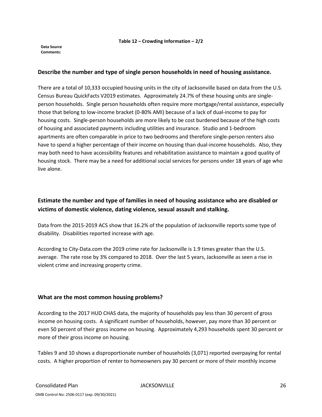**Table 12 – Crowding Information – 2/2**

**Data Source Comments:**

## **Describe the number and type of single person households in need of housing assistance.**

There are a total of 10,333 occupied housing units in the city of Jacksonville based on data from the U.S. Census Bureau QuickFacts V2019 estimates. Approximately 24.7% of these housing units are singleperson households. Single person households often require more mortgage/rental assistance, especially those that belong to low-income bracket (0-80% AMI) because of a lack of dual-income to pay for housing costs. Single-person households are more likely to be cost burdened because of the high costs of housing and associated payments including utilities and insurance. Studio and 1-bedroom apartments are often comparable in price to two bedrooms and therefore single-person renters also have to spend a higher percentage of their income on housing than dual-income households. Also, they may both need to have accessibility features and rehabilitation assistance to maintain a good quality of housing stock. There may be a need for additional social services for persons under 18 years of age who live alone.

## **Estimate the number and type of families in need of housing assistance who are disabled or victims of domestic violence, dating violence, sexual assault and stalking.**

Data from the 2015-2019 ACS show that 16.2% of the population of Jacksonville reports some type of disability. Disabilities reported increase with age.

According to City-Data.com the 2019 crime rate for Jacksonville is 1.9 times greater than the U.S. average. The rate rose by 3% compared to 2018. Over the last 5 years, Jacksonville as seen a rise in violent crime and increasing property crime.

## **What are the most common housing problems?**

According to the 2017 HUD CHAS data, the majority of households pay less than 30 percent of gross income on housing costs. A significant number of households, however, pay more than 30 percent or even 50 percent of their gross income on housing. Approximately 4,293 households spent 30 percent or more of their gross income on housing.

Tables 9 and 10 shows a disproportionate number of households (3,071) reported overpaying for rental costs. A higher proportion of renter to homeowners pay 30 percent or more of their monthly income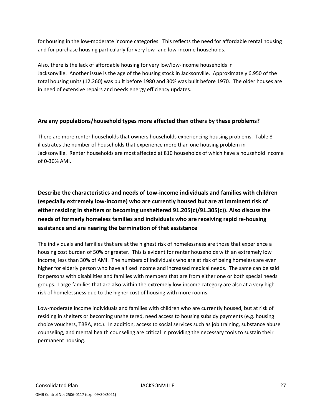for housing in the low-moderate income categories. This reflects the need for affordable rental housing and for purchase housing particularly for very low- and low-income households.

Also, there is the lack of affordable housing for very low/low-income households in Jacksonville. Another issue is the age of the housing stock in Jacksonville. Approximately 6,950 of the total housing units (12,260) was built before 1980 and 30% was built before 1970. The older houses are in need of extensive repairs and needs energy efficiency updates.

## **Are any populations/household types more affected than others by these problems?**

There are more renter households that owners households experiencing housing problems. Table 8 illustrates the number of households that experience more than one housing problem in Jacksonville. Renter households are most affected at 810 households of which have a household income of 0-30% AMI.

**Describe the characteristics and needs of Low-income individuals and families with children (especially extremely low-income) who are currently housed but are at imminent risk of either residing in shelters or becoming unsheltered 91.205(c)/91.305(c)). Also discuss the needs of formerly homeless families and individuals who are receiving rapid re-housing assistance and are nearing the termination of that assistance**

The individuals and families that are at the highest risk of homelessness are those that experience a housing cost burden of 50% or greater. This is evident for renter households with an extremely low income, less than 30% of AMI. The numbers of individuals who are at risk of being homeless are even higher for elderly person who have a fixed income and increased medical needs. The same can be said for persons with disabilities and families with members that are from either one or both special needs groups. Large families that are also within the extremely low-income category are also at a very high risk of homelessness due to the higher cost of housing with more rooms.

Low-moderate income individuals and families with children who are currently housed, but at risk of residing in shelters or becoming unsheltered, need access to housing subsidy payments (e.g. housing choice vouchers, TBRA, etc.). In addition, access to social services such as job training, substance abuse counseling, and mental health counseling are critical in providing the necessary tools to sustain their permanent housing.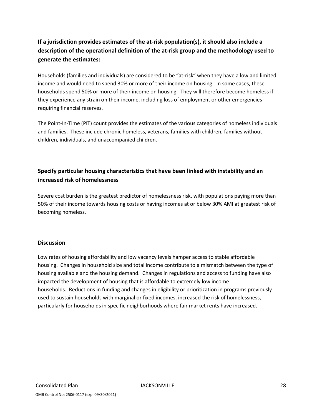# **If a jurisdiction provides estimates of the at-risk population(s), it should also include a description of the operational definition of the at-risk group and the methodology used to generate the estimates:**

Households (families and individuals) are considered to be "at-risk" when they have a low and limited income and would need to spend 30% or more of their income on housing. In some cases, these households spend 50% or more of their income on housing. They will therefore become homeless if they experience any strain on their income, including loss of employment or other emergencies requiring financial reserves.

The Point-In-Time (PIT) count provides the estimates of the various categories of homeless individuals and families. These include chronic homeless, veterans, families with children, families without children, individuals, and unaccompanied children.

# **Specify particular housing characteristics that have been linked with instability and an increased risk of homelessness**

Severe cost burden is the greatest predictor of homelessness risk, with populations paying more than 50% of their income towards housing costs or having incomes at or below 30% AMI at greatest risk of becoming homeless.

## **Discussion**

Low rates of housing affordability and low vacancy levels hamper access to stable affordable housing. Changes in household size and total income contribute to a mismatch between the type of housing available and the housing demand. Changes in regulations and access to funding have also impacted the development of housing that is affordable to extremely low income households. Reductions in funding and changes in eligibility or prioritization in programs previously used to sustain households with marginal or fixed incomes, increased the risk of homelessness, particularly for households in specific neighborhoods where fair market rents have increased.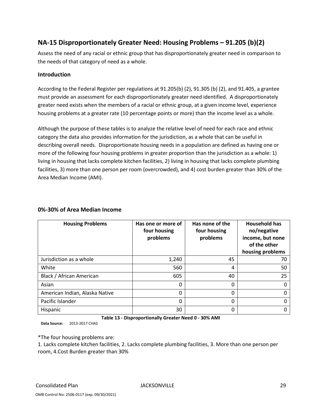# <span id="page-29-0"></span>**NA-15 Disproportionately Greater Need: Housing Problems – 91.205 (b)(2)**

Assess the need of any racial or ethnic group that has disproportionately greater need in comparison to the needs of that category of need as a whole.

## **Introduction**

According to the Federal Register per regulations at 91.205(b) (2), 91.305 (b) (2), and 91.405, a grantee must provide an assessment for each disproportionately greater need identified. A disproportionately greater need exists when the members of a racial or ethnic group, at a given income level, experience housing problems at a greater rate (10 percentage points or more) than the income level as a whole.

Although the purpose of these tables is to analyze the relative level of need for each race and ethnic category the data also provides information for the jurisdiction, as a whole that can be useful in describing overall needs. Disproportionate housing needs in a population are defined as having one or more of the following four housing problems in greater proportion than the jurisdiction as a whole: 1) living in housing that lacks complete kitchen facilities, 2) living in housing that lacks complete plumbing facilities, 3) more than one person per room (overcrowded), and 4) cost burden greater than 30% of the Area Median Income (AMI).

| <b>Housing Problems</b>        | Has one or more of<br>four housing<br>problems | Has none of the<br>four housing<br>problems | <b>Household has</b><br>no/negative<br>income, but none<br>of the other<br>housing problems |
|--------------------------------|------------------------------------------------|---------------------------------------------|---------------------------------------------------------------------------------------------|
| Jurisdiction as a whole        | 1,240                                          | 45                                          | 70                                                                                          |
| White                          | 560                                            | 4                                           | 50                                                                                          |
| Black / African American       | 605                                            | 40                                          | 25                                                                                          |
| Asian                          | 0                                              | 0                                           | 0                                                                                           |
| American Indian, Alaska Native | 0                                              | 0                                           |                                                                                             |
| Pacific Islander               | 0                                              | 0                                           |                                                                                             |
| Hispanic                       | 30                                             | 0                                           |                                                                                             |

## **0%-30% of Area Median Income**

**Table 13 - Disproportionally Greater Need 0 - 30% AMI**

**Data Source:** 2013-2017 CHAS

\*The four housing problems are:

1. Lacks complete kitchen facilities, 2. Lacks complete plumbing facilities, 3. More than one person per room, 4.Cost Burden greater than 30%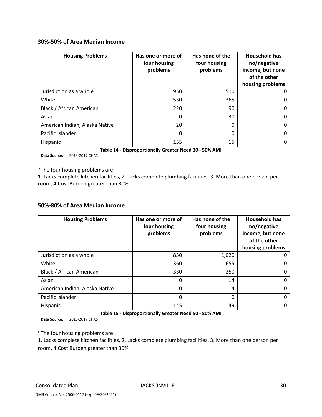## **30%-50% of Area Median Income**

| <b>Housing Problems</b>        | Has one or more of<br>four housing<br>problems | Has none of the<br>four housing<br>problems | <b>Household has</b><br>no/negative<br>income, but none<br>of the other<br>housing problems |
|--------------------------------|------------------------------------------------|---------------------------------------------|---------------------------------------------------------------------------------------------|
| Jurisdiction as a whole        | 950                                            | 510                                         |                                                                                             |
| White                          | 530                                            | 365                                         | Ω                                                                                           |
| Black / African American       | 220                                            | 90                                          | 0                                                                                           |
| Asian                          | 0                                              | 30                                          | 0                                                                                           |
| American Indian, Alaska Native | 20                                             | 0                                           | 0                                                                                           |
| Pacific Islander               | 0                                              | 0                                           | O                                                                                           |
| Hispanic                       | 155                                            | 15                                          |                                                                                             |

**Table 14 - Disproportionally Greater Need 30 - 50% AMI**

**Data Source:** 2013-2017 CHAS

\*The four housing problems are:

1. Lacks complete kitchen facilities, 2. Lacks complete plumbing facilities, 3. More than one person per room, 4.Cost Burden greater than 30%

#### **50%-80% of Area Median Income**

| <b>Housing Problems</b>        | Has one or more of<br>four housing<br>problems | Has none of the<br>four housing<br>problems | <b>Household has</b><br>no/negative<br>income, but none<br>of the other<br>housing problems |
|--------------------------------|------------------------------------------------|---------------------------------------------|---------------------------------------------------------------------------------------------|
| Jurisdiction as a whole        | 850                                            | 1,020                                       |                                                                                             |
| White                          | 360                                            | 655                                         |                                                                                             |
| Black / African American       | 330                                            | 250                                         |                                                                                             |
| Asian                          | 0                                              | 14                                          |                                                                                             |
| American Indian, Alaska Native | 0                                              | 4                                           |                                                                                             |
| Pacific Islander               | 0                                              | 0                                           |                                                                                             |
| Hispanic                       | 145                                            | 49                                          |                                                                                             |

**Table 15 - Disproportionally Greater Need 50 - 80% AMI**

**Data Source:** 2013-2017 CHAS

\*The four housing problems are:

1. Lacks complete kitchen facilities, 2. Lacks complete plumbing facilities, 3. More than one person per room, 4.Cost Burden greater than 30%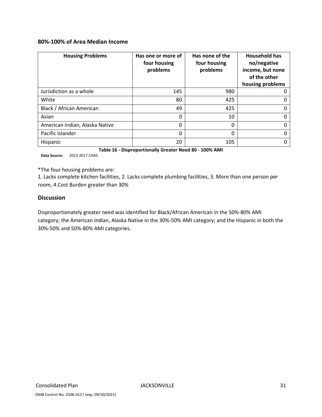### **80%-100% of Area Median Income**

| <b>Housing Problems</b>        | Has one or more of<br>four housing<br>problems | Has none of the<br>four housing<br>problems | <b>Household has</b><br>no/negative<br>income, but none<br>of the other<br>housing problems |
|--------------------------------|------------------------------------------------|---------------------------------------------|---------------------------------------------------------------------------------------------|
| Jurisdiction as a whole        | 145                                            | 980                                         |                                                                                             |
| White                          | 80                                             | 425                                         | 0                                                                                           |
| Black / African American       | 49                                             | 425                                         | 0                                                                                           |
| Asian                          | 0                                              | 10                                          | 0                                                                                           |
| American Indian, Alaska Native | 0                                              | 0                                           | 0                                                                                           |
| Pacific Islander               | 0                                              | 0                                           | O                                                                                           |
| Hispanic                       | 20                                             | 105                                         |                                                                                             |

**Table 16 - Disproportionally Greater Need 80 - 100% AMI**

**Data Source:** 2013-2017 CHAS

\*The four housing problems are:

1. Lacks complete kitchen facilities, 2. Lacks complete plumbing facilities, 3. More than one person per room, 4.Cost Burden greater than 30%

#### **Discussion**

Disproportionately greater need was identified for Black/African American in the 50%-80% AMI category; the American Indian, Alaska Native in the 30%-50% AMI category; and the Hispanic in both the 30%-50% and 50%-80% AMI categories.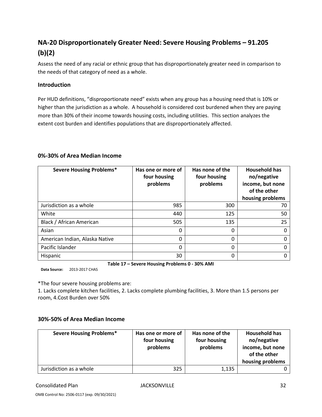# <span id="page-32-0"></span>**NA-20 Disproportionately Greater Need: Severe Housing Problems – 91.205 (b)(2)**

Assess the need of any racial or ethnic group that has disproportionately greater need in comparison to the needs of that category of need as a whole.

## **Introduction**

Per HUD definitions, "disproportionate need" exists when any group has a housing need that is 10% or higher than the jurisdiction as a whole. A household is considered cost burdened when they are paying more than 30% of their income towards housing costs, including utilities. This section analyzes the extent cost burden and identifies populations that are disproportionately affected.

## **0%-30% of Area Median Income**

| <b>Severe Housing Problems*</b> | Has one or more of<br>four housing<br>problems | Has none of the<br>four housing<br>problems | <b>Household has</b><br>no/negative<br>income, but none<br>of the other<br>housing problems |
|---------------------------------|------------------------------------------------|---------------------------------------------|---------------------------------------------------------------------------------------------|
| Jurisdiction as a whole         | 985                                            | 300                                         | 70                                                                                          |
| White                           | 440                                            | 125                                         | 50                                                                                          |
| Black / African American        | 505                                            | 135                                         | 25                                                                                          |
| Asian                           | 0                                              | 0                                           | O                                                                                           |
| American Indian, Alaska Native  | 0                                              | 0                                           |                                                                                             |
| Pacific Islander                | 0                                              | 0                                           |                                                                                             |
| Hispanic                        | 30                                             | 0                                           |                                                                                             |

**Table 17 – Severe Housing Problems 0 - 30% AMI**

**Data Source:** 2013-2017 CHAS

\*The four severe housing problems are:

1. Lacks complete kitchen facilities, 2. Lacks complete plumbing facilities, 3. More than 1.5 persons per room, 4.Cost Burden over 50%

## **30%-50% of Area Median Income**

| <b>Severe Housing Problems*</b> | Has one or more of<br>four housing<br>problems | Has none of the<br>four housing<br>problems | <b>Household has</b><br>no/negative<br>income, but none<br>of the other<br>housing problems |
|---------------------------------|------------------------------------------------|---------------------------------------------|---------------------------------------------------------------------------------------------|
| Jurisdiction as a whole         | 325                                            | 1,135                                       |                                                                                             |

Consolidated Plan JACKSONVILLE 32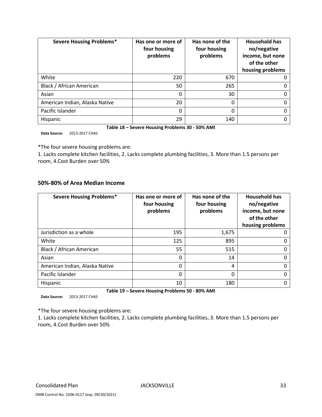| <b>Severe Housing Problems*</b> | Has one or more of<br>four housing<br>problems | Has none of the<br>four housing<br>problems | <b>Household has</b><br>no/negative<br>income, but none<br>of the other<br>housing problems |
|---------------------------------|------------------------------------------------|---------------------------------------------|---------------------------------------------------------------------------------------------|
| White                           | 220                                            | 670                                         |                                                                                             |
| Black / African American        | 50                                             | 265                                         | O                                                                                           |
| Asian                           | 0                                              | 30                                          | 0                                                                                           |
| American Indian, Alaska Native  | 20                                             | 0                                           | O                                                                                           |
| Pacific Islander                | 0                                              | 0                                           | 0                                                                                           |
| Hispanic                        | 29                                             | 140                                         |                                                                                             |

**Table 18 – Severe Housing Problems 30 - 50% AMI**

**Data Source:** 2013-2017 CHAS

\*The four severe housing problems are:

1. Lacks complete kitchen facilities, 2. Lacks complete plumbing facilities, 3. More than 1.5 persons per room, 4.Cost Burden over 50%

#### **50%-80% of Area Median Income**

| <b>Severe Housing Problems*</b> | Has one or more of<br>four housing<br>problems | Has none of the<br>four housing<br>problems | <b>Household has</b><br>no/negative<br>income, but none<br>of the other<br>housing problems |
|---------------------------------|------------------------------------------------|---------------------------------------------|---------------------------------------------------------------------------------------------|
| Jurisdiction as a whole         | 195                                            | 1,675                                       |                                                                                             |
| White                           | 125                                            | 895                                         |                                                                                             |
| Black / African American        | 55                                             | 515                                         |                                                                                             |
| Asian                           | 0                                              | 14                                          |                                                                                             |
| American Indian, Alaska Native  | 0                                              | 4                                           |                                                                                             |
| Pacific Islander                | 0                                              | $\Omega$                                    |                                                                                             |
| Hispanic                        | 10                                             | 180                                         |                                                                                             |

**Table 19 – Severe Housing Problems 50 - 80% AMI**

**Data Source:** 2013-2017 CHAS

\*The four severe housing problems are:

1. Lacks complete kitchen facilities, 2. Lacks complete plumbing facilities, 3. More than 1.5 persons per room, 4.Cost Burden over 50%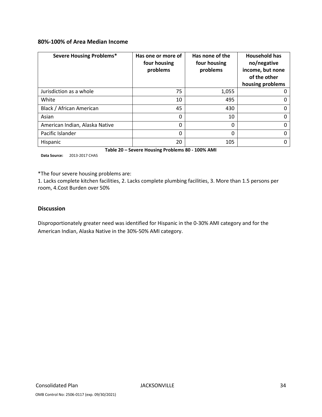## **80%-100% of Area Median Income**

| <b>Severe Housing Problems*</b> | Has one or more of<br>four housing<br>problems | Has none of the<br>four housing<br>problems | <b>Household has</b><br>no/negative<br>income, but none<br>of the other<br>housing problems |
|---------------------------------|------------------------------------------------|---------------------------------------------|---------------------------------------------------------------------------------------------|
| Jurisdiction as a whole         | 75                                             | 1,055                                       |                                                                                             |
| White                           | 10                                             | 495                                         |                                                                                             |
| Black / African American        | 45                                             | 430                                         | Ⴖ                                                                                           |
| Asian                           | 0                                              | 10                                          | Ω                                                                                           |
| American Indian, Alaska Native  | 0                                              | 0                                           | ი                                                                                           |
| Pacific Islander                | 0                                              | 0                                           | Ω                                                                                           |
| Hispanic                        | 20                                             | 105                                         |                                                                                             |

**Table 20 – Severe Housing Problems 80 - 100% AMI**

**Data Source:** 2013-2017 CHAS

\*The four severe housing problems are:

1. Lacks complete kitchen facilities, 2. Lacks complete plumbing facilities, 3. More than 1.5 persons per room, 4.Cost Burden over 50%

#### **Discussion**

Disproportionately greater need was identified for Hispanic in the 0-30% AMI category and for the American Indian, Alaska Native in the 30%-50% AMI category.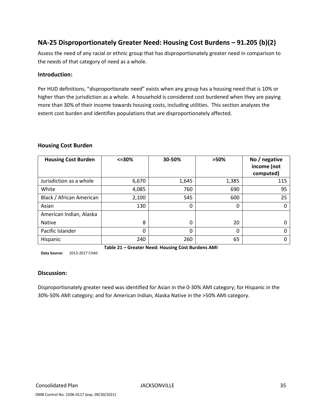# <span id="page-35-0"></span>**NA-25 Disproportionately Greater Need: Housing Cost Burdens – 91.205 (b)(2)**

Assess the need of any racial or ethnic group that has disproportionately greater need in comparison to the needs of that category of need as a whole.

## **Introduction:**

Per HUD definitions, "disproportionate need" exists when any group has a housing need that is 10% or higher than the jurisdiction as a whole. A household is considered cost burdened when they are paying more than 30% of their income towards housing costs, including utilities. This section analyzes the extent cost burden and identifies populations that are disproportionately affected.

#### **Housing Cost Burden**

| <b>Housing Cost Burden</b> | <=30% | 30-50%   | >50%  | No / negative<br>income (not<br>computed) |
|----------------------------|-------|----------|-------|-------------------------------------------|
| Jurisdiction as a whole    | 6,670 | 1,645    | 1,385 | 115                                       |
| White                      | 4,085 | 760      | 690   | 95                                        |
| Black / African American   | 2,100 | 545      | 600   | 25                                        |
| Asian                      | 130   | 0        | 0     |                                           |
| American Indian, Alaska    |       |          |       |                                           |
| <b>Native</b>              | 8     | $\Omega$ | 20    |                                           |
| Pacific Islander           | 0     | $\Omega$ | 0     | O                                         |
| Hispanic                   | 240   | 260      | 65    |                                           |

**Table 21 – Greater Need: Housing Cost Burdens AMI**

**Data Source:** 2013-2017 CHAS

#### **Discussion:**

Disproportionately greater need was identified for Asian in the 0-30% AMI category; for Hispanic in the 30%-50% AMI category; and for American Indian, Alaska Native in the >50% AMI category.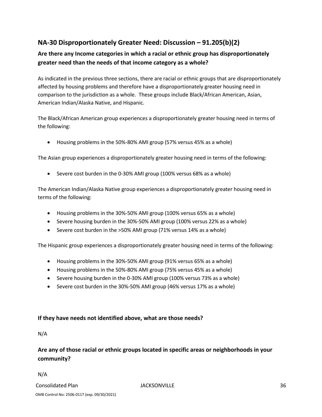## **NA-30 Disproportionately Greater Need: Discussion – 91.205(b)(2)**

## **Are there any Income categories in which a racial or ethnic group has disproportionately greater need than the needs of that income category as a whole?**

As indicated in the previous three sections, there are racial or ethnic groups that are disproportionately affected by housing problems and therefore have a disproportionately greater housing need in comparison to the jurisdiction as a whole. These groups include Black/African American, Asian, American Indian/Alaska Native, and Hispanic.

The Black/African American group experiences a disproportionately greater housing need in terms of the following:

• Housing problems in the 50%-80% AMI group (57% versus 45% as a whole)

The Asian group experiences a disproportionately greater housing need in terms of the following:

• Severe cost burden in the 0-30% AMI group (100% versus 68% as a whole)

The American Indian/Alaska Native group experiences a disproportionately greater housing need in terms of the following:

- Housing problems in the 30%-50% AMI group (100% versus 65% as a whole)
- Severe housing burden in the 30%-50% AMI group (100% versus 22% as a whole)
- Severe cost burden in the >50% AMI group (71% versus 14% as a whole)

The Hispanic group experiences a disproportionately greater housing need in terms of the following:

- Housing problems in the 30%-50% AMI group (91% versus 65% as a whole)
- Housing problems in the 50%-80% AMI group (75% versus 45% as a whole)
- Severe housing burden in the 0-30% AMI group (100% versus 73% as a whole)
- Severe cost burden in the 30%-50% AMI group (46% versus 17% as a whole)

#### **If they have needs not identified above, what are those needs?**

N/A

## **Are any of those racial or ethnic groups located in specific areas or neighborhoods in your community?**

N/A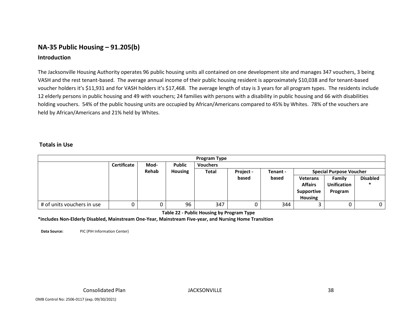## **NA-35 Public Housing – 91.205(b)**

#### **Introduction**

The Jacksonville Housing Authority operates 96 public housing units all contained on one development site and manages 347 vouchers, 3 being VASH and the rest tenant-based. The average annual income of their public housing resident is approximately \$10,038 and for tenant-based voucher holders it's \$11,931 and for VASH holders it's \$17,468. The average length of stay is 3 years for all program types. The residents include 12 elderly persons in public housing and 49 with vouchers; 24 families with persons with a disability in public housing and 66 with disabilities holding vouchers. 54% of the public housing units are occupied by African/Americans compared to 45% by Whites. 78% of the vouchers are held by African/Americans and 21% held by Whites.

#### **Totals in Use**

| Program Type               |                    |       |                         |                 |           |       |                                |                    |                 |
|----------------------------|--------------------|-------|-------------------------|-----------------|-----------|-------|--------------------------------|--------------------|-----------------|
|                            | <b>Certificate</b> | Mod-  | <b>Public</b>           | <b>Vouchers</b> |           |       |                                |                    |                 |
|                            |                    | Rehab | <b>Housing</b><br>Total |                 | Project - |       | <b>Special Purpose Voucher</b> |                    |                 |
|                            |                    |       |                         |                 | based     | based | <b>Veterans</b>                | Family             | <b>Disabled</b> |
|                            |                    |       |                         |                 |           |       | <b>Affairs</b>                 | <b>Unification</b> | *               |
|                            |                    |       |                         |                 |           |       | Supportive                     | Program            |                 |
|                            |                    |       |                         |                 |           |       | <b>Housing</b>                 |                    |                 |
| # of units vouchers in use | 0                  |       | 96                      | 347             |           | 344   |                                |                    |                 |

**Table 22 - Public Housing by Program Type**

**\*includes Non-Elderly Disabled, Mainstream One-Year, Mainstream Five-year, and Nursing Home Transition**

**Data Source:** PIC (PIH Information Center)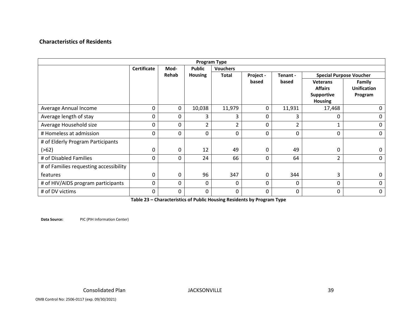#### **Characteristics of Residents**

| <b>Program Type</b>                    |                    |              |                |                 |           |          |                                                                          |                                         |  |  |
|----------------------------------------|--------------------|--------------|----------------|-----------------|-----------|----------|--------------------------------------------------------------------------|-----------------------------------------|--|--|
|                                        | <b>Certificate</b> | Mod-         | <b>Public</b>  | <b>Vouchers</b> |           |          |                                                                          |                                         |  |  |
|                                        |                    | Rehab        | <b>Housing</b> | <b>Total</b>    | Project - | Tenant - |                                                                          | <b>Special Purpose Voucher</b>          |  |  |
|                                        |                    |              |                |                 | based     | based    | <b>Veterans</b><br><b>Affairs</b><br><b>Supportive</b><br><b>Housing</b> | Family<br><b>Unification</b><br>Program |  |  |
| Average Annual Income                  | 0                  | $\pmb{0}$    | 10,038         | 11,979          | 0         | 11,931   | 17,468                                                                   |                                         |  |  |
| Average length of stay                 | 0                  | 0            | 3              | 3               | 0         | 3        | 0                                                                        | 0                                       |  |  |
| Average Household size                 | 0                  | $\mathbf 0$  | 2              | 2               | $\Omega$  | 2        |                                                                          | 0                                       |  |  |
| # Homeless at admission                | 0                  | 0            | 0              | 0               | 0         | 0        | 0                                                                        | 0                                       |  |  |
| # of Elderly Program Participants      |                    |              |                |                 |           |          |                                                                          |                                         |  |  |
| ( > 62)                                | 0                  | 0            | 12             | 49              | 0         | 49       | 0                                                                        | 0                                       |  |  |
| # of Disabled Families                 | 0                  | $\mathbf{0}$ | 24             | 66              | $\Omega$  | 64       | 2                                                                        | $\mathbf{0}$                            |  |  |
| # of Families requesting accessibility |                    |              |                |                 |           |          |                                                                          |                                         |  |  |
| features                               | 0                  | 0            | 96             | 347             | 0         | 344      | 3                                                                        | 0                                       |  |  |
| # of HIV/AIDS program participants     | 0                  | $\mathbf 0$  | 0              | 0               | 0         | 0        | 0                                                                        | 0                                       |  |  |
| # of DV victims                        | 0                  | 0            | 0              | $\mathbf 0$     | 0         | 0        | 0                                                                        | 0                                       |  |  |

**Table 23 – Characteristics of Public Housing Residents by Program Type** 

**Data Source:** PIC (PIH Information Center)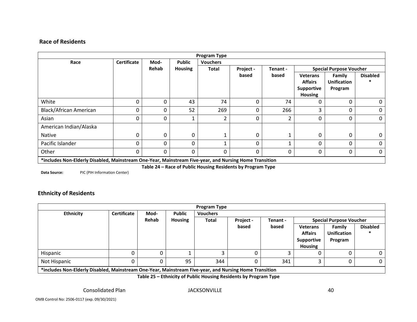#### **Race of Residents**

| <b>Program Type</b>                                                                                    |                    |          |                |                 |              |              |                                                                          |                                         |                 |
|--------------------------------------------------------------------------------------------------------|--------------------|----------|----------------|-----------------|--------------|--------------|--------------------------------------------------------------------------|-----------------------------------------|-----------------|
| Race                                                                                                   | <b>Certificate</b> | Mod-     |                | <b>Vouchers</b> |              |              |                                                                          |                                         |                 |
|                                                                                                        |                    | Rehab    | <b>Housing</b> | Total           | Project -    | Tenant -     |                                                                          | <b>Special Purpose Voucher</b>          |                 |
|                                                                                                        |                    |          |                |                 | based        | based        | <b>Veterans</b><br><b>Affairs</b><br><b>Supportive</b><br><b>Housing</b> | Family<br><b>Unification</b><br>Program | <b>Disabled</b> |
| White                                                                                                  | 0                  | 0        | 43             | 74              | 0            | 74           | 0                                                                        | 0                                       | 0               |
| <b>Black/African American</b>                                                                          | 0                  | 0        | 52             | 269             | 0            | 266          | 3                                                                        | 0                                       | 0               |
| Asian                                                                                                  | ი                  | O        |                | $\overline{2}$  | $\mathbf{0}$ | 2            | 0                                                                        | 0                                       | 0               |
| American Indian/Alaska                                                                                 |                    |          |                |                 |              |              |                                                                          |                                         |                 |
| <b>Native</b>                                                                                          | O                  | $\Omega$ | 0              | 1               | 0            | $\mathbf{1}$ | 0                                                                        | 0                                       | 0               |
| Pacific Islander                                                                                       | 0                  | 0        | 0              | 1               | 0            | $\mathbf{1}$ | 0                                                                        | 0                                       | 0               |
| Other                                                                                                  | 0                  | 0        | 0              | $\mathbf{0}$    | 0            | 0            | 0                                                                        | 0                                       | 0               |
| *includes Non-Elderly Disabled, Mainstream One-Year, Mainstream Five-year, and Nursing Home Transition |                    |          |                |                 |              |              |                                                                          |                                         |                 |

**Table 24 – Race of Public Housing Residents by Program Type**

**Data Source:** PIC (PIH Information Center)

#### **Ethnicity of Residents**

| <b>Program Type</b>                                                                                                   |                    |       |                |                 |           |          |                                   |                                |                 |
|-----------------------------------------------------------------------------------------------------------------------|--------------------|-------|----------------|-----------------|-----------|----------|-----------------------------------|--------------------------------|-----------------|
| <b>Ethnicity</b>                                                                                                      | <b>Certificate</b> | Mod-  | <b>Public</b>  | <b>Vouchers</b> |           |          |                                   |                                |                 |
|                                                                                                                       |                    | Rehab | <b>Housing</b> | <b>Total</b>    | Project - | Tenant - |                                   | <b>Special Purpose Voucher</b> |                 |
|                                                                                                                       |                    |       |                |                 | based     | based    | <b>Veterans</b><br><b>Affairs</b> | Family<br><b>Unification</b>   | <b>Disabled</b> |
|                                                                                                                       |                    |       |                |                 |           |          | Supportive<br><b>Housing</b>      | Program                        |                 |
| Hispanic                                                                                                              | U                  |       |                |                 |           |          |                                   |                                |                 |
| Not Hispanic                                                                                                          | U                  |       | 95             | 344             |           | 341      | ◠                                 |                                |                 |
| the dealer area. Flabelly Michled, and there can Alexander and there are Fire area. The holder and are more more than |                    |       |                |                 |           |          |                                   |                                |                 |

**\*includes Non-Elderly Disabled, Mainstream One-Year, Mainstream Five-year, and Nursing Home Transition**

**Table 25 – Ethnicity of Public Housing Residents by Program Type**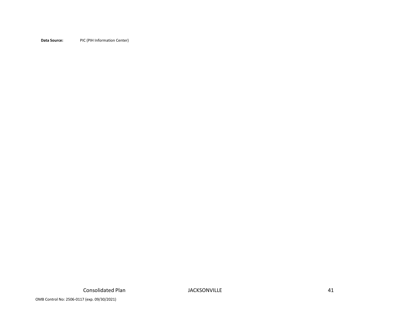**Data Source:** PIC (PIH Information Center)

OMB Control No: 2506-0117 (exp. 09/30/2021)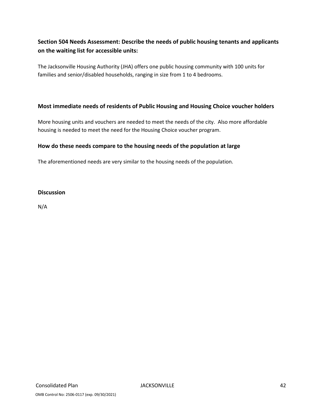## **Section 504 Needs Assessment: Describe the needs of public housing tenants and applicants on the waiting list for accessible units:**

The Jacksonville Housing Authority (JHA) offers one public housing community with 100 units for families and senior/disabled households, ranging in size from 1 to 4 bedrooms.

#### **Most immediate needs of residents of Public Housing and Housing Choice voucher holders**

More housing units and vouchers are needed to meet the needs of the city. Also more affordable housing is needed to meet the need for the Housing Choice voucher program.

#### **How do these needs compare to the housing needs of the population at large**

The aforementioned needs are very similar to the housing needs of the population.

#### **Discussion**

N/A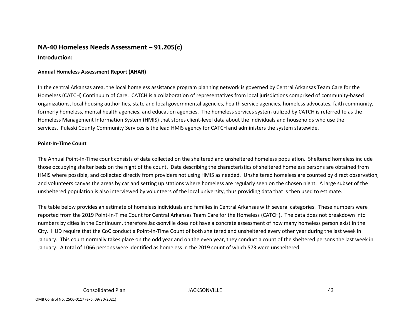## **NA-40 Homeless Needs Assessment – 91.205(c) Introduction:**

#### **Annual Homeless Assessment Report (AHAR)**

In the central Arkansas area, the local homeless assistance program planning network is governed by Central Arkansas Team Care for the Homeless (CATCH) Continuum of Care. CATCH is a collaboration of representatives from local jurisdictions comprised of community-based organizations, local housing authorities, state and local governmental agencies, health service agencies, homeless advocates, faith community, formerly homeless, mental health agencies, and education agencies. The homeless services system utilized by CATCH is referred to as the Homeless Management Information System (HMIS) that stores client-level data about the individuals and households who use the services. Pulaski County Community Services is the lead HMIS agency for CATCH and administers the system statewide.

#### **Point-In-Time Count**

The Annual Point-In-Time count consists of data collected on the sheltered and unsheltered homeless population. Sheltered homeless include those occupying shelter beds on the night of the count. Data describing the characteristics of sheltered homeless persons are obtained from HMIS where possible, and collected directly from providers not using HMIS as needed. Unsheltered homeless are counted by direct observation, and volunteers canvas the areas by car and setting up stations where homeless are regularly seen on the chosen night. A large subset of the unsheltered population is also interviewed by volunteers of the local university, thus providing data that is then used to estimate.

The table below provides an estimate of homeless individuals and families in Central Arkansas with several categories. These numbers were reported from the 2019 Point-In-Time Count for Central Arkansas Team Care for the Homeless (CATCH). The data does not breakdown into numbers by cities in the Continuum, therefore Jacksonville does not have a concrete assessment of how many homeless person exist in the City. HUD require that the CoC conduct a Point-In-Time Count of both sheltered and unsheltered every other year during the last week in January. This count normally takes place on the odd year and on the even year, they conduct a count of the sheltered persons the last week in January. A total of 1066 persons were identified as homeless in the 2019 count of which 573 were unsheltered.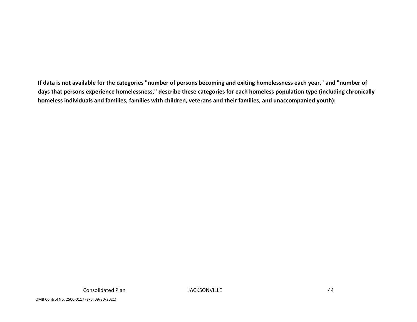**If data is not available for the categories "number of persons becoming and exiting homelessness each year," and "number of days that persons experience homelessness," describe these categories for each homeless population type (including chronically homeless individuals and families, families with children, veterans and their families, and unaccompanied youth):**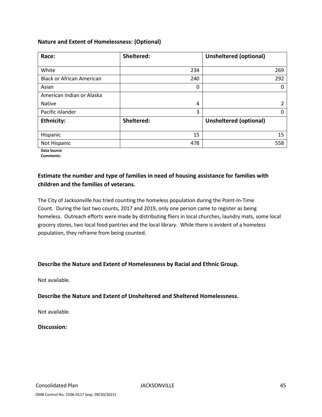**Nature and Extent of Homelessness: (Optional)**

| Race:                            | Sheltered: | <b>Unsheltered (optional)</b> |
|----------------------------------|------------|-------------------------------|
|                                  |            |                               |
| White                            | 234        | 269                           |
| <b>Black or African American</b> | 240        | 292                           |
| Asian                            | 0          | O                             |
| American Indian or Alaska        |            |                               |
| <b>Native</b>                    | 4          |                               |
| Pacific Islander                 | 3          | 0                             |
| <b>Ethnicity:</b>                | Sheltered: | Unsheltered (optional)        |
|                                  |            |                               |
| Hispanic                         | 15         | 15                            |
| Not Hispanic                     | 478        | 558                           |

**Data Source** 

**Comments:**

## **Estimate the number and type of families in need of housing assistance for families with children and the families of veterans.**

The City of Jacksonville has tried counting the homeless population during the Point-In-Time Count. During the last two counts, 2017 and 2019, only one person came to register as being homeless. Outreach efforts were made by distributing fliers in local churches, laundry mats, some local grocery stores, two local food pantries and the local library. While there is evident of a homeless population, they reframe from being counted.

#### **Describe the Nature and Extent of Homelessness by Racial and Ethnic Group.**

Not available.

#### **Describe the Nature and Extent of Unsheltered and Sheltered Homelessness.**

Not available.

#### **Discussion:**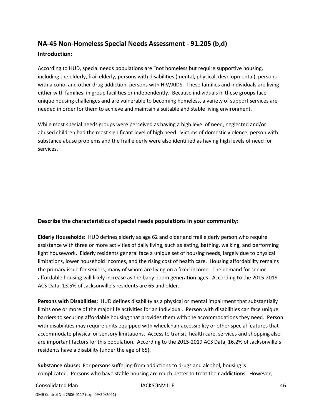# **NA-45 Non-Homeless Special Needs Assessment - 91.205 (b,d)**

#### **Introduction:**

According to HUD, special needs populations are "not homeless but require supportive housing, including the elderly, frail elderly, persons with disabilities (mental, physical, developmental), persons with alcohol and other drug addiction, persons with HIV/AIDS. These families and individuals are living either with families, in group facilities or independently. Because individuals in these groups face unique housing challenges and are vulnerable to becoming homeless, a variety of support services are needed in order for them to achieve and maintain a suitable and stable living environment.

While most special needs groups were perceived as having a high level of need, neglected and/or abused children had the most significant level of high need. Victims of domestic violence, person with substance abuse problems and the frail elderly were also identified as having high levels of need for services.

#### **Describe the characteristics of special needs populations in your community:**

**Elderly Households:** HUD defines elderly as age 62 and older and frail elderly person who require assistance with three or more activities of daily living, such as eating, bathing, walking, and performing light housework. Elderly residents general face a unique set of housing needs, largely due to physical limitations, lower household incomes, and the rising cost of health care. Housing affordability remains the primary issue for seniors, many of whom are living on a fixed income. The demand for senior affordable housing will likely increase as the baby boom generation ages. According to the 2015-2019 ACS Data, 13.5% of Jacksonville's residents are 65 and older.

**Persons with Disabilities:** HUD defines disability as a physical or mental impairment that substantially limits one or more of the major life activities for an individual. Person with disabilities can face unique barriers to securing affordable housing that provides them with the accommodations they need. Person with disabilities may require units equipped with wheelchair accessibility or other special features that accommodate physical or sensory limitations. Access to transit, health care, services and shopping also are important factors for this population. According to the 2015-2019 ACS Data, 16.2% of Jacksonville's residents have a disability (under the age of 65).

**Substance Abuse:** For persons suffering from addictions to drugs and alcohol, housing is complicated. Persons who have stable housing are much better to treat their addictions. However,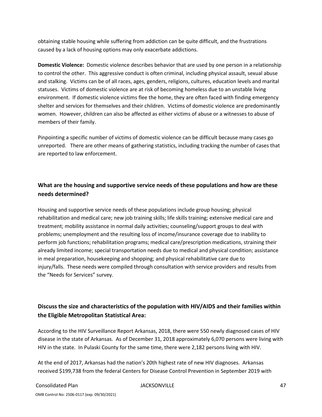obtaining stable housing while suffering from addiction can be quite difficult, and the frustrations caused by a lack of housing options may only exacerbate addictions.

**Domestic Violence:** Domestic violence describes behavior that are used by one person in a relationship to control the other. This aggressive conduct is often criminal, including physical assault, sexual abuse and stalking. Victims can be of all races, ages, genders, religions, cultures, education levels and marital statuses. Victims of domestic violence are at risk of becoming homeless due to an unstable living environment. If domestic violence victims flee the home, they are often faced with finding emergency shelter and services for themselves and their children. Victims of domestic violence are predominantly women. However, children can also be affected as either victims of abuse or a witnesses to abuse of members of their family.

Pinpointing a specific number of victims of domestic violence can be difficult because many cases go unreported. There are other means of gathering statistics, including tracking the number of cases that are reported to law enforcement.

## **What are the housing and supportive service needs of these populations and how are these needs determined?**

Housing and supportive service needs of these populations include group housing; physical rehabilitation and medical care; new job training skills; life skills training; extensive medical care and treatment; mobility assistance in normal daily activities; counseling/support groups to deal with problems; unemployment and the resulting loss of income/insurance coverage due to inability to perform job functions; rehabilitation programs; medical care/prescription medications, straining their already limited income; special transportation needs due to medical and physical condition; assistance in meal preparation, housekeeping and shopping; and physical rehabilitative care due to injury/falls. These needs were compiled through consultation with service providers and results from the "Needs for Services" survey.

## **Discuss the size and characteristics of the population with HIV/AIDS and their families within the Eligible Metropolitan Statistical Area:**

According to the HIV Surveillance Report Arkansas, 2018, there were 550 newly diagnosed cases of HIV disease in the state of Arkansas. As of December 31, 2018 approximately 6,070 persons were living with HIV in the state. In Pulaski County for the same time, there were 2,182 persons living with HIV.

At the end of 2017, Arkansas had the nation's 20th highest rate of new HIV diagnoses. Arkansas received \$199,738 from the federal Centers for Disease Control Prevention in September 2019 with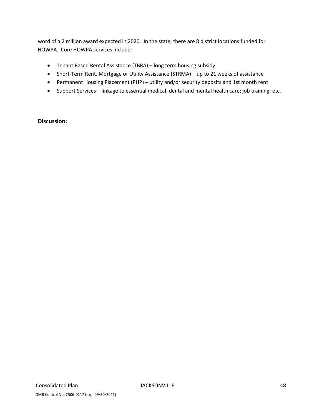word of a 2 million award expected in 2020. In the state, there are 8 district locations funded for HOWPA. Core HOWPA services include:

- Tenant Based Rental Assistance (TBRA) long term housing subsidy
- Short-Term Rent, Mortgage or Utility Assistance (STRMA) up to 21 weeks of assistance
- Permanent Housing Placement (PHP) utility and/or security deposits and 1st month rent
- Support Services linkage to essential medical, dental and mental health care; job training; etc.

#### **Discussion:**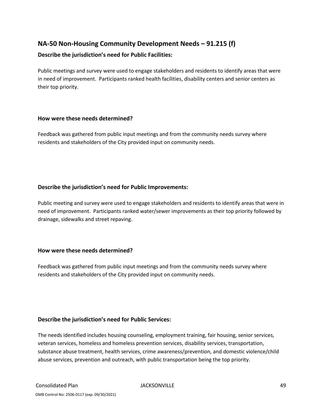## **NA-50 Non-Housing Community Development Needs – 91.215 (f)**

#### **Describe the jurisdiction's need for Public Facilities:**

Public meetings and survey were used to engage stakeholders and residents to identify areas that were in need of improvement. Participants ranked health facilities, disability centers and senior centers as their top priority.

#### **How were these needs determined?**

Feedback was gathered from public input meetings and from the community needs survey where residents and stakeholders of the City provided input on community needs.

#### **Describe the jurisdiction's need for Public Improvements:**

Public meeting and survey were used to engage stakeholders and residents to identify areas that were in need of improvement. Participants ranked water/sewer improvements as their top priority followed by drainage, sidewalks and street repaving.

#### **How were these needs determined?**

Feedback was gathered from public input meetings and from the community needs survey where residents and stakeholders of the City provided input on community needs.

#### **Describe the jurisdiction's need for Public Services:**

The needs identified includes housing counseling, employment training, fair housing, senior services, veteran services, homeless and homeless prevention services, disability services, transportation, substance abuse treatment, health services, crime awareness/prevention, and domestic violence/child abuse services, prevention and outreach, with public transportation being the top priority.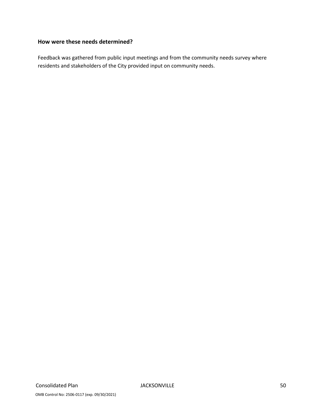#### **How were these needs determined?**

Feedback was gathered from public input meetings and from the community needs survey where residents and stakeholders of the City provided input on community needs.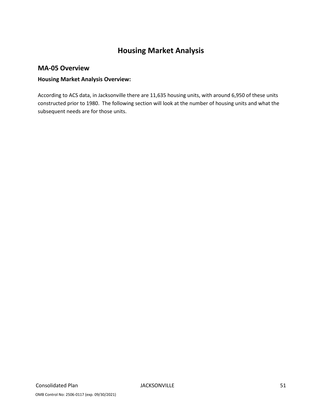# **Housing Market Analysis**

### **MA-05 Overview**

### **Housing Market Analysis Overview:**

According to ACS data, in Jacksonville there are 11,635 housing units, with around 6,950 of these units constructed prior to 1980. The following section will look at the number of housing units and what the subsequent needs are for those units.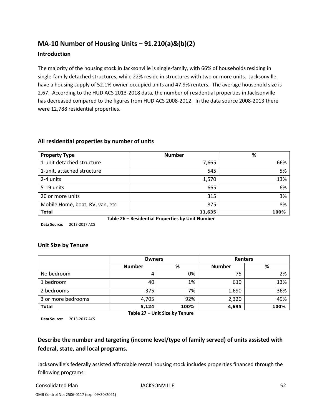## **MA-10 Number of Housing Units – 91.210(a)&(b)(2)**

#### **Introduction**

The majority of the housing stock in Jacksonville is single-family, with 66% of households residing in single-family detached structures, while 22% reside in structures with two or more units. Jacksonville have a housing supply of 52.1% owner-occupied units and 47.9% renters. The average household size is 2.67. According to the HUD ACS 2013-2018 data, the number of residential properties in Jacksonville has decreased compared to the figures from HUD ACS 2008-2012. In the data source 2008-2013 there were 12,788 residential properties.

| <b>Property Type</b>            | <b>Number</b>                                    | %    |
|---------------------------------|--------------------------------------------------|------|
| 1-unit detached structure       | 7,665                                            | 66%  |
| 1-unit, attached structure      | 545                                              | 5%   |
| 2-4 units                       | 1,570                                            | 13%  |
| 5-19 units                      | 665                                              | 6%   |
| 20 or more units                | 315                                              | 3%   |
| Mobile Home, boat, RV, van, etc | 875                                              | 8%   |
| <b>Total</b>                    | 11,635                                           | 100% |
|                                 | Table 26 – Residential Properties by Unit Number |      |

#### **All residential properties by number of units**

**Data Source:** 2013-2017 ACS

#### **Unit Size by Tenure**

|                    | <b>Owners</b> |      | <b>Renters</b> |      |  |
|--------------------|---------------|------|----------------|------|--|
|                    | <b>Number</b> | %    | <b>Number</b>  | %    |  |
| No bedroom         | 4             | 0%   | 75             | 2%   |  |
| 1 bedroom          | 40            | 1%   | 610            | 13%  |  |
| 2 bedrooms         | 375           | 7%   | 1,690          | 36%  |  |
| 3 or more bedrooms | 4,705         | 92%  | 2,320          | 49%  |  |
| <b>Total</b>       | 5,124         | 100% | 4,695          | 100% |  |

**Table 27 – Unit Size by Tenure**

**Data Source:** 2013-2017 ACS

## **Describe the number and targeting (income level/type of family served) of units assisted with federal, state, and local programs.**

Jacksonville's federally assisted affordable rental housing stock includes properties financed through the following programs:

Consolidated Plan 52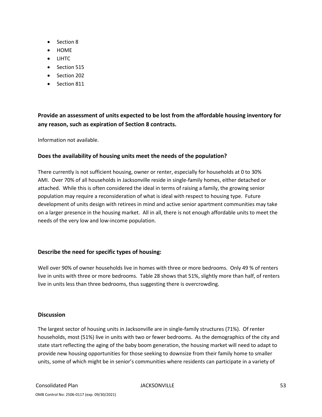- Section 8
- HOME
- LIHTC
- Section 515
- Section 202
- Section 811

## **Provide an assessment of units expected to be lost from the affordable housing inventory for any reason, such as expiration of Section 8 contracts.**

Information not available.

### **Does the availability of housing units meet the needs of the population?**

There currently is not sufficient housing, owner or renter, especially for households at 0 to 30% AMI. Over 70% of all households in Jacksonville reside in single-family homes, either detached or attached. While this is often considered the ideal in terms of raising a family, the growing senior population may require a reconsideration of what is ideal with respect to housing type. Future development of units design with retirees in mind and active senior apartment communities may take on a larger presence in the housing market. All in all, there is not enough affordable units to meet the needs of the very low and low-income population.

### **Describe the need for specific types of housing:**

Well over 90% of owner households live in homes with three or more bedrooms. Only 49 % of renters live in units with three or more bedrooms. Table 28 shows that 51%, slightly more than half, of renters live in units less than three bedrooms, thus suggesting there is overcrowding.

#### **Discussion**

The largest sector of housing units in Jacksonville are in single-family structures (71%). Of renter households, most (51%) live in units with two or fewer bedrooms. As the demographics of the city and state start reflecting the aging of the baby boom generation, the housing market will need to adapt to provide new housing opportunities for those seeking to downsize from their family home to smaller units, some of which might be in senior's communities where residents can participate in a variety of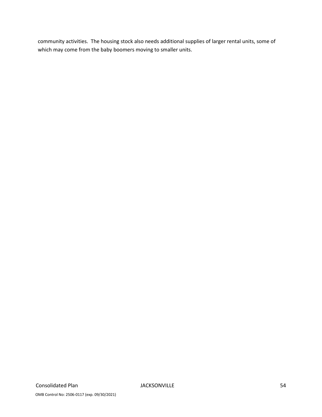community activities. The housing stock also needs additional supplies of larger rental units, some of which may come from the baby boomers moving to smaller units.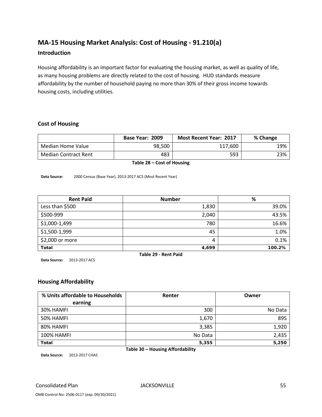## **MA-15 Housing Market Analysis: Cost of Housing - 91.210(a)**

#### **Introduction**

Housing affordability is an important factor for evaluating the housing market, as well as quality of life, as many housing problems are directly related to the cost of housing. HUD standards measure affordability by the number of household paying no more than 30% of their gross income towards housing costs, including utilities.

#### **Cost of Housing**

|                      | Base Year: 2009 | <b>Most Recent Year: 2017</b> | % Change |
|----------------------|-----------------|-------------------------------|----------|
| Median Home Value    | 98,500          | 117.600                       | 19%      |
| Median Contract Rent | 483             | 593                           | 23%      |

**Table 28 – Cost of Housing**

**Data Source:** 2000 Census (Base Year), 2013-2017 ACS (Most Recent Year)

| <b>Rent Paid</b>     | <b>Number</b> | %      |  |  |  |  |
|----------------------|---------------|--------|--|--|--|--|
| Less than \$500      | 1,830         | 39.0%  |  |  |  |  |
| \$500-999            | 2,040         | 43.5%  |  |  |  |  |
| \$1,000-1,499        | 780           | 16.6%  |  |  |  |  |
| \$1,500-1,999        | 45            | 1.0%   |  |  |  |  |
| \$2,000 or more      | 4             | 0.1%   |  |  |  |  |
| <b>Total</b>         | 4,699         | 100.2% |  |  |  |  |
| Table 29 - Rent Paid |               |        |  |  |  |  |

**Data Source:** 2013-2017 ACS

#### **Housing Affordability**

| % Units affordable to Households | Renter  | Owner   |
|----------------------------------|---------|---------|
| earning                          |         |         |
| 30% HAMFI                        | 300     | No Data |
| 50% HAMFI                        | 1,670   | 895     |
| 80% HAMFI                        | 3,385   | 1,920   |
| <b>100% HAMFI</b>                | No Data | 2,435   |
| <b>Total</b>                     | 5,355   | 5,250   |

**Table 30 – Housing Affordability**

**Data Source:** 2013-2017 CHAS

OMB Control No: 2506-0117 (exp. 09/30/2021)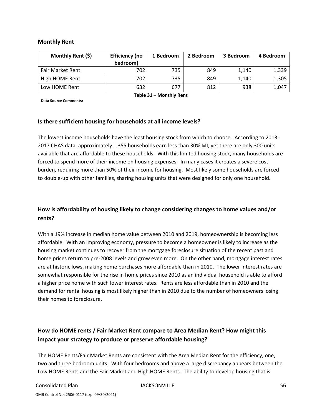#### **Monthly Rent**

| Monthly Rent (\$)       | <b>Efficiency (no</b><br>bedroom) | 1 Bedroom | 2 Bedroom | 3 Bedroom | 4 Bedroom |
|-------------------------|-----------------------------------|-----------|-----------|-----------|-----------|
| <b>Fair Market Rent</b> | 702                               | 735       | 849       | 1.140     | 1,339     |
| High HOME Rent          | 702                               | 735       | 849       | 1.140     | 1,305     |
| Low HOME Rent           | 632                               | 677       | 812       | 938       | 1,047     |

**Data Source Comments:**

**Table 31 – Monthly Rent**

#### **Is there sufficient housing for households at all income levels?**

The lowest income households have the least housing stock from which to choose. According to 2013- 2017 CHAS data, approximately 1,355 households earn less than 30% MI, yet there are only 300 units available that are affordable to these households. With this limited housing stock, many households are forced to spend more of their income on housing expenses. In many cases it creates a severe cost burden, requiring more than 50% of their income for housing. Most likely some households are forced to double-up with other families, sharing housing units that were designed for only one household.

## **How is affordability of housing likely to change considering changes to home values and/or rents?**

With a 19% increase in median home value between 2010 and 2019, homeownership is becoming less affordable. With an improving economy, pressure to become a homeowner is likely to increase as the housing market continues to recover from the mortgage foreclosure situation of the recent past and home prices return to pre-2008 levels and grow even more. On the other hand, mortgage interest rates are at historic lows, making home purchases more affordable than in 2010. The lower interest rates are somewhat responsible for the rise in home prices since 2010 as an individual household is able to afford a higher price home with such lower interest rates. Rents are less affordable than in 2010 and the demand for rental housing is most likely higher than in 2010 due to the number of homeowners losing their homes to foreclosure.

## **How do HOME rents / Fair Market Rent compare to Area Median Rent? How might this impact your strategy to produce or preserve affordable housing?**

The HOME Rents/Fair Market Rents are consistent with the Area Median Rent for the efficiency, one, two and three bedroom units. With four bedrooms and above a large discrepancy appears between the Low HOME Rents and the Fair Market and High HOME Rents. The ability to develop housing that is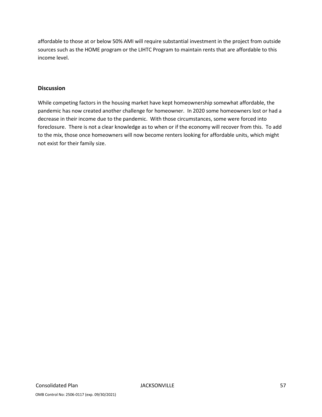affordable to those at or below 50% AMI will require substantial investment in the project from outside sources such as the HOME program or the LIHTC Program to maintain rents that are affordable to this income level.

#### **Discussion**

While competing factors in the housing market have kept homeownership somewhat affordable, the pandemic has now created another challenge for homeowner. In 2020 some homeowners lost or had a decrease in their income due to the pandemic. With those circumstances, some were forced into foreclosure. There is not a clear knowledge as to when or if the economy will recover from this. To add to the mix, those once homeowners will now become renters looking for affordable units, which might not exist for their family size.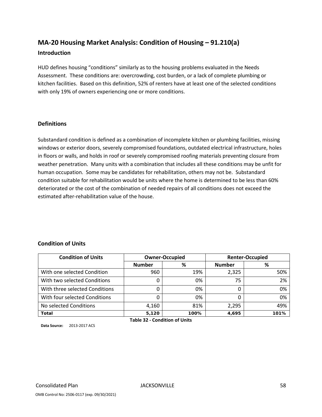# **MA-20 Housing Market Analysis: Condition of Housing – 91.210(a) Introduction**

HUD defines housing "conditions" similarly as to the housing problems evaluated in the Needs Assessment. These conditions are: overcrowding, cost burden, or a lack of complete plumbing or kitchen facilities. Based on this definition, 52% of renters have at least one of the selected conditions with only 19% of owners experiencing one or more conditions.

#### **Definitions**

Substandard condition is defined as a combination of incomplete kitchen or plumbing facilities, missing windows or exterior doors, severely compromised foundations, outdated electrical infrastructure, holes in floors or walls, and holds in roof or severely compromised roofing materials preventing closure from weather penetration. Many units with a combination that includes all these conditions may be unfit for human occupation. Some may be candidates for rehabilitation, others may not be. Substandard condition suitable for rehabilitation would be units where the home is determined to be less than 60% deteriorated or the cost of the combination of needed repairs of all conditions does not exceed the estimated after-rehabilitation value of the house.

#### **Condition of Units**

| <b>Condition of Units</b>      |                                      | <b>Owner-Occupied</b> | <b>Renter-Occupied</b> |      |  |
|--------------------------------|--------------------------------------|-----------------------|------------------------|------|--|
|                                | <b>Number</b>                        | %                     | <b>Number</b>          | %    |  |
| With one selected Condition    | 960                                  | 19%                   | 2,325                  | 50%  |  |
| With two selected Conditions   |                                      | 0%                    | 75                     | 2%   |  |
| With three selected Conditions |                                      | 0%                    | 0                      | 0%   |  |
| With four selected Conditions  |                                      | 0%                    |                        | 0%   |  |
| No selected Conditions         | 4,160                                | 81%                   | 2,295                  | 49%  |  |
| <b>Total</b>                   | 5,120                                | 100%                  | 4,695                  | 101% |  |
|                                | <b>Table 32 - Condition of Units</b> |                       |                        |      |  |

**Data Source:** 2013-2017 ACS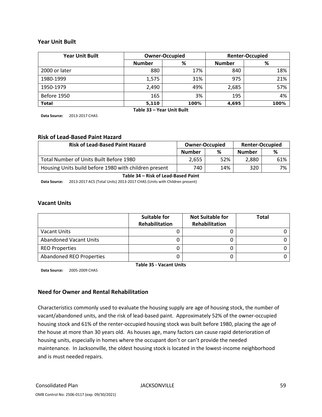#### **Year Unit Built**

| <b>Year Unit Built</b> |               | <b>Owner-Occupied</b> | <b>Renter-Occupied</b> |      |  |
|------------------------|---------------|-----------------------|------------------------|------|--|
|                        | <b>Number</b> | %                     | <b>Number</b>          | %    |  |
| 2000 or later          | 880           | 17%                   | 840                    | 18%  |  |
| 1980-1999              | 1,575         | 31%                   | 975                    | 21%  |  |
| 1950-1979              | 2,490         | 49%                   | 2,685                  | 57%  |  |
| Before 1950            | 165           | 3%                    | 195                    | 4%   |  |
| <b>Total</b>           | 5,110         | 100%                  | 4,695                  | 100% |  |

**Table 33 – Year Unit Built Data Source:** 2013-2017 CHAS

#### **Risk of Lead-Based Paint Hazard**

| <b>Risk of Lead-Based Paint Hazard</b>                | <b>Owner-Occupied</b> |     | <b>Renter-Occupied</b> |           |
|-------------------------------------------------------|-----------------------|-----|------------------------|-----------|
|                                                       | <b>Number</b>         | %   | <b>Number</b>          | %         |
| Total Number of Units Built Before 1980               | 2.655                 | 52% | 2,880                  | 61%       |
| Housing Units build before 1980 with children present | 740                   | 14% | 320                    | <b>7%</b> |

**Table 34 – Risk of Lead-Based Paint**

**Data Source:** 2013-2017 ACS (Total Units) 2013-2017 CHAS (Units with Children present)

#### **Vacant Units**

|                               | Suitable for<br><b>Rehabilitation</b> | <b>Not Suitable for</b><br><b>Rehabilitation</b> | Total |
|-------------------------------|---------------------------------------|--------------------------------------------------|-------|
| Vacant Units                  |                                       |                                                  |       |
| <b>Abandoned Vacant Units</b> |                                       |                                                  |       |
| <b>REO Properties</b>         |                                       |                                                  |       |
| Abandoned REO Properties      |                                       |                                                  |       |

**Data Source:** 2005-2009 CHAS

**Table 35 - Vacant Units**

#### **Need for Owner and Rental Rehabilitation**

Characteristics commonly used to evaluate the housing supply are age of housing stock, the number of vacant/abandoned units, and the risk of lead-based paint. Approximately 52% of the owner-occupied housing stock and 61% of the renter-occupied housing stock was built before 1980, placing the age of the house at more than 30 years old. As houses age, many factors can cause rapid deterioration of housing units, especially in homes where the occupant don't or can't provide the needed maintenance. In Jacksonville, the oldest housing stock is located in the lowest-income neighborhood and is must needed repairs.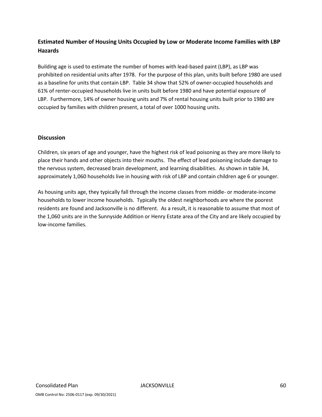## **Estimated Number of Housing Units Occupied by Low or Moderate Income Families with LBP Hazards**

Building age is used to estimate the number of homes with lead-based paint (LBP), as LBP was prohibited on residential units after 1978. For the purpose of this plan, units built before 1980 are used as a baseline for units that contain LBP. Table 34 show that 52% of owner-occupied households and 61% of renter-occupied households live in units built before 1980 and have potential exposure of LBP. Furthermore, 14% of owner housing units and 7% of rental housing units built prior to 1980 are occupied by families with children present, a total of over 1000 housing units.

#### **Discussion**

Children, six years of age and younger, have the highest risk of lead poisoning as they are more likely to place their hands and other objects into their mouths. The effect of lead poisoning include damage to the nervous system, decreased brain development, and learning disabilities. As shown in table 34, approximately 1,060 households live in housing with risk of LBP and contain children age 6 or younger.

As housing units age, they typically fall through the income classes from middle- or moderate-income households to lower income households. Typically the oldest neighborhoods are where the poorest residents are found and Jacksonville is no different. As a result, it is reasonable to assume that most of the 1,060 units are in the Sunnyside Addition or Henry Estate area of the City and are likely occupied by low-income families.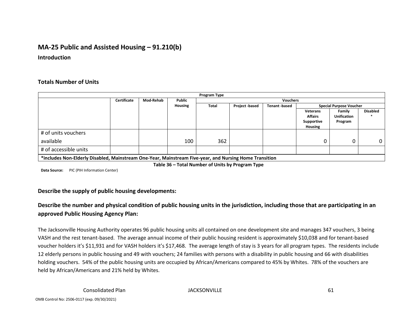## **MA-25 Public and Assisted Housing – 91.210(b)**

**Introduction**

#### **Totals Number of Units**

| Certificate<br>Public<br>Mod-Rehab<br><b>Vouchers</b><br><b>Housing</b><br>Project -based<br><b>Special Purpose Voucher</b><br>Total<br><b>Tenant-based</b><br><b>Disabled</b><br>Family<br><b>Veterans</b><br><b>Affairs</b><br><b>Unification</b><br>Supportive<br>Program<br><b>Housing</b><br># of units vouchers<br>362<br>100<br>available<br>0<br># of accessible units | Program Type |  |  |  |  |  |  |  |  |              |  |  |
|--------------------------------------------------------------------------------------------------------------------------------------------------------------------------------------------------------------------------------------------------------------------------------------------------------------------------------------------------------------------------------|--------------|--|--|--|--|--|--|--|--|--------------|--|--|
|                                                                                                                                                                                                                                                                                                                                                                                |              |  |  |  |  |  |  |  |  |              |  |  |
|                                                                                                                                                                                                                                                                                                                                                                                |              |  |  |  |  |  |  |  |  |              |  |  |
|                                                                                                                                                                                                                                                                                                                                                                                |              |  |  |  |  |  |  |  |  |              |  |  |
|                                                                                                                                                                                                                                                                                                                                                                                |              |  |  |  |  |  |  |  |  |              |  |  |
|                                                                                                                                                                                                                                                                                                                                                                                |              |  |  |  |  |  |  |  |  |              |  |  |
|                                                                                                                                                                                                                                                                                                                                                                                |              |  |  |  |  |  |  |  |  |              |  |  |
|                                                                                                                                                                                                                                                                                                                                                                                |              |  |  |  |  |  |  |  |  |              |  |  |
|                                                                                                                                                                                                                                                                                                                                                                                |              |  |  |  |  |  |  |  |  | $\mathbf{0}$ |  |  |
|                                                                                                                                                                                                                                                                                                                                                                                |              |  |  |  |  |  |  |  |  |              |  |  |
| *includes Non-Elderly Disabled, Mainstream One-Year, Mainstream Five-year, and Nursing Home Transition                                                                                                                                                                                                                                                                         |              |  |  |  |  |  |  |  |  |              |  |  |

**Table 36 – Total Number of Units by Program Type**

**Data Source:** PIC (PIH Information Center)

#### **Describe the supply of public housing developments:**

## **Describe the number and physical condition of public housing units in the jurisdiction, including those that are participating in an approved Public Housing Agency Plan:**

The Jacksonville Housing Authority operates 96 public housing units all contained on one development site and manages 347 vouchers, 3 being VASH and the rest tenant-based. The average annual income of their public housing resident is approximately \$10,038 and for tenant-based voucher holders it's \$11,931 and for VASH holders it's \$17,468. The average length of stay is 3 years for all program types. The residents include 12 elderly persons in public housing and 49 with vouchers; 24 families with persons with a disability in public housing and 66 with disabilities holding vouchers. 54% of the public housing units are occupied by African/Americans compared to 45% by Whites. 78% of the vouchers are held by African/Americans and 21% held by Whites.

Consolidated Plan 61 Consolidated Plan 61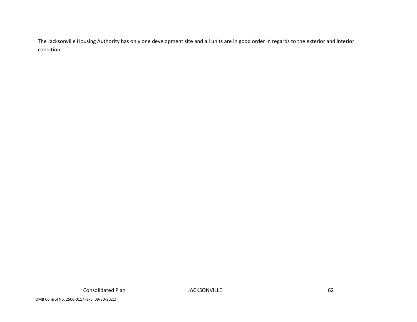The Jacksonville Housing Authority has only one development site and all units are in good order in regards to the exterior and interior condition.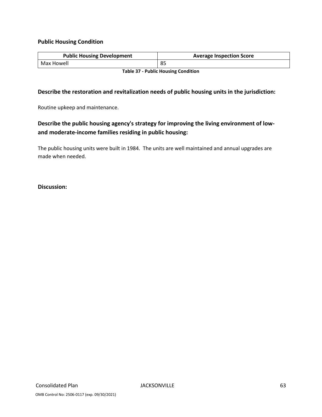#### **Public Housing Condition**

| <b>Public Housing Development</b>          | <b>Average Inspection Score</b> |  |  |  |  |
|--------------------------------------------|---------------------------------|--|--|--|--|
| Max Howell                                 | 85                              |  |  |  |  |
| <b>Table 37 - Public Housing Condition</b> |                                 |  |  |  |  |

#### **Describe the restoration and revitalization needs of public housing units in the jurisdiction:**

Routine upkeep and maintenance.

## **Describe the public housing agency's strategy for improving the living environment of lowand moderate-income families residing in public housing:**

The public housing units were built in 1984. The units are well maintained and annual upgrades are made when needed.

**Discussion:**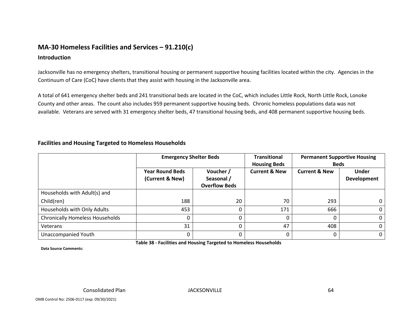## **MA-30 Homeless Facilities and Services – 91.210(c)**

#### **Introduction**

Jacksonville has no emergency shelters, transitional housing or permanent supportive housing facilities located within the city. Agencies in the Continuum of Care (CoC) have clients that they assist with housing in the Jacksonville area.

A total of 641 emergency shelter beds and 241 transitional beds are located in the CoC, which includes Little Rock, North Little Rock, Lonoke County and other areas. The count also includes 959 permanent supportive housing beds. Chronic homeless populations data was not available. Veterans are served with 31 emergency shelter beds, 47 transitional housing beds, and 408 permanent supportive housing beds.

#### **Facilities and Housing Targeted to Homeless Households**

|                                        | <b>Emergency Shelter Beds</b>             |                                                 | <b>Transitional</b><br><b>Housing Beds</b> | <b>Permanent Supportive Housing</b><br><b>Beds</b> |                                    |  |
|----------------------------------------|-------------------------------------------|-------------------------------------------------|--------------------------------------------|----------------------------------------------------|------------------------------------|--|
|                                        | <b>Year Round Beds</b><br>(Current & New) | Voucher /<br>Seasonal /<br><b>Overflow Beds</b> | <b>Current &amp; New</b>                   | <b>Current &amp; New</b>                           | <b>Under</b><br><b>Development</b> |  |
| Households with Adult(s) and           |                                           |                                                 |                                            |                                                    |                                    |  |
| Child(ren)                             | 188                                       | 20                                              | 70                                         | 293                                                | 0                                  |  |
| Households with Only Adults            | 453                                       |                                                 | 171                                        | 666                                                | $\Omega$                           |  |
| <b>Chronically Homeless Households</b> |                                           |                                                 |                                            |                                                    | $\mathbf{0}$                       |  |
| Veterans                               | 31                                        |                                                 | 47                                         | 408                                                | $\mathbf{0}$                       |  |
| <b>Unaccompanied Youth</b>             | 0                                         |                                                 |                                            |                                                    | 0                                  |  |

**Table 38 - Facilities and Housing Targeted to Homeless Households**

**Data Source Comments:**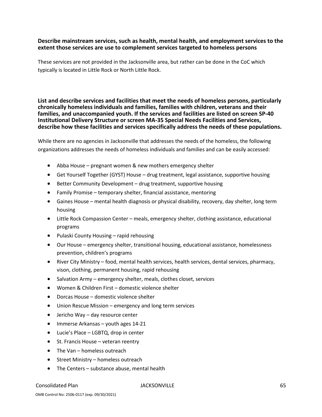#### **Describe mainstream services, such as health, mental health, and employment services to the extent those services are use to complement services targeted to homeless persons**

These services are not provided in the Jacksonville area, but rather can be done in the CoC which typically is located in Little Rock or North Little Rock.

**List and describe services and facilities that meet the needs of homeless persons, particularly chronically homeless individuals and families, families with children, veterans and their families, and unaccompanied youth. If the services and facilities are listed on screen SP-40 Institutional Delivery Structure or screen MA-35 Special Needs Facilities and Services, describe how these facilities and services specifically address the needs of these populations.**

While there are no agencies in Jacksonville that addresses the needs of the homeless, the following organizations addresses the needs of homeless individuals and families and can be easily accessed:

- Abba House pregnant women & new mothers emergency shelter
- Get Yourself Together (GYST) House drug treatment, legal assistance, supportive housing
- Better Community Development drug treatment, supportive housing
- Family Promise temporary shelter, financial assistance, mentoring
- Gaines House mental health diagnosis or physical disability, recovery, day shelter, long term housing
- Little Rock Compassion Center meals, emergency shelter, clothing assistance, educational programs
- Pulaski County Housing rapid rehousing
- Our House emergency shelter, transitional housing, educational assistance, homelessness prevention, children's programs
- River City Ministry food, mental health services, health services, dental services, pharmacy, vison, clothing, permanent housing, rapid rehousing
- Salvation Army emergency shelter, meals, clothes closet, services
- Women & Children First domestic violence shelter
- Dorcas House domestic violence shelter
- Union Rescue Mission emergency and long term services
- Jericho Way day resource center
- Immerse Arkansas youth ages 14-21
- Lucie's Place LGBTQ, drop in center
- St. Francis House veteran reentry
- The Van homeless outreach
- Street Ministry homeless outreach
- The Centers substance abuse, mental health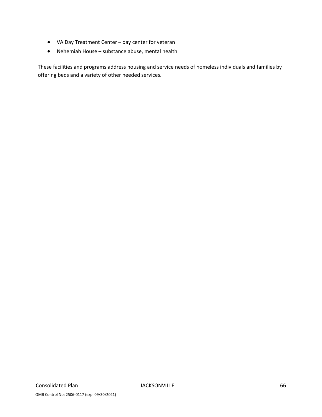- VA Day Treatment Center day center for veteran
- Nehemiah House substance abuse, mental health

These facilities and programs address housing and service needs of homeless individuals and families by offering beds and a variety of other needed services.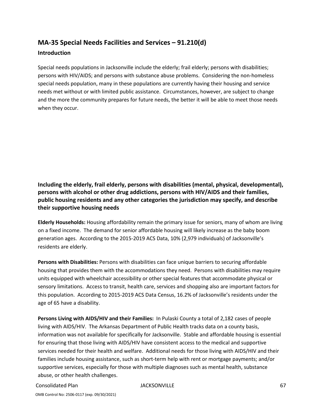## **MA-35 Special Needs Facilities and Services – 91.210(d) Introduction**

Special needs populations in Jacksonville include the elderly; frail elderly; persons with disabilities; persons with HIV/AIDS; and persons with substance abuse problems. Considering the non-homeless special needs population, many in these populations are currently having their housing and service needs met without or with limited public assistance. Circumstances, however, are subject to change and the more the community prepares for future needs, the better it will be able to meet those needs when they occur.

**Including the elderly, frail elderly, persons with disabilities (mental, physical, developmental), persons with alcohol or other drug addictions, persons with HIV/AIDS and their families, public housing residents and any other categories the jurisdiction may specify, and describe their supportive housing needs**

**Elderly Households:** Housing affordability remain the primary issue for seniors, many of whom are living on a fixed income. The demand for senior affordable housing will likely increase as the baby boom generation ages. According to the 2015-2019 ACS Data, 10% (2,979 individuals) of Jacksonville's residents are elderly.

**Persons with Disabilities:** Persons with disabilities can face unique barriers to securing affordable housing that provides them with the accommodations they need. Persons with disabilities may require units equipped with wheelchair accessibility or other special features that accommodate physical or sensory limitations. Access to transit, health care, services and shopping also are important factors for this population. According to 2015-2019 ACS Data Census, 16.2% of Jacksonville's residents under the age of 65 have a disability.

**Persons Living with AIDS/HIV and their Families:** In Pulaski County a total of 2,182 cases of people living with AIDS/HIV. The Arkansas Department of Public Health tracks data on a county basis, information was not available for specifically for Jacksonville. Stable and affordable housing is essential for ensuring that those living with AIDS/HIV have consistent access to the medical and supportive services needed for their health and welfare. Additional needs for those living with AIDS/HIV and their families include housing assistance, such as short-term help with rent or mortgage payments; and/or supportive services, especially for those with multiple diagnoses such as mental health, substance abuse, or other health challenges.

#### Consolidated Plan 67 (George Consolidated Plan 67)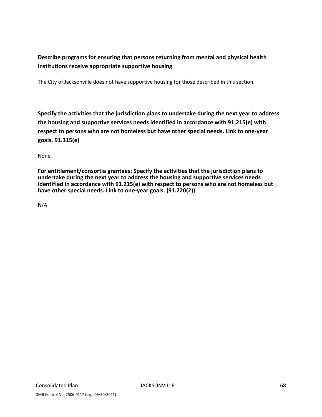## **Describe programs for ensuring that persons returning from mental and physical health institutions receive appropriate supportive housing**

The City of Jacksonville does not have supportive housing for those described in this section.

**Specify the activities that the jurisdiction plans to undertake during the next year to address the housing and supportive services needs identified in accordance with 91.215(e) with respect to persons who are not homeless but have other special needs. Link to one-year goals. 91.315(e)**

None

**For entitlement/consortia grantees: Specify the activities that the jurisdiction plans to undertake during the next year to address the housing and supportive services needs identified in accordance with 91.215(e) with respect to persons who are not homeless but have other special needs. Link to one-year goals. (91.220(2))**

N/A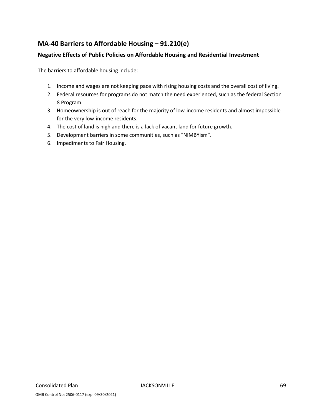## **MA-40 Barriers to Affordable Housing – 91.210(e)**

#### **Negative Effects of Public Policies on Affordable Housing and Residential Investment**

The barriers to affordable housing include:

- 1. Income and wages are not keeping pace with rising housing costs and the overall cost of living.
- 2. Federal resources for programs do not match the need experienced, such as the federal Section 8 Program.
- 3. Homeownership is out of reach for the majority of low-income residents and almost impossible for the very low-income residents.
- 4. The cost of land is high and there is a lack of vacant land for future growth.
- 5. Development barriers in some communities, such as "NIMBYism".
- 6. Impediments to Fair Housing.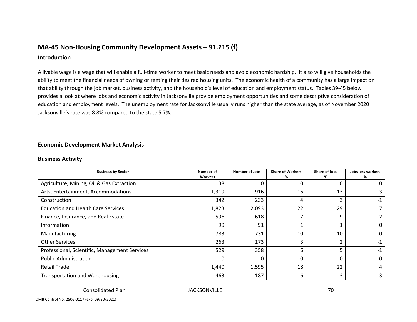# **MA-45 Non-Housing Community Development Assets – 91.215 (f)**

#### **Introduction**

A livable wage is a wage that will enable a full-time worker to meet basic needs and avoid economic hardship. It also will give households the ability to meet the financial needs of owning or renting their desired housing units. The economic health of a community has a large impact on that ability through the job market, business activity, and the household's level of education and employment status. Tables 39-45 below provides a look at where jobs and economic activity in Jacksonville provide employment opportunities and some descriptive consideration of education and employment levels. The unemployment rate for Jacksonville usually runs higher than the state average, as of November 2020 Jacksonville's rate was 8.8% compared to the state 5.7%.

#### **Economic Development Market Analysis**

#### **Business Activity**

| <b>Business by Sector</b>                     | Number of<br>Workers | <b>Number of Jobs</b> | <b>Share of Workers</b><br>% | <b>Share of Jobs</b><br>% | Jobs less workers<br>% |
|-----------------------------------------------|----------------------|-----------------------|------------------------------|---------------------------|------------------------|
| Agriculture, Mining, Oil & Gas Extraction     | 38                   | 0                     |                              |                           | 0                      |
| Arts, Entertainment, Accommodations           | 1,319                | 916                   | 16                           | 13                        | $-3$                   |
| Construction                                  | 342                  | 233                   | 4                            | 3                         | $-1$                   |
| <b>Education and Health Care Services</b>     | 1,823                | 2,093                 | 22                           | 29                        |                        |
| Finance, Insurance, and Real Estate           | 596                  | 618                   |                              | q                         |                        |
| Information                                   | 99                   | 91                    |                              |                           | 0                      |
| Manufacturing                                 | 783                  | 731                   | 10                           | 10                        | 0                      |
| <b>Other Services</b>                         | 263                  | 173                   | ∍                            | ∍                         | $-1$                   |
| Professional, Scientific, Management Services | 529                  | 358                   | 6                            |                           | -1                     |
| <b>Public Administration</b>                  |                      | $\Omega$              |                              |                           | $\mathbf{0}$           |
| <b>Retail Trade</b>                           | 1,440                | 1,595                 | 18                           | 22                        | 4                      |
| <b>Transportation and Warehousing</b>         | 463                  | 187                   | 6                            | 3                         | $-3$                   |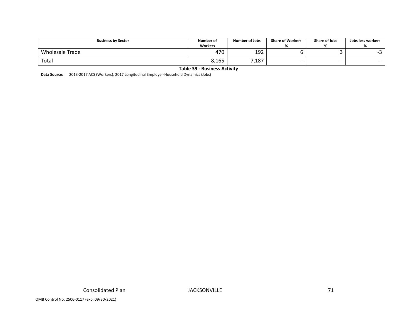| <b>Business by Sector</b> | Number of | <b>Number of Jobs</b> | <b>Share of Workers</b> | <b>Share of Jobs</b> | Jobs less workers |
|---------------------------|-----------|-----------------------|-------------------------|----------------------|-------------------|
|                           | Workers   |                       |                         |                      | %                 |
| <b>Wholesale Trade</b>    | 470       | 192                   |                         |                      |                   |
| Total                     | 8,165     | 7,187                 | $- -$                   | $- -$                | $- -$             |

**Table 39 - Business Activity**

**Data Source:** 2013-2017 ACS (Workers), 2017 Longitudinal Employer-Household Dynamics (Jobs)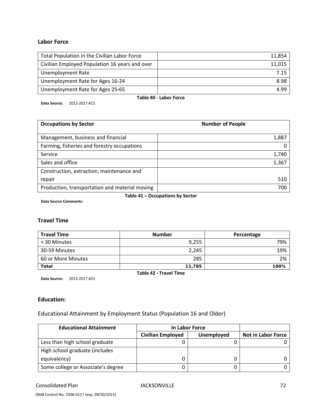#### **Labor Force**

| Total Population in the Civilian Labor Force   | 11,854 |  |
|------------------------------------------------|--------|--|
| Civilian Employed Population 16 years and over | 11,015 |  |
| Unemployment Rate                              | 7.15   |  |
| Unemployment Rate for Ages 16-24               | 8.98   |  |
| Unemployment Rate for Ages 25-65               | 4.99   |  |
| Table 40 - Labor Force                         |        |  |

**Data Source:** 2013-2017 ACS

| <b>Occupations by Sector</b>                   | <b>Number of People</b> |
|------------------------------------------------|-------------------------|
| Management, business and financial             | 1,887                   |
| Farming, fisheries and forestry occupations    |                         |
| Service                                        | 1,740                   |
| Sales and office                               | 1,367                   |
| Construction, extraction, maintenance and      |                         |
| repair                                         | 510                     |
| Production, transportation and material moving | 700                     |

**Table 41 – Occupations by Sector**

**Data Source Comments:**

#### **Travel Time**

| <b>Travel Time</b>            | <b>Number</b> | Percentage |  |
|-------------------------------|---------------|------------|--|
| < 30 Minutes                  | 9,255         | 79%        |  |
| 30-59 Minutes                 | 2,245         | 19%        |  |
| 60 or More Minutes            | 285           | 2%         |  |
| <b>Total</b>                  | 11,785        | 100%       |  |
| <b>Table 42 - Travel Time</b> |               |            |  |

**Data Source:** 2013-2017 ACS

#### **Education:**

Educational Attainment by Employment Status (Population 16 and Older)

| <b>Educational Attainment</b>      | In Labor Force           |            |                           |
|------------------------------------|--------------------------|------------|---------------------------|
|                                    | <b>Civilian Employed</b> | Unemployed | <b>Not in Labor Force</b> |
| Less than high school graduate     |                          |            |                           |
| High school graduate (includes     |                          |            |                           |
| equivalency)                       |                          |            |                           |
| Some college or Associate's degree |                          |            |                           |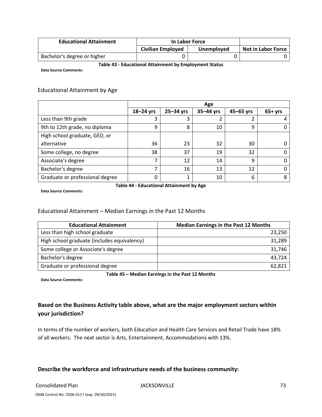| <b>Educational Attainment</b> | In Labor Force    |            |                           |
|-------------------------------|-------------------|------------|---------------------------|
|                               | Civilian Employed | Unemployed | <b>Not in Labor Force</b> |
| Bachelor's degree or higher   |                   |            |                           |

**Table 43 - Educational Attainment by Employment Status**

**Data Source Comments:**

#### Educational Attainment by Age

|                                 | Age       |           |           |           |          |
|---------------------------------|-----------|-----------|-----------|-----------|----------|
|                                 | 18-24 yrs | 25-34 yrs | 35-44 yrs | 45-65 yrs | $65+yrs$ |
| Less than 9th grade             | 3         | 3         | 2         |           | 4        |
| 9th to 12th grade, no diploma   | 9         | 8         | 10        | 9         |          |
| High school graduate, GED, or   |           |           |           |           |          |
| alternative                     | 36        | 23        | 32        | 30        | 0        |
| Some college, no degree         | 38        | 37        | 19        | 32        | n        |
| Associate's degree              | ⇁         | 12        | 14        | 9         | 0        |
| Bachelor's degree               | ⇁         | 16        | 13        | 12        | 0        |
| Graduate or professional degree | 0         |           | 10        | 6         | 8        |

**Table 44 - Educational Attainment by Age**

**Data Source Comments:**

Educational Attainment – Median Earnings in the Past 12 Months

| <b>Educational Attainment</b>               | <b>Median Earnings in the Past 12 Months</b> |
|---------------------------------------------|----------------------------------------------|
| Less than high school graduate              | 23,250                                       |
| High school graduate (includes equivalency) | 31,289                                       |
| Some college or Associate's degree          | 31,746                                       |
| Bachelor's degree                           | 43,724                                       |
| Graduate or professional degree             | 62,821                                       |

**Table 45 – Median Earnings in the Past 12 Months**

**Data Source Comments:**

### **Based on the Business Activity table above, what are the major employment sectors within your jurisdiction?**

In terms of the number of workers, both Education and Health Care Services and Retail Trade have 18% of all workers. The next sector is Arts, Entertainment, Accommodations with 13%.

#### **Describe the workforce and infrastructure needs of the business community:**

Consolidated Plan JACKSONVILLE 73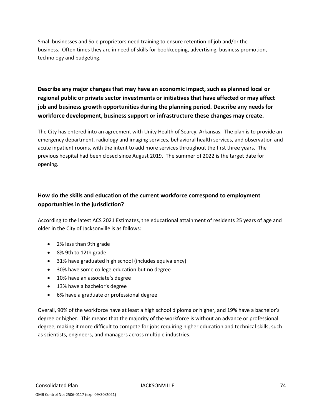Small businesses and Sole proprietors need training to ensure retention of job and/or the business. Often times they are in need of skills for bookkeeping, advertising, business promotion, technology and budgeting.

**Describe any major changes that may have an economic impact, such as planned local or regional public or private sector investments or initiatives that have affected or may affect job and business growth opportunities during the planning period. Describe any needs for workforce development, business support or infrastructure these changes may create.**

The City has entered into an agreement with Unity Health of Searcy, Arkansas. The plan is to provide an emergency department, radiology and imaging services, behavioral health services, and observation and acute inpatient rooms, with the intent to add more services throughout the first three years. The previous hospital had been closed since August 2019. The summer of 2022 is the target date for opening.

### **How do the skills and education of the current workforce correspond to employment opportunities in the jurisdiction?**

According to the latest ACS 2021 Estimates, the educational attainment of residents 25 years of age and older in the City of Jacksonville is as follows:

- 2% less than 9th grade
- 8% 9th to 12th grade
- 31% have graduated high school (includes equivalency)
- 30% have some college education but no degree
- 10% have an associate's degree
- 13% have a bachelor's degree
- 6% have a graduate or professional degree

Overall, 90% of the workforce have at least a high school diploma or higher, and 19% have a bachelor's degree or higher. This means that the majority of the workforce is without an advance or professional degree, making it more difficult to compete for jobs requiring higher education and technical skills, such as scientists, engineers, and managers across multiple industries.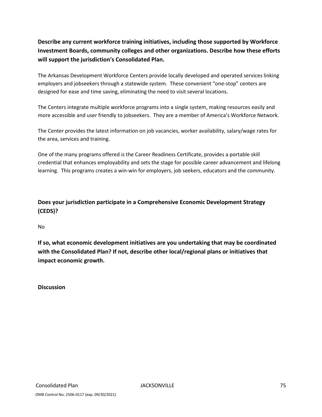### **Describe any current workforce training initiatives, including those supported by Workforce Investment Boards, community colleges and other organizations. Describe how these efforts will support the jurisdiction's Consolidated Plan.**

The Arkansas Development Workforce Centers provide locally developed and operated services linking employers and jobseekers through a statewide system. These convenient "one-stop" centers are designed for ease and time saving, eliminating the need to visit several locations.

The Centers integrate multiple workforce programs into a single system, making resources easily and more accessible and user friendly to jobseekers. They are a member of America's Workforce Network.

The Center provides the latest information on job vacancies, worker availability, salary/wage rates for the area, services and training.

One of the many programs offered is the Career Readiness Certificate, provides a portable skill credential that enhances employability and sets the stage for possible career advancement and lifelong learning. This programs creates a win-win for employers, job seekers, educators and the community.

### **Does your jurisdiction participate in a Comprehensive Economic Development Strategy (CEDS)?**

No

**If so, what economic development initiatives are you undertaking that may be coordinated with the Consolidated Plan? If not, describe other local/regional plans or initiatives that impact economic growth.**

**Discussion**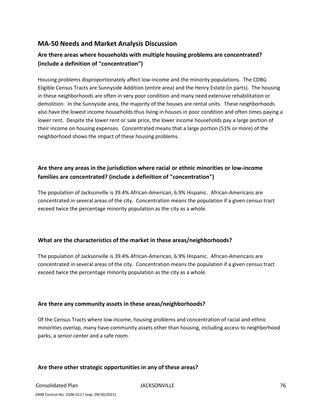### **MA-50 Needs and Market Analysis Discussion**

### **Are there areas where households with multiple housing problems are concentrated? (include a definition of "concentration")**

Housing problems disproportionately affect low-income and the minority populations. The CDBG Eligible Census Tracts are Sunnyside Addition (entire area) and the Henry Estate (in parts). The housing in these neighborhoods are often in very poor condition and many need extensive rehabilitation or demolition. In the Sunnyside area, the majority of the houses are rental units. These neighborhoods also have the lowest income households thus living in houses in poor condition and often times paying a lower rent. Despite the lower rent or sale price, the lower income households pay a large portion of their income on housing expenses. Concentrated means that a large portion (51% or more) of the neighborhood shows the impact of these housing problems.

### **Are there any areas in the jurisdiction where racial or ethnic minorities or low-income families are concentrated? (include a definition of "concentration")**

The population of Jacksonville is 39.4% African-American, 6.9% Hispanic. African-Americans are concentrated in several areas of the city. Concentration means the population if a given census tract exceed twice the percentage minority population as the city as a whole.

#### **What are the characteristics of the market in these areas/neighborhoods?**

The population of Jacksonville is 39.4% African-American, 6.9% Hispanic. African-Americans are concentrated in several areas of the city. Concentration means the population if a given census tract exceed twice the percentage minority population as the city as a whole.

#### **Are there any community assets in these areas/neighborhoods?**

Of the Census Tracts where low income, housing problems and concentration of racial and ethnic minorities overlap, many have community assets other than housing, including access to neighborhood parks, a senior center and a safe room.

#### **Are there other strategic opportunities in any of these areas?**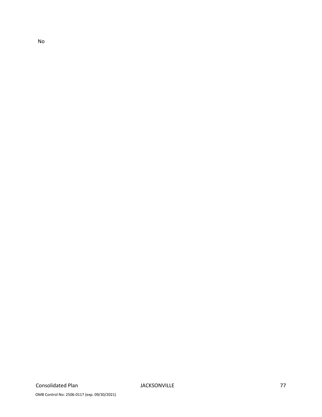No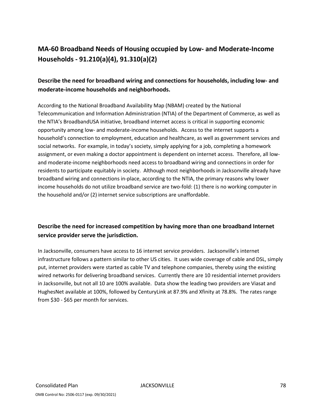# **MA-60 Broadband Needs of Housing occupied by Low- and Moderate-Income Households - 91.210(a)(4), 91.310(a)(2)**

### **Describe the need for broadband wiring and connections for households, including low- and moderate-income households and neighborhoods.**

According to the National Broadband Availability Map (NBAM) created by the National Telecommunication and Information Administration (NTIA) of the Department of Commerce, as well as the NTIA's BroadbandUSA initiative, broadband internet access is critical in supporting economic opportunity among low- and moderate-income households. Access to the internet supports a household's connection to employment, education and healthcare, as well as government services and social networks. For example, in today's society, simply applying for a job, completing a homework assignment, or even making a doctor appointment is dependent on internet access. Therefore, all lowand moderate-income neighborhoods need access to broadband wiring and connections in order for residents to participate equitably in society. Although most neighborhoods in Jacksonville already have broadband wiring and connections in-place, according to the NTIA, the primary reasons why lower income households do not utilize broadband service are two-fold: (1) there is no working computer in the household and/or (2) internet service subscriptions are unaffordable.

### **Describe the need for increased competition by having more than one broadband Internet service provider serve the jurisdiction.**

In Jacksonville, consumers have access to 16 internet service providers. Jacksonville's internet infrastructure follows a pattern similar to other US cities. It uses wide coverage of cable and DSL, simply put, internet providers were started as cable TV and telephone companies, thereby using the existing wired networks for delivering broadband services. Currently there are 10 residential internet providers in Jacksonville, but not all 10 are 100% available. Data show the leading two providers are Viasat and HughesNet available at 100%, followed by CenturyLink at 87.9% and Xfinity at 78.8%. The rates range from \$30 - \$65 per month for services.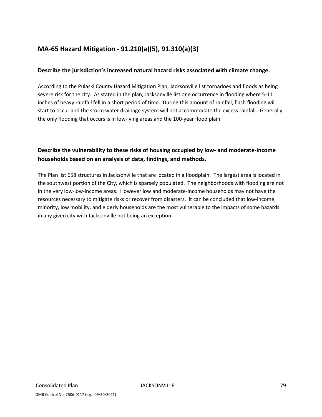# **MA-65 Hazard Mitigation - 91.210(a)(5), 91.310(a)(3)**

#### **Describe the jurisdiction's increased natural hazard risks associated with climate change.**

According to the Pulaski County Hazard Mitigation Plan, Jacksonville list tornadoes and floods as being severe risk for the city. As stated in the plan, Jacksonville list one occurrence in flooding where 5-11 inches of heavy rainfall fell in a short period of time. During this amount of rainfall, flash flooding will start to occur and the storm water drainage system will not accommodate the excess rainfall. Generally, the only flooding that occurs is in low-lying areas and the 100-year flood plain.

### **Describe the vulnerability to these risks of housing occupied by low- and moderate-income households based on an analysis of data, findings, and methods.**

The Plan list 658 structures in Jacksonville that are located in a floodplain. The largest area is located in the southwest portion of the City, which is sparsely populated. The neighborhoods with flooding are not in the very low-low-income areas. However low and moderate-income households may not have the resources necessary to mitigate risks or recover from disasters. It can be concluded that low-income, minority, low mobility, and elderly households are the most vulnerable to the impacts of some hazards in any given city with Jacksonville not being an exception.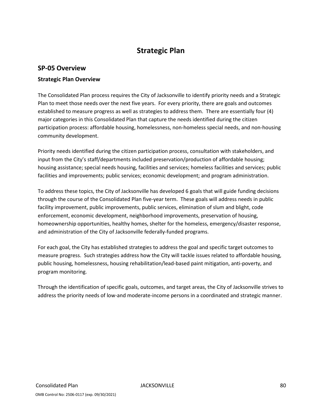# **Strategic Plan**

#### **SP-05 Overview**

#### **Strategic Plan Overview**

The Consolidated Plan process requires the City of Jacksonville to identify priority needs and a Strategic Plan to meet those needs over the next five years. For every priority, there are goals and outcomes established to measure progress as well as strategies to address them. There are essentially four (4) major categories in this Consolidated Plan that capture the needs identified during the citizen participation process: affordable housing, homelessness, non-homeless special needs, and non-housing community development.

Priority needs identified during the citizen participation process, consultation with stakeholders, and input from the City's staff/departments included preservation/production of affordable housing; housing assistance; special needs housing, facilities and services; homeless facilities and services; public facilities and improvements; public services; economic development; and program administration.

To address these topics, the City of Jacksonville has developed 6 goals that will guide funding decisions through the course of the Consolidated Plan five-year term. These goals will address needs in public facility improvement, public improvements, public services, elimination of slum and blight, code enforcement, economic development, neighborhood improvements, preservation of housing, homeownership opportunities, healthy homes, shelter for the homeless, emergency/disaster response, and administration of the City of Jacksonville federally-funded programs.

For each goal, the City has established strategies to address the goal and specific target outcomes to measure progress. Such strategies address how the City will tackle issues related to affordable housing, public housing, homelessness, housing rehabilitation/lead-based paint mitigation, anti-poverty, and program monitoring.

Through the identification of specific goals, outcomes, and target areas, the City of Jacksonville strives to address the priority needs of low-and moderate-income persons in a coordinated and strategic manner.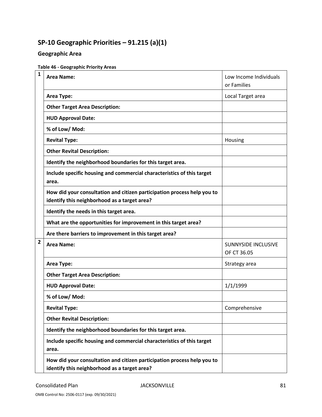# **SP-10 Geographic Priorities – 91.215 (a)(1)**

### **Geographic Area**

#### **Table 46 - Geographic Priority Areas**

| 1              | <b>Area Name:</b>                                                                                                       | Low Income Individuals<br>or Families |  |
|----------------|-------------------------------------------------------------------------------------------------------------------------|---------------------------------------|--|
|                | <b>Area Type:</b>                                                                                                       | Local Target area                     |  |
|                | <b>Other Target Area Description:</b>                                                                                   |                                       |  |
|                | <b>HUD Approval Date:</b>                                                                                               |                                       |  |
|                | % of Low/ Mod:                                                                                                          |                                       |  |
|                | <b>Revital Type:</b>                                                                                                    | Housing                               |  |
|                | <b>Other Revital Description:</b>                                                                                       |                                       |  |
|                | Identify the neighborhood boundaries for this target area.                                                              |                                       |  |
|                | Include specific housing and commercial characteristics of this target<br>area.                                         |                                       |  |
|                | How did your consultation and citizen participation process help you to<br>identify this neighborhood as a target area? |                                       |  |
|                | Identify the needs in this target area.                                                                                 |                                       |  |
|                | What are the opportunities for improvement in this target area?                                                         |                                       |  |
|                | Are there barriers to improvement in this target area?                                                                  |                                       |  |
| $\overline{2}$ | <b>Area Name:</b>                                                                                                       | SUNNYSIDE INCLUSIVE<br>OF CT 36.05    |  |
|                | Area Type:                                                                                                              | Strategy area                         |  |
|                | <b>Other Target Area Description:</b>                                                                                   |                                       |  |
|                | <b>HUD Approval Date:</b>                                                                                               | 1/1/1999                              |  |
|                | % of Low/ Mod:                                                                                                          |                                       |  |
|                | <b>Revital Type:</b>                                                                                                    | Comprehensive                         |  |
|                | <b>Other Revital Description:</b>                                                                                       |                                       |  |
|                | Identify the neighborhood boundaries for this target area.                                                              |                                       |  |
|                | Include specific housing and commercial characteristics of this target<br>area.                                         |                                       |  |
|                | How did your consultation and citizen participation process help you to<br>identify this neighborhood as a target area? |                                       |  |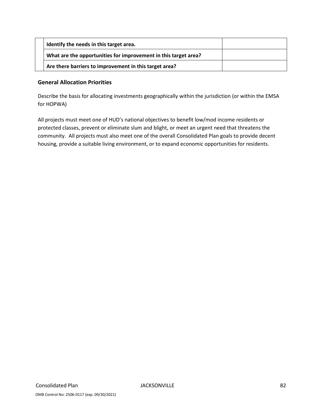| Identify the needs in this target area.                         |  |
|-----------------------------------------------------------------|--|
| What are the opportunities for improvement in this target area? |  |
| Are there barriers to improvement in this target area?          |  |

#### **General Allocation Priorities**

Describe the basis for allocating investments geographically within the jurisdiction (or within the EMSA for HOPWA)

All projects must meet one of HUD's national objectives to benefit low/mod income residents or protected classes, prevent or eliminate slum and blight, or meet an urgent need that threatens the community. All projects must also meet one of the overall Consolidated Plan goals to provide decent housing, provide a suitable living environment, or to expand economic opportunities for residents.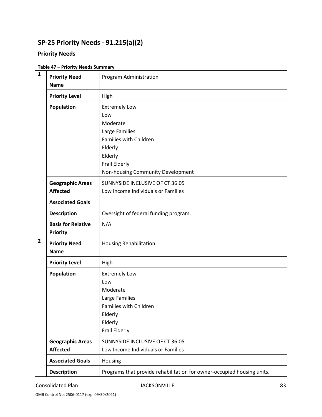# **SP-25 Priority Needs - 91.215(a)(2)**

### **Priority Needs**

|--|

| $\mathbf{1}$   | <b>Priority Need</b><br><b>Name</b>          | Program Administration                                                 |
|----------------|----------------------------------------------|------------------------------------------------------------------------|
|                | <b>Priority Level</b>                        | High                                                                   |
|                | <b>Population</b>                            | <b>Extremely Low</b>                                                   |
|                |                                              | Low                                                                    |
|                |                                              | Moderate                                                               |
|                |                                              | Large Families                                                         |
|                |                                              | Families with Children                                                 |
|                |                                              | Elderly                                                                |
|                |                                              | Elderly                                                                |
|                |                                              | Frail Elderly                                                          |
|                |                                              | Non-housing Community Development                                      |
|                | <b>Geographic Areas</b>                      | SUNNYSIDE INCLUSIVE OF CT 36.05                                        |
|                | <b>Affected</b>                              | Low Income Individuals or Families                                     |
|                | <b>Associated Goals</b>                      |                                                                        |
|                | <b>Description</b>                           | Oversight of federal funding program.                                  |
|                | <b>Basis for Relative</b><br><b>Priority</b> | N/A                                                                    |
| $\overline{2}$ | <b>Priority Need</b><br><b>Name</b>          | <b>Housing Rehabilitation</b>                                          |
|                | <b>Priority Level</b>                        | High                                                                   |
|                | <b>Population</b>                            | <b>Extremely Low</b>                                                   |
|                |                                              | Low                                                                    |
|                |                                              | Moderate                                                               |
|                |                                              | Large Families                                                         |
|                |                                              | Families with Children                                                 |
|                |                                              | Elderly                                                                |
|                |                                              | Elderly                                                                |
|                |                                              | Frail Elderly                                                          |
|                | <b>Geographic Areas</b>                      | SUNNYSIDE INCLUSIVE OF CT 36.05                                        |
|                | <b>Affected</b>                              | Low Income Individuals or Families                                     |
|                | <b>Associated Goals</b>                      | Housing                                                                |
|                | <b>Description</b>                           | Programs that provide rehabilitation for owner-occupied housing units. |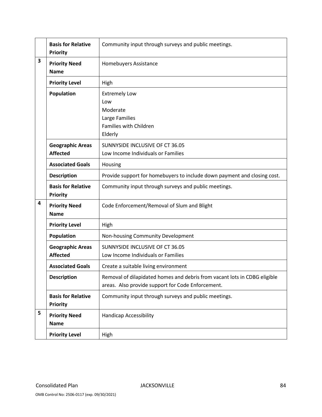|   | <b>Basis for Relative</b><br><b>Priority</b> | Community input through surveys and public meetings.                                                                           |
|---|----------------------------------------------|--------------------------------------------------------------------------------------------------------------------------------|
| 3 | <b>Priority Need</b><br><b>Name</b>          | Homebuyers Assistance                                                                                                          |
|   | <b>Priority Level</b>                        | High                                                                                                                           |
|   | <b>Population</b>                            | <b>Extremely Low</b><br>Low<br>Moderate<br>Large Families<br>Families with Children<br>Elderly                                 |
|   | <b>Geographic Areas</b><br><b>Affected</b>   | SUNNYSIDE INCLUSIVE OF CT 36.05<br>Low Income Individuals or Families                                                          |
|   | <b>Associated Goals</b>                      | Housing                                                                                                                        |
|   | <b>Description</b>                           | Provide support for homebuyers to include down payment and closing cost.                                                       |
|   | <b>Basis for Relative</b><br><b>Priority</b> | Community input through surveys and public meetings.                                                                           |
| 4 | <b>Priority Need</b><br><b>Name</b>          | Code Enforcement/Removal of Slum and Blight                                                                                    |
|   | <b>Priority Level</b>                        | High                                                                                                                           |
|   | Population                                   | Non-housing Community Development                                                                                              |
|   | <b>Geographic Areas</b><br><b>Affected</b>   | SUNNYSIDE INCLUSIVE OF CT 36.05<br>Low Income Individuals or Families                                                          |
|   | <b>Associated Goals</b>                      | Create a suitable living environment                                                                                           |
|   | <b>Description</b>                           | Removal of dilapidated homes and debris from vacant lots in CDBG eligible<br>areas. Also provide support for Code Enforcement. |
|   | <b>Basis for Relative</b><br><b>Priority</b> | Community input through surveys and public meetings.                                                                           |
| 5 | <b>Priority Need</b><br><b>Name</b>          | <b>Handicap Accessibility</b>                                                                                                  |
|   | <b>Priority Level</b>                        | High                                                                                                                           |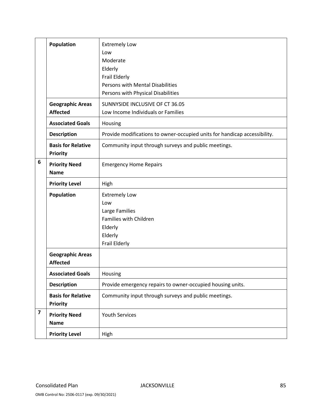|                         | <b>Population</b>                            | <b>Extremely Low</b>                                                      |  |  |  |  |  |
|-------------------------|----------------------------------------------|---------------------------------------------------------------------------|--|--|--|--|--|
|                         |                                              | Low                                                                       |  |  |  |  |  |
|                         |                                              | Moderate                                                                  |  |  |  |  |  |
|                         |                                              | Elderly                                                                   |  |  |  |  |  |
|                         |                                              | Frail Elderly                                                             |  |  |  |  |  |
|                         |                                              | Persons with Mental Disabilities                                          |  |  |  |  |  |
|                         |                                              | Persons with Physical Disabilities                                        |  |  |  |  |  |
|                         | <b>Geographic Areas</b>                      | SUNNYSIDE INCLUSIVE OF CT 36.05                                           |  |  |  |  |  |
|                         | <b>Affected</b>                              | Low Income Individuals or Families                                        |  |  |  |  |  |
|                         | <b>Associated Goals</b>                      | Housing                                                                   |  |  |  |  |  |
|                         | <b>Description</b>                           | Provide modifications to owner-occupied units for handicap accessibility. |  |  |  |  |  |
|                         | <b>Basis for Relative</b><br><b>Priority</b> | Community input through surveys and public meetings.                      |  |  |  |  |  |
| 6                       | <b>Priority Need</b><br><b>Name</b>          | <b>Emergency Home Repairs</b>                                             |  |  |  |  |  |
|                         | <b>Priority Level</b>                        | High                                                                      |  |  |  |  |  |
|                         | <b>Population</b>                            | <b>Extremely Low</b>                                                      |  |  |  |  |  |
|                         |                                              | Low                                                                       |  |  |  |  |  |
|                         |                                              | Large Families                                                            |  |  |  |  |  |
|                         |                                              | Families with Children                                                    |  |  |  |  |  |
|                         |                                              | Elderly                                                                   |  |  |  |  |  |
|                         |                                              | Elderly                                                                   |  |  |  |  |  |
|                         |                                              | Frail Elderly                                                             |  |  |  |  |  |
|                         | <b>Geographic Areas</b><br><b>Affected</b>   |                                                                           |  |  |  |  |  |
|                         | <b>Associated Goals</b>                      | Housing                                                                   |  |  |  |  |  |
|                         | <b>Description</b>                           | Provide emergency repairs to owner-occupied housing units.                |  |  |  |  |  |
|                         | <b>Basis for Relative</b><br><b>Priority</b> | Community input through surveys and public meetings.                      |  |  |  |  |  |
| $\overline{\mathbf{z}}$ | <b>Priority Need</b><br><b>Name</b>          | <b>Youth Services</b>                                                     |  |  |  |  |  |
|                         | <b>Priority Level</b>                        | High                                                                      |  |  |  |  |  |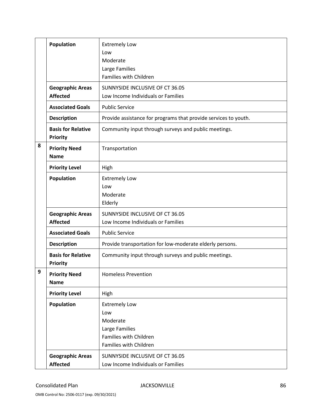|   | <b>Population</b>                            | <b>Extremely Low</b><br>Low<br>Moderate<br>Large Families<br>Families with Children                           |  |  |  |  |  |
|---|----------------------------------------------|---------------------------------------------------------------------------------------------------------------|--|--|--|--|--|
|   | <b>Geographic Areas</b><br><b>Affected</b>   | SUNNYSIDE INCLUSIVE OF CT 36.05<br>Low Income Individuals or Families                                         |  |  |  |  |  |
|   | <b>Associated Goals</b>                      | <b>Public Service</b>                                                                                         |  |  |  |  |  |
|   | <b>Description</b>                           | Provide assistance for programs that provide services to youth.                                               |  |  |  |  |  |
|   | <b>Basis for Relative</b><br><b>Priority</b> | Community input through surveys and public meetings.                                                          |  |  |  |  |  |
| 8 | <b>Priority Need</b><br><b>Name</b>          | Transportation                                                                                                |  |  |  |  |  |
|   | <b>Priority Level</b>                        | High                                                                                                          |  |  |  |  |  |
|   | <b>Population</b>                            | <b>Extremely Low</b><br>Low<br>Moderate<br>Elderly                                                            |  |  |  |  |  |
|   | <b>Geographic Areas</b><br><b>Affected</b>   | SUNNYSIDE INCLUSIVE OF CT 36.05<br>Low Income Individuals or Families                                         |  |  |  |  |  |
|   | <b>Associated Goals</b>                      | <b>Public Service</b>                                                                                         |  |  |  |  |  |
|   | <b>Description</b>                           | Provide transportation for low-moderate elderly persons.                                                      |  |  |  |  |  |
|   | <b>Basis for Relative</b><br><b>Priority</b> | Community input through surveys and public meetings.                                                          |  |  |  |  |  |
| 9 | <b>Priority Need</b><br><b>Name</b>          | <b>Homeless Prevention</b>                                                                                    |  |  |  |  |  |
|   | <b>Priority Level</b>                        | High                                                                                                          |  |  |  |  |  |
|   | <b>Population</b>                            | <b>Extremely Low</b><br>Low<br>Moderate<br>Large Families<br>Families with Children<br>Families with Children |  |  |  |  |  |
|   | <b>Geographic Areas</b><br><b>Affected</b>   | SUNNYSIDE INCLUSIVE OF CT 36.05<br>Low Income Individuals or Families                                         |  |  |  |  |  |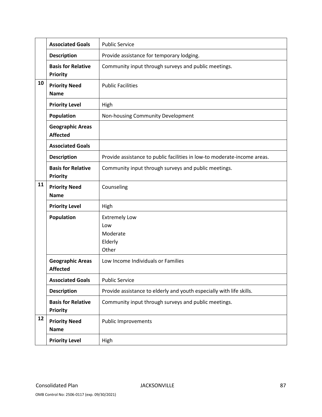|    |                                              | <b>Public Service</b>                                                    |  |  |  |  |  |
|----|----------------------------------------------|--------------------------------------------------------------------------|--|--|--|--|--|
|    | <b>Associated Goals</b>                      |                                                                          |  |  |  |  |  |
|    | <b>Description</b>                           | Provide assistance for temporary lodging.                                |  |  |  |  |  |
|    | <b>Basis for Relative</b><br><b>Priority</b> | Community input through surveys and public meetings.                     |  |  |  |  |  |
| 10 | <b>Priority Need</b><br><b>Name</b>          | <b>Public Facilities</b>                                                 |  |  |  |  |  |
|    | <b>Priority Level</b>                        | High                                                                     |  |  |  |  |  |
|    | <b>Population</b>                            | Non-housing Community Development                                        |  |  |  |  |  |
|    | <b>Geographic Areas</b><br><b>Affected</b>   |                                                                          |  |  |  |  |  |
|    | <b>Associated Goals</b>                      |                                                                          |  |  |  |  |  |
|    | <b>Description</b>                           | Provide assistance to public facilities in low-to moderate-income areas. |  |  |  |  |  |
|    | <b>Basis for Relative</b><br>Priority        | Community input through surveys and public meetings.                     |  |  |  |  |  |
| 11 | <b>Priority Need</b><br><b>Name</b>          | Counseling                                                               |  |  |  |  |  |
|    | <b>Priority Level</b>                        | High                                                                     |  |  |  |  |  |
|    | <b>Population</b>                            | <b>Extremely Low</b><br>Low<br>Moderate<br>Elderly<br>Other              |  |  |  |  |  |
|    | <b>Geographic Areas</b><br><b>Affected</b>   | Low Income Individuals or Families                                       |  |  |  |  |  |
|    | <b>Associated Goals</b>                      | <b>Public Service</b>                                                    |  |  |  |  |  |
|    | <b>Description</b>                           | Provide assistance to elderly and youth especially with life skills.     |  |  |  |  |  |
|    | <b>Basis for Relative</b><br><b>Priority</b> | Community input through surveys and public meetings.                     |  |  |  |  |  |
| 12 | <b>Priority Need</b><br><b>Name</b>          | <b>Public Improvements</b>                                               |  |  |  |  |  |
|    | <b>Priority Level</b>                        | High                                                                     |  |  |  |  |  |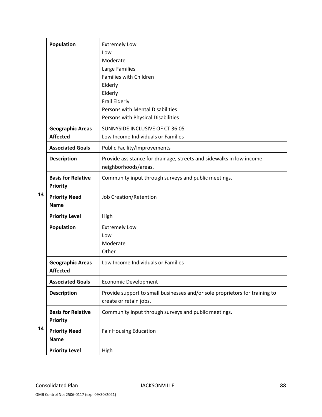|    | Population                                   | <b>Extremely Low</b><br>Low                                                                           |  |  |  |  |  |
|----|----------------------------------------------|-------------------------------------------------------------------------------------------------------|--|--|--|--|--|
|    |                                              | Moderate                                                                                              |  |  |  |  |  |
|    |                                              | Large Families                                                                                        |  |  |  |  |  |
|    |                                              | Families with Children                                                                                |  |  |  |  |  |
|    |                                              | Elderly                                                                                               |  |  |  |  |  |
|    |                                              | Elderly                                                                                               |  |  |  |  |  |
|    |                                              | Frail Elderly                                                                                         |  |  |  |  |  |
|    |                                              | Persons with Mental Disabilities                                                                      |  |  |  |  |  |
|    |                                              | Persons with Physical Disabilities                                                                    |  |  |  |  |  |
|    | <b>Geographic Areas</b>                      | SUNNYSIDE INCLUSIVE OF CT 36.05                                                                       |  |  |  |  |  |
|    | <b>Affected</b>                              | Low Income Individuals or Families                                                                    |  |  |  |  |  |
|    | <b>Associated Goals</b>                      | <b>Public Facility/Improvements</b>                                                                   |  |  |  |  |  |
|    | <b>Description</b>                           | Provide assistance for drainage, streets and sidewalks in low income<br>neighborhoods/areas.          |  |  |  |  |  |
|    | <b>Basis for Relative</b><br><b>Priority</b> | Community input through surveys and public meetings.                                                  |  |  |  |  |  |
| 13 | <b>Priority Need</b><br><b>Name</b>          | Job Creation/Retention                                                                                |  |  |  |  |  |
|    | <b>Priority Level</b>                        | High                                                                                                  |  |  |  |  |  |
|    | Population                                   | <b>Extremely Low</b>                                                                                  |  |  |  |  |  |
|    |                                              | Low                                                                                                   |  |  |  |  |  |
|    |                                              | Moderate                                                                                              |  |  |  |  |  |
|    |                                              | Other                                                                                                 |  |  |  |  |  |
|    | <b>Geographic Areas</b><br><b>Affected</b>   | Low Income Individuals or Families                                                                    |  |  |  |  |  |
|    | <b>Associated Goals</b>                      | <b>Economic Development</b>                                                                           |  |  |  |  |  |
|    | <b>Description</b>                           | Provide support to small businesses and/or sole proprietors for training to<br>create or retain jobs. |  |  |  |  |  |
|    | <b>Basis for Relative</b><br><b>Priority</b> | Community input through surveys and public meetings.                                                  |  |  |  |  |  |
| 14 | <b>Priority Need</b><br><b>Name</b>          | <b>Fair Housing Education</b>                                                                         |  |  |  |  |  |
|    | <b>Priority Level</b>                        | High                                                                                                  |  |  |  |  |  |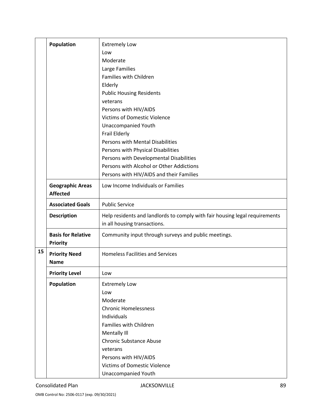|    | <b>Population</b>                            | <b>Extremely Low</b>                                                                                        |  |  |  |  |  |
|----|----------------------------------------------|-------------------------------------------------------------------------------------------------------------|--|--|--|--|--|
|    |                                              | Low                                                                                                         |  |  |  |  |  |
|    |                                              | Moderate                                                                                                    |  |  |  |  |  |
|    |                                              | Large Families                                                                                              |  |  |  |  |  |
|    |                                              | Families with Children                                                                                      |  |  |  |  |  |
|    |                                              | Elderly                                                                                                     |  |  |  |  |  |
|    |                                              | <b>Public Housing Residents</b>                                                                             |  |  |  |  |  |
|    |                                              | veterans                                                                                                    |  |  |  |  |  |
|    |                                              | Persons with HIV/AIDS                                                                                       |  |  |  |  |  |
|    |                                              | <b>Victims of Domestic Violence</b>                                                                         |  |  |  |  |  |
|    |                                              | <b>Unaccompanied Youth</b>                                                                                  |  |  |  |  |  |
|    |                                              | Frail Elderly                                                                                               |  |  |  |  |  |
|    |                                              | Persons with Mental Disabilities                                                                            |  |  |  |  |  |
|    |                                              | Persons with Physical Disabilities                                                                          |  |  |  |  |  |
|    |                                              | Persons with Developmental Disabilities                                                                     |  |  |  |  |  |
|    |                                              | Persons with Alcohol or Other Addictions                                                                    |  |  |  |  |  |
|    |                                              | Persons with HIV/AIDS and their Families                                                                    |  |  |  |  |  |
|    | <b>Geographic Areas</b><br><b>Affected</b>   | Low Income Individuals or Families                                                                          |  |  |  |  |  |
|    | <b>Associated Goals</b>                      | <b>Public Service</b>                                                                                       |  |  |  |  |  |
|    | <b>Description</b>                           | Help residents and landlords to comply with fair housing legal requirements<br>in all housing transactions. |  |  |  |  |  |
|    | <b>Basis for Relative</b><br><b>Priority</b> | Community input through surveys and public meetings.                                                        |  |  |  |  |  |
| 15 | <b>Priority Need</b><br><b>Name</b>          | <b>Homeless Facilities and Services</b>                                                                     |  |  |  |  |  |
|    | <b>Priority Level</b>                        | Low                                                                                                         |  |  |  |  |  |
|    | <b>Population</b>                            | <b>Extremely Low</b>                                                                                        |  |  |  |  |  |
|    |                                              | Low                                                                                                         |  |  |  |  |  |
|    |                                              | Moderate                                                                                                    |  |  |  |  |  |
|    |                                              | <b>Chronic Homelessness</b>                                                                                 |  |  |  |  |  |
|    |                                              | Individuals                                                                                                 |  |  |  |  |  |
|    |                                              | Families with Children                                                                                      |  |  |  |  |  |
|    |                                              | Mentally III                                                                                                |  |  |  |  |  |
|    |                                              | <b>Chronic Substance Abuse</b>                                                                              |  |  |  |  |  |
|    |                                              | veterans                                                                                                    |  |  |  |  |  |
|    |                                              | Persons with HIV/AIDS                                                                                       |  |  |  |  |  |
|    |                                              | <b>Victims of Domestic Violence</b>                                                                         |  |  |  |  |  |
|    |                                              | <b>Unaccompanied Youth</b>                                                                                  |  |  |  |  |  |

OMB Control No: 2506-0117 (exp. 09/30/2021)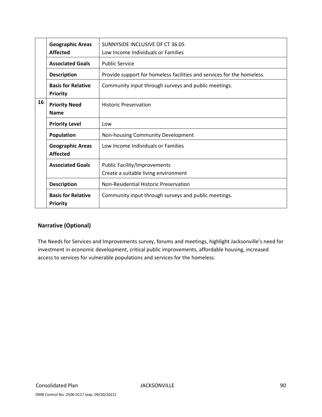|    | <b>Geographic Areas</b>                      | SUNNYSIDE INCLUSIVE OF CT 36.05                                             |
|----|----------------------------------------------|-----------------------------------------------------------------------------|
|    | <b>Affected</b>                              | Low Income Individuals or Families                                          |
|    | <b>Associated Goals</b>                      | <b>Public Service</b>                                                       |
|    | <b>Description</b>                           | Provide support for homeless facilities and services for the homeless.      |
|    | <b>Basis for Relative</b><br><b>Priority</b> | Community input through surveys and public meetings.                        |
| 16 | <b>Priority Need</b><br><b>Name</b>          | <b>Historic Preservation</b>                                                |
|    | <b>Priority Level</b>                        | Low                                                                         |
|    | Population                                   | Non-housing Community Development                                           |
|    | <b>Geographic Areas</b><br><b>Affected</b>   | Low Income Individuals or Families                                          |
|    | <b>Associated Goals</b>                      | <b>Public Facility/Improvements</b><br>Create a suitable living environment |
|    | <b>Description</b>                           | Non-Residential Historic Preservation                                       |
|    | <b>Basis for Relative</b><br><b>Priority</b> | Community input through surveys and public meetings.                        |

#### **Narrative (Optional)**

The Needs for Services and Improvements survey, forums and meetings, highlight Jacksonville's need for investment in economic development, critical public improvements, affordable housing, increased access to services for vulnerable populations and services for the homeless.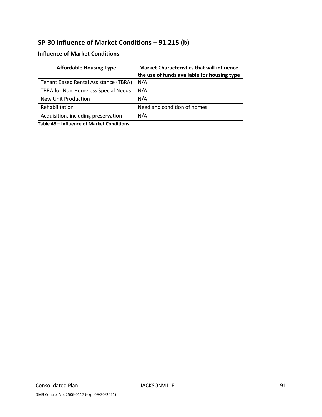# **SP-30 Influence of Market Conditions – 91.215 (b)**

### **Influence of Market Conditions**

| <b>Affordable Housing Type</b>        | <b>Market Characteristics that will influence</b><br>the use of funds available for housing type |
|---------------------------------------|--------------------------------------------------------------------------------------------------|
| Tenant Based Rental Assistance (TBRA) | N/A                                                                                              |
| TBRA for Non-Homeless Special Needs   | N/A                                                                                              |
| New Unit Production                   | N/A                                                                                              |
| Rehabilitation                        | Need and condition of homes.                                                                     |
| Acquisition, including preservation   | N/A                                                                                              |

**Table 48 – Influence of Market Conditions**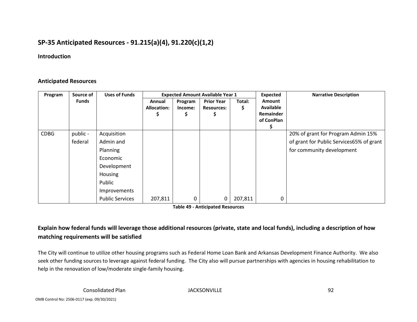# **SP-35 Anticipated Resources - 91.215(a)(4), 91.220(c)(1,2)**

#### **Introduction**

#### **Anticipated Resources**

| Program     | Source of           | <b>Uses of Funds</b>                                                                                 |                                   |                         | <b>Expected Amount Available Year 1</b>     |              | <b>Expected</b>                                                     | <b>Narrative Description</b>                                                                                |
|-------------|---------------------|------------------------------------------------------------------------------------------------------|-----------------------------------|-------------------------|---------------------------------------------|--------------|---------------------------------------------------------------------|-------------------------------------------------------------------------------------------------------------|
|             | <b>Funds</b>        |                                                                                                      | Annual<br><b>Allocation:</b><br>S | Program<br>Income:<br>Ş | <b>Prior Year</b><br><b>Resources:</b><br>5 | Total:<br>Ş. | <b>Amount</b><br><b>Available</b><br><b>Remainder</b><br>of ConPlan |                                                                                                             |
| <b>CDBG</b> | public -<br>federal | Acquisition<br>Admin and<br>Planning<br>Economic<br>Development<br>Housing<br>Public<br>Improvements |                                   |                         |                                             |              |                                                                     | 20% of grant for Program Admin 15%<br>of grant for Public Services65% of grant<br>for community development |
|             |                     | <b>Public Services</b>                                                                               | 207,811                           | 0                       | 0                                           | 207,811      | 0                                                                   |                                                                                                             |

**Table 49 - Anticipated Resources**

### **Explain how federal funds will leverage those additional resources (private, state and local funds), including a description of how matching requirements will be satisfied**

The City will continue to utilize other housing programs such as Federal Home Loan Bank and Arkansas Development Finance Authority. We also seek other funding sources to leverage against federal funding. The City also will pursue partnerships with agencies in housing rehabilitation to help in the renovation of low/moderate single-family housing.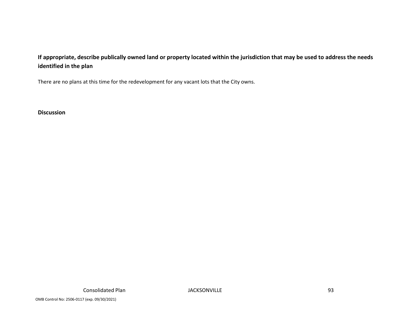### **If appropriate, describe publically owned land or property located within the jurisdiction that may be used to address the needs identified in the plan**

There are no plans at this time for the redevelopment for any vacant lots that the City owns.

**Discussion**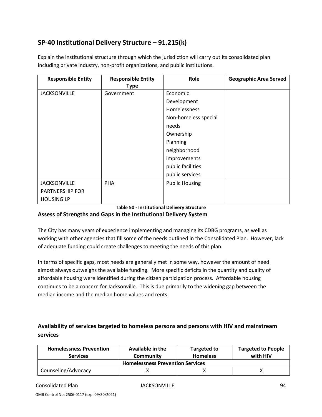## **SP-40 Institutional Delivery Structure – 91.215(k)**

Explain the institutional structure through which the jurisdiction will carry out its consolidated plan including private industry, non-profit organizations, and public institutions.

| <b>Responsible Entity</b> | <b>Responsible Entity</b> | Role                  | <b>Geographic Area Served</b> |
|---------------------------|---------------------------|-----------------------|-------------------------------|
|                           | <b>Type</b>               |                       |                               |
| <b>JACKSONVILLE</b>       | Government                | Economic              |                               |
|                           |                           | Development           |                               |
|                           |                           | Homelessness          |                               |
|                           |                           | Non-homeless special  |                               |
|                           |                           | needs                 |                               |
|                           |                           | Ownership             |                               |
|                           |                           | Planning              |                               |
|                           |                           | neighborhood          |                               |
|                           |                           | improvements          |                               |
|                           |                           | public facilities     |                               |
|                           |                           | public services       |                               |
| <b>JACKSONVILLE</b>       | <b>PHA</b>                | <b>Public Housing</b> |                               |
| <b>PARTNERSHIP FOR</b>    |                           |                       |                               |
| <b>HOUSING LP</b>         |                           |                       |                               |

**Table 50 - Institutional Delivery Structure**

#### **Assess of Strengths and Gaps in the Institutional Delivery System**

The City has many years of experience implementing and managing its CDBG programs, as well as working with other agencies that fill some of the needs outlined in the Consolidated Plan. However, lack of adequate funding could create challenges to meeting the needs of this plan.

In terms of specific gaps, most needs are generally met in some way, however the amount of need almost always outweighs the available funding. More specific deficits in the quantity and quality of affordable housing were identified during the citizen participation process. Affordable housing continues to be a concern for Jacksonville. This is due primarily to the widening gap between the median income and the median home values and rents.

### **Availability of services targeted to homeless persons and persons with HIV and mainstream services**

| <b>Homelessness Prevention</b><br><b>Services</b> | <b>Available in the</b><br>Community | Targeted to<br><b>Homeless</b> | <b>Targeted to People</b><br>with HIV |  |  |  |  |  |
|---------------------------------------------------|--------------------------------------|--------------------------------|---------------------------------------|--|--|--|--|--|
| <b>Homelessness Prevention Services</b>           |                                      |                                |                                       |  |  |  |  |  |
| Counseling/Advocacy                               |                                      |                                |                                       |  |  |  |  |  |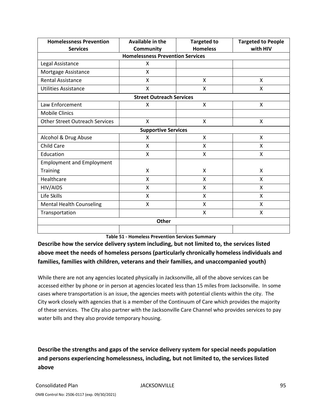| <b>Homelessness Prevention</b><br><b>Services</b> | Available in the                                            | <b>Targeted to</b><br><b>Homeless</b> | <b>Targeted to People</b><br>with HIV |  |  |  |  |  |  |
|---------------------------------------------------|-------------------------------------------------------------|---------------------------------------|---------------------------------------|--|--|--|--|--|--|
|                                                   | <b>Community</b><br><b>Homelessness Prevention Services</b> |                                       |                                       |  |  |  |  |  |  |
| Legal Assistance<br>X                             |                                                             |                                       |                                       |  |  |  |  |  |  |
| Mortgage Assistance                               | X                                                           |                                       |                                       |  |  |  |  |  |  |
| <b>Rental Assistance</b>                          | X                                                           | X                                     | X                                     |  |  |  |  |  |  |
| <b>Utilities Assistance</b>                       | Χ                                                           | X                                     | Χ                                     |  |  |  |  |  |  |
|                                                   | <b>Street Outreach Services</b>                             |                                       |                                       |  |  |  |  |  |  |
| Law Enforcement                                   | X                                                           | X                                     | Χ                                     |  |  |  |  |  |  |
| <b>Mobile Clinics</b>                             |                                                             |                                       |                                       |  |  |  |  |  |  |
| <b>Other Street Outreach Services</b>             | X                                                           | X                                     | X                                     |  |  |  |  |  |  |
| <b>Supportive Services</b>                        |                                                             |                                       |                                       |  |  |  |  |  |  |
| Alcohol & Drug Abuse                              | X                                                           | X                                     | Χ                                     |  |  |  |  |  |  |
| <b>Child Care</b>                                 | X                                                           | X                                     | Χ                                     |  |  |  |  |  |  |
| Education                                         | X                                                           | X                                     | Χ                                     |  |  |  |  |  |  |
| <b>Employment and Employment</b>                  |                                                             |                                       |                                       |  |  |  |  |  |  |
| <b>Training</b>                                   | X                                                           | X                                     | Χ                                     |  |  |  |  |  |  |
| Healthcare                                        | $\mathsf{x}$                                                | X                                     | X                                     |  |  |  |  |  |  |
| HIV/AIDS                                          | X                                                           | Χ                                     | Χ                                     |  |  |  |  |  |  |
| Life Skills                                       | X                                                           | X                                     | X                                     |  |  |  |  |  |  |
| <b>Mental Health Counseling</b>                   | X                                                           | X                                     | Χ                                     |  |  |  |  |  |  |
| Transportation                                    |                                                             | X                                     | X                                     |  |  |  |  |  |  |
|                                                   | <b>Other</b>                                                |                                       |                                       |  |  |  |  |  |  |
|                                                   |                                                             |                                       |                                       |  |  |  |  |  |  |

**Table 51 - Homeless Prevention Services Summary**

**Describe how the service delivery system including, but not limited to, the services listed above meet the needs of homeless persons (particularly chronically homeless individuals and families, families with children, veterans and their families, and unaccompanied youth)**

While there are not any agencies located physically in Jacksonville, all of the above services can be accessed either by phone or in person at agencies located less than 15 miles from Jacksonville. In some cases where transportation is an issue, the agencies meets with potential clients within the city. The City work closely with agencies that is a member of the Continuum of Care which provides the majority of these services. The City also partner with the Jacksonville Care Channel who provides services to pay water bills and they also provide temporary housing.

**Describe the strengths and gaps of the service delivery system for special needs population and persons experiencing homelessness, including, but not limited to, the services listed above**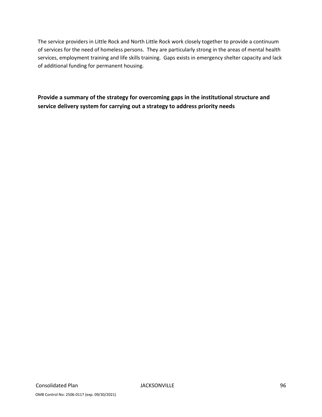The service providers in Little Rock and North Little Rock work closely together to provide a continuum of services for the need of homeless persons. They are particularly strong in the areas of mental health services, employment training and life skills training. Gaps exists in emergency shelter capacity and lack of additional funding for permanent housing.

**Provide a summary of the strategy for overcoming gaps in the institutional structure and service delivery system for carrying out a strategy to address priority needs**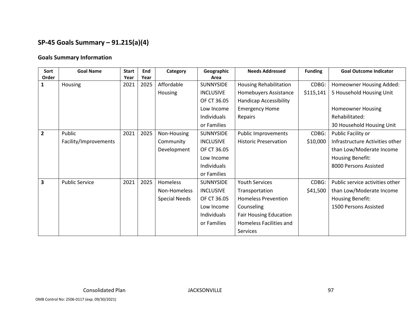# **SP-45 Goals Summary – 91.215(a)(4)**

### **Goals Summary Information**

| Sort           | <b>Goal Name</b>      | <b>Start</b> | End  | Category             | Geographic         | <b>Needs Addressed</b>        | <b>Funding</b> | <b>Goal Outcome Indicator</b>   |
|----------------|-----------------------|--------------|------|----------------------|--------------------|-------------------------------|----------------|---------------------------------|
| Order          |                       | Year         | Year |                      | Area               |                               |                |                                 |
| 1              | Housing               | 2021         | 2025 | Affordable           | SUNNYSIDE          | Housing Rehabilitation        | CDBG:          | Homeowner Housing Added:        |
|                |                       |              |      | Housing              | <b>INCLUSIVE</b>   | Homebuyers Assistance         | \$115,141      | 5 Household Housing Unit        |
|                |                       |              |      |                      | OF CT 36.05        | <b>Handicap Accessibility</b> |                |                                 |
|                |                       |              |      |                      | Low Income         | <b>Emergency Home</b>         |                | <b>Homeowner Housing</b>        |
|                |                       |              |      |                      | Individuals        | Repairs                       |                | Rehabilitated:                  |
|                |                       |              |      |                      | or Families        |                               |                | 30 Household Housing Unit       |
| $\overline{2}$ | Public                | 2021         | 2025 | Non-Housing          | SUNNYSIDE          | <b>Public Improvements</b>    | CDBG:          | Public Facility or              |
|                | Facility/Improvements |              |      | Community            | <b>INCLUSIVE</b>   | <b>Historic Preservation</b>  | \$10,000       | Infrastructure Activities other |
|                |                       |              |      | Development          | OF CT 36.05        |                               |                | than Low/Moderate Income        |
|                |                       |              |      |                      | Low Income         |                               |                | Housing Benefit:                |
|                |                       |              |      |                      | Individuals        |                               |                | 8000 Persons Assisted           |
|                |                       |              |      |                      | or Families        |                               |                |                                 |
| 3              | <b>Public Service</b> | 2021         | 2025 | Homeless             | SUNNYSIDE          | <b>Youth Services</b>         | CDBG:          | Public service activities other |
|                |                       |              |      | Non-Homeless         | <b>INCLUSIVE</b>   | Transportation                | \$41,500       | than Low/Moderate Income        |
|                |                       |              |      | <b>Special Needs</b> | OF CT 36.05        | <b>Homeless Prevention</b>    |                | Housing Benefit:                |
|                |                       |              |      |                      | Low Income         | Counseling                    |                | 1500 Persons Assisted           |
|                |                       |              |      |                      | <b>Individuals</b> | <b>Fair Housing Education</b> |                |                                 |
|                |                       |              |      |                      | or Families        | Homeless Facilities and       |                |                                 |
|                |                       |              |      |                      |                    | <b>Services</b>               |                |                                 |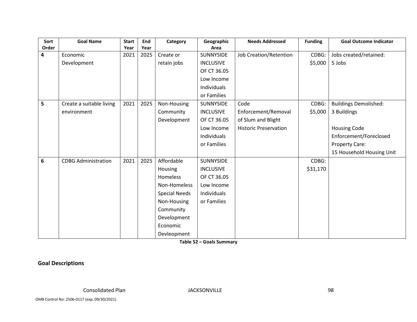| Sort  | <b>Goal Name</b>           | <b>Start</b> | End  | Category             | Geographic       | <b>Needs Addressed</b>       | <b>Funding</b> | <b>Goal Outcome Indicator</b> |
|-------|----------------------------|--------------|------|----------------------|------------------|------------------------------|----------------|-------------------------------|
| Order |                            | Year         | Year |                      | Area             |                              |                |                               |
| 4     | Economic                   | 2021         | 2025 | Create or            | SUNNYSIDE        | Job Creation/Retention       | CDBG:          | Jobs created/retained:        |
|       | Development                |              |      | retain jobs          | <b>INCLUSIVE</b> |                              | \$5,000        | 5 Jobs                        |
|       |                            |              |      |                      | OF CT 36.05      |                              |                |                               |
|       |                            |              |      |                      | Low Income       |                              |                |                               |
|       |                            |              |      |                      | Individuals      |                              |                |                               |
|       |                            |              |      |                      | or Families      |                              |                |                               |
| 5     | Create a suitable living   | 2021         | 2025 | Non-Housing          | SUNNYSIDE        | Code                         | CDBG:          | <b>Buildings Demolished:</b>  |
|       | environment                |              |      | Community            | <b>INCLUSIVE</b> | Enforcement/Removal          | \$5,000        | 3 Buildings                   |
|       |                            |              |      | Development          | OF CT 36.05      | of Slum and Blight           |                |                               |
|       |                            |              |      |                      | Low Income       | <b>Historic Preservation</b> |                | <b>Housing Code</b>           |
|       |                            |              |      |                      | Individuals      |                              |                | Enforcement/Foreclosed        |
|       |                            |              |      |                      | or Families      |                              |                | <b>Property Care:</b>         |
|       |                            |              |      |                      |                  |                              |                | 15 Household Housing Unit     |
| 6     | <b>CDBG Administration</b> | 2021         | 2025 | Affordable           | <b>SUNNYSIDE</b> |                              | CDBG:          |                               |
|       |                            |              |      | Housing              | <b>INCLUSIVE</b> |                              | \$31,170       |                               |
|       |                            |              |      | Homeless             | OF CT 36.05      |                              |                |                               |
|       |                            |              |      | Non-Homeless         | Low Income       |                              |                |                               |
|       |                            |              |      | <b>Special Needs</b> | Individuals      |                              |                |                               |
|       |                            |              |      | Non-Housing          | or Families      |                              |                |                               |
|       |                            |              |      | Community            |                  |                              |                |                               |
|       |                            |              |      | Development          |                  |                              |                |                               |
|       |                            |              |      | Economic             |                  |                              |                |                               |
|       |                            |              |      | Devleopment          |                  |                              |                |                               |

**Table 52 – Goals Summary**

**Goal Descriptions**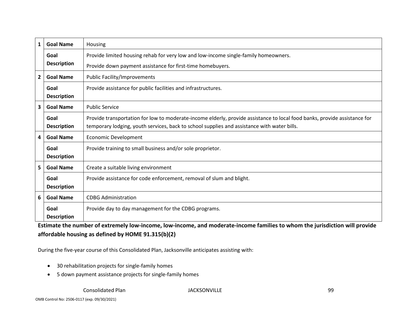| $\mathbf{1}$   | <b>Goal Name</b>           | Housing                                                                                                                                                                                                                  |
|----------------|----------------------------|--------------------------------------------------------------------------------------------------------------------------------------------------------------------------------------------------------------------------|
|                | Goal                       | Provide limited housing rehab for very low and low-income single-family homeowners.                                                                                                                                      |
|                | <b>Description</b>         | Provide down payment assistance for first-time homebuyers.                                                                                                                                                               |
| $\overline{2}$ | <b>Goal Name</b>           | <b>Public Facility/Improvements</b>                                                                                                                                                                                      |
|                | Goal<br><b>Description</b> | Provide assistance for public facilities and infrastructures.                                                                                                                                                            |
| 3              | <b>Goal Name</b>           | <b>Public Service</b>                                                                                                                                                                                                    |
|                | Goal<br><b>Description</b> | Provide transportation for low to moderate-income elderly, provide assistance to local food banks, provide assistance for<br>temporary lodging, youth services, back to school supplies and assistance with water bills. |
| 4              | <b>Goal Name</b>           | <b>Economic Development</b>                                                                                                                                                                                              |
|                | Goal<br><b>Description</b> | Provide training to small business and/or sole proprietor.                                                                                                                                                               |
| 5.             | <b>Goal Name</b>           | Create a suitable living environment                                                                                                                                                                                     |
|                | Goal<br><b>Description</b> | Provide assistance for code enforcement, removal of slum and blight.                                                                                                                                                     |
| 6              | <b>Goal Name</b>           | <b>CDBG Administration</b>                                                                                                                                                                                               |
|                | Goal<br><b>Description</b> | Provide day to day management for the CDBG programs.                                                                                                                                                                     |

**Estimate the number of extremely low-income, low-income, and moderate-income families to whom the jurisdiction will provide affordable housing as defined by HOME 91.315(b)(2)**

During the five-year course of this Consolidated Plan, Jacksonville anticipates assisting with:

- 30 rehabilitation projects for single-family homes
- 5 down payment assistance projects for single-family homes

Consolidated Plan JACKSONVILLE 99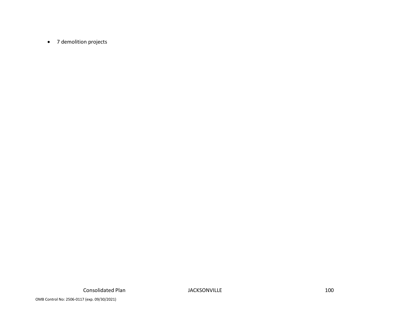• 7 demolition projects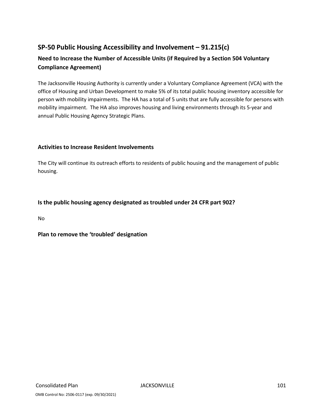### **SP-50 Public Housing Accessibility and Involvement – 91.215(c)**

### **Need to Increase the Number of Accessible Units (if Required by a Section 504 Voluntary Compliance Agreement)**

The Jacksonville Housing Authority is currently under a Voluntary Compliance Agreement (VCA) with the office of Housing and Urban Development to make 5% of its total public housing inventory accessible for person with mobility impairments. The HA has a total of 5 units that are fully accessible for persons with mobility impairment. The HA also improves housing and living environments through its 5-year and annual Public Housing Agency Strategic Plans.

#### **Activities to Increase Resident Involvements**

The City will continue its outreach efforts to residents of public housing and the management of public housing.

#### **Is the public housing agency designated as troubled under 24 CFR part 902?**

No

#### **Plan to remove the 'troubled' designation**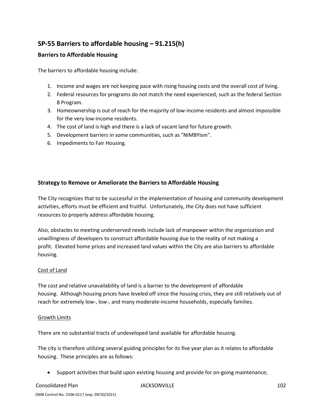## **SP-55 Barriers to affordable housing – 91.215(h)**

#### **Barriers to Affordable Housing**

The barriers to affordable housing include:

- 1. Income and wages are not keeping pace with rising housing costs and the overall cost of living.
- 2. Federal resources for programs do not match the need experienced, such as the federal Section 8 Program.
- 3. Homeownership is out of reach for the majority of low-income residents and almost impossible for the very low-income residents.
- 4. The cost of land is high and there is a lack of vacant land for future growth.
- 5. Development barriers in some communities, such as "NIMBYism".
- 6. Impediments to Fair Housing.

#### **Strategy to Remove or Ameliorate the Barriers to Affordable Housing**

The City recognizes that to be successful in the implementation of housing and community development activities, efforts must be efficient and fruitful. Unfortunately, the City does not have sufficient resources to properly address affordable housing.

Also, obstacles to meeting underserved needs include lack of manpower within the organization and unwillingness of developers to construct affordable housing due to the reality of not making a profit. Elevated home prices and increased land values within the City are also barriers to affordable housing.

#### Cost of Land

The cost and relative unavailability of land is a barrier to the development of affordable housing. Although housing prices have leveled off since the housing crisis, they are still relatively out of reach for extremely low-, low-, and many moderate-income households, especially families.

#### Growth Limits

There are no substantial tracts of undeveloped land available for affordable housing.

The city is therefore utilizing several guiding principles for its five year plan as it relates to affordable housing. These principles are as follows:

• Support activities that build upon existing housing and provide for on-going maintenance;

#### Consolidated Plan JACKSONVILLE 102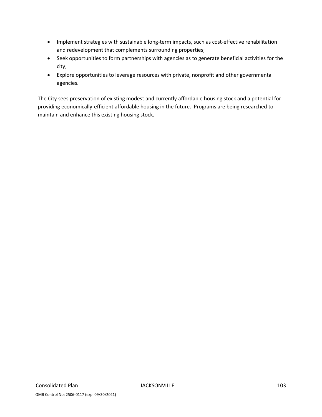- Implement strategies with sustainable long-term impacts, such as cost-effective rehabilitation and redevelopment that complements surrounding properties;
- Seek opportunities to form partnerships with agencies as to generate beneficial activities for the city;
- Explore opportunities to leverage resources with private, nonprofit and other governmental agencies.

The City sees preservation of existing modest and currently affordable housing stock and a potential for providing economically-efficient affordable housing in the future. Programs are being researched to maintain and enhance this existing housing stock.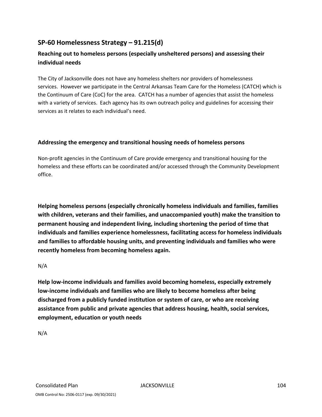### **SP-60 Homelessness Strategy – 91.215(d)**

### **Reaching out to homeless persons (especially unsheltered persons) and assessing their individual needs**

The City of Jacksonville does not have any homeless shelters nor providers of homelessness services. However we participate in the Central Arkansas Team Care for the Homeless (CATCH) which is the Continuum of Care (CoC) for the area. CATCH has a number of agencies that assist the homeless with a variety of services. Each agency has its own outreach policy and guidelines for accessing their services as it relates to each individual's need.

#### **Addressing the emergency and transitional housing needs of homeless persons**

Non-profit agencies in the Continuum of Care provide emergency and transitional housing for the homeless and these efforts can be coordinated and/or accessed through the Community Development office.

**Helping homeless persons (especially chronically homeless individuals and families, families with children, veterans and their families, and unaccompanied youth) make the transition to permanent housing and independent living, including shortening the period of time that individuals and families experience homelessness, facilitating access for homeless individuals and families to affordable housing units, and preventing individuals and families who were recently homeless from becoming homeless again.**

N/A

**Help low-income individuals and families avoid becoming homeless, especially extremely low-income individuals and families who are likely to become homeless after being discharged from a publicly funded institution or system of care, or who are receiving assistance from public and private agencies that address housing, health, social services, employment, education or youth needs**

N/A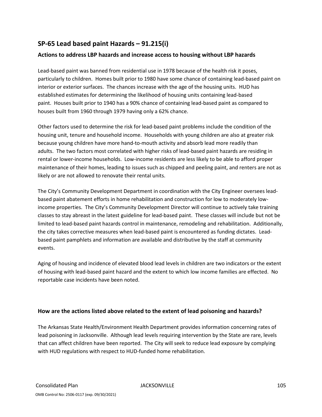### **SP-65 Lead based paint Hazards – 91.215(i)**

#### **Actions to address LBP hazards and increase access to housing without LBP hazards**

Lead-based paint was banned from residential use in 1978 because of the health risk it poses, particularly to children. Homes built prior to 1980 have some chance of containing lead-based paint on interior or exterior surfaces. The chances increase with the age of the housing units. HUD has established estimates for determining the likelihood of housing units containing lead-based paint. Houses built prior to 1940 has a 90% chance of containing lead-based paint as compared to houses built from 1960 through 1979 having only a 62% chance.

Other factors used to determine the risk for lead-based paint problems include the condition of the housing unit, tenure and household income. Households with young children are also at greater risk because young children have more hand-to-mouth activity and absorb lead more readily than adults. The two factors most correlated with higher risks of lead-based paint hazards are residing in rental or lower-income households. Low-income residents are less likely to be able to afford proper maintenance of their homes, leading to issues such as chipped and peeling paint, and renters are not as likely or are not allowed to renovate their rental units.

The City's Community Development Department in coordination with the City Engineer oversees leadbased paint abatement efforts in home rehabilitation and construction for low to moderately lowincome properties. The City's Community Development Director will continue to actively take training classes to stay abreast in the latest guideline for lead-based paint. These classes will include but not be limited to lead-based paint hazards control in maintenance, remodeling and rehabilitation. Additionally, the city takes corrective measures when lead-based paint is encountered as funding dictates. Leadbased paint pamphlets and information are available and distributive by the staff at community events.

Aging of housing and incidence of elevated blood lead levels in children are two indicators or the extent of housing with lead-based paint hazard and the extent to which low income families are effected. No reportable case incidents have been noted.

#### **How are the actions listed above related to the extent of lead poisoning and hazards?**

The Arkansas State Health/Environment Health Department provides information concerning rates of lead poisoning in Jacksonville. Although lead levels requiring intervention by the State are rare, levels that can affect children have been reported. The City will seek to reduce lead exposure by complying with HUD regulations with respect to HUD-funded home rehabilitation.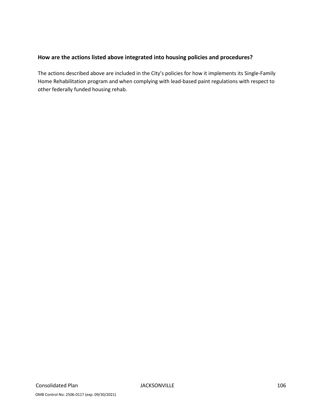#### **How are the actions listed above integrated into housing policies and procedures?**

The actions described above are included in the City's policies for how it implements its Single-Family Home Rehabilitation program and when complying with lead-based paint regulations with respect to other federally funded housing rehab.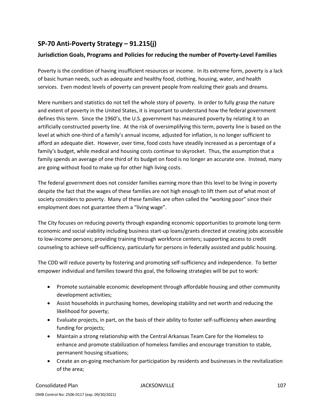## **SP-70 Anti-Poverty Strategy – 91.215(j)**

#### **Jurisdiction Goals, Programs and Policies for reducing the number of Poverty-Level Families**

Poverty is the condition of having insufficient resources or income. In its extreme form, poverty is a lack of basic human needs, such as adequate and healthy food, clothing, housing, water, and health services. Even modest levels of poverty can prevent people from realizing their goals and dreams.

Mere numbers and statistics do not tell the whole story of poverty. In order to fully grasp the nature and extent of poverty in the United States, it is important to understand how the federal government defines this term. Since the 1960's, the U.S. government has measured poverty by relating it to an artificially constructed poverty line. At the risk of oversimplifying this term, poverty line is based on the level at which one-third of a family's annual income, adjusted for inflation, is no longer sufficient to afford an adequate diet. However, over time, food costs have steadily increased as a percentage of a family's budget, while medical and housing costs continue to skyrocket. Thus, the assumption that a family spends an average of one third of its budget on food is no longer an accurate one. Instead, many are going without food to make up for other high living costs.

The federal government does not consider families earning more than this level to be living in poverty despite the fact that the wages of these families are not high enough to lift them out of what most of society considers to poverty. Many of these families are often called the "working poor" since their employment does not guarantee them a "living wage".

The City focuses on reducing poverty through expanding economic opportunities to promote long-term economic and social viability including business start-up loans/grants directed at creating jobs accessible to low-income persons; providing training through workforce centers; supporting access to credit counseling to achieve self-sufficiency, particularly for persons in federally assisted and public housing.

The CDD will reduce poverty by fostering and promoting self-sufficiency and independence. To better empower individual and families toward this goal, the following strategies will be put to work:

- Promote sustainable economic development through affordable housing and other community development activities;
- Assist households in purchasing homes, developing stability and net worth and reducing the likelihood for poverty;
- Evaluate projects, in part, on the basis of their ability to foster self-sufficiency when awarding funding for projects;
- Maintain a strong relationship with the Central Arkansas Team Care for the Homeless to enhance and promote stabilization of homeless families and encourage transition to stable, permanent housing situations;
- Create an on-going mechanism for participation by residents and businesses in the revitalization of the area;

#### Consolidated Plan JACKSONVILLE 107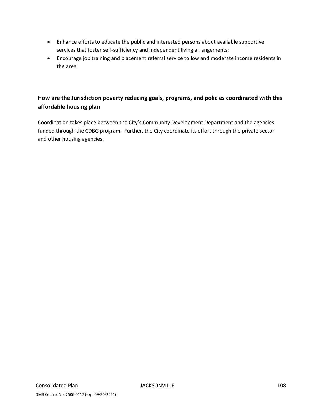- Enhance efforts to educate the public and interested persons about available supportive services that foster self-sufficiency and independent living arrangements;
- Encourage job training and placement referral service to low and moderate income residents in the area.

## **How are the Jurisdiction poverty reducing goals, programs, and policies coordinated with this affordable housing plan**

Coordination takes place between the City's Community Development Department and the agencies funded through the CDBG program. Further, the City coordinate its effort through the private sector and other housing agencies.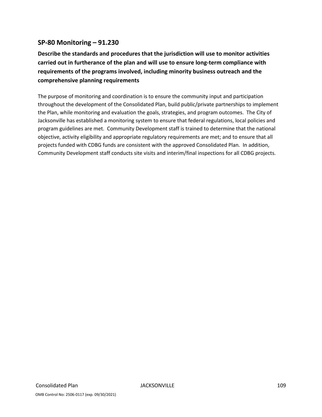## **SP-80 Monitoring – 91.230**

**Describe the standards and procedures that the jurisdiction will use to monitor activities carried out in furtherance of the plan and will use to ensure long-term compliance with requirements of the programs involved, including minority business outreach and the comprehensive planning requirements**

The purpose of monitoring and coordination is to ensure the community input and participation throughout the development of the Consolidated Plan, build public/private partnerships to implement the Plan, while monitoring and evaluation the goals, strategies, and program outcomes. The City of Jacksonville has established a monitoring system to ensure that federal regulations, local policies and program guidelines are met. Community Development staff is trained to determine that the national objective, activity eligibility and appropriate regulatory requirements are met; and to ensure that all projects funded with CDBG funds are consistent with the approved Consolidated Plan. In addition, Community Development staff conducts site visits and interim/final inspections for all CDBG projects.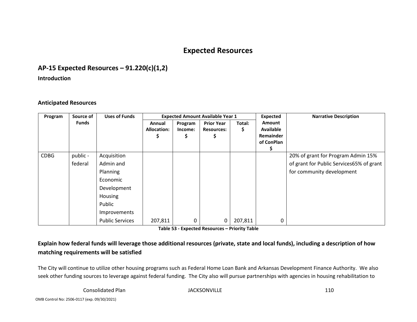## **Expected Resources**

## **AP-15 Expected Resources – 91.220(c)(1,2)**

#### **Introduction**

#### **Anticipated Resources**

| Program     | Source of    | <b>Uses of Funds</b>   |                                   |                         | <b>Expected Amount Available Year 1</b>     |             | <b>Expected</b>                                              | <b>Narrative Description</b>             |
|-------------|--------------|------------------------|-----------------------------------|-------------------------|---------------------------------------------|-------------|--------------------------------------------------------------|------------------------------------------|
|             | <b>Funds</b> |                        | Annual<br><b>Allocation:</b><br>১ | Program<br>Income:<br>Ş | <b>Prior Year</b><br><b>Resources:</b><br>⋗ | Total:<br>Ş | <b>Amount</b><br>Available<br><b>Remainder</b><br>of ConPlan |                                          |
| <b>CDBG</b> | public -     | Acquisition            |                                   |                         |                                             |             |                                                              | 20% of grant for Program Admin 15%       |
|             | federal      | Admin and              |                                   |                         |                                             |             |                                                              | of grant for Public Services65% of grant |
|             |              | Planning               |                                   |                         |                                             |             |                                                              | for community development                |
|             |              | Economic               |                                   |                         |                                             |             |                                                              |                                          |
|             |              | Development            |                                   |                         |                                             |             |                                                              |                                          |
|             |              | Housing                |                                   |                         |                                             |             |                                                              |                                          |
|             |              | Public                 |                                   |                         |                                             |             |                                                              |                                          |
|             |              | Improvements           |                                   |                         |                                             |             |                                                              |                                          |
|             |              | <b>Public Services</b> | 207,811                           | 0                       | 0                                           | 207,811     | 0                                                            |                                          |

**Table 53 - Expected Resources – Priority Table**

## **Explain how federal funds will leverage those additional resources (private, state and local funds), including a description of how matching requirements will be satisfied**

The City will continue to utilize other housing programs such as Federal Home Loan Bank and Arkansas Development Finance Authority. We also seek other funding sources to leverage against federal funding. The City also will pursue partnerships with agencies in housing rehabilitation to

Consolidated Plan JACKSONVILLE 110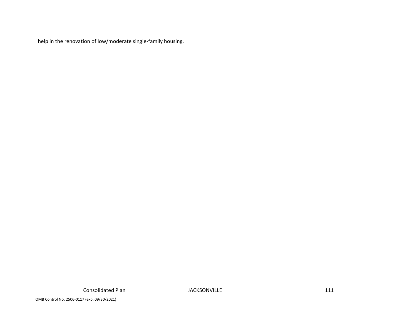help in the renovation of low/moderate single-family housing.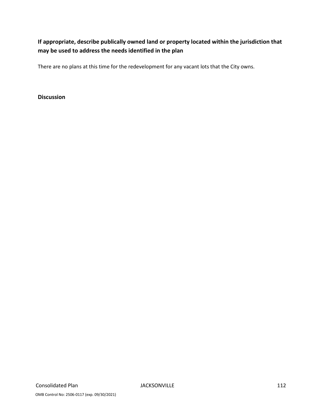## **If appropriate, describe publically owned land or property located within the jurisdiction that may be used to address the needs identified in the plan**

There are no plans at this time for the redevelopment for any vacant lots that the City owns.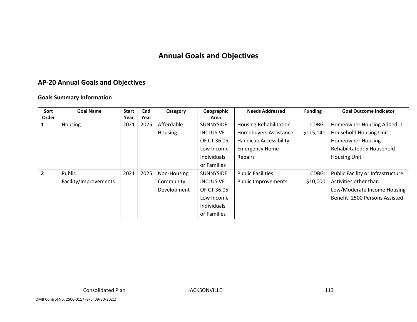# **Annual Goals and Objectives**

## **AP-20 Annual Goals and Objectives**

#### **Goals Summary Information**

| Sort           | <b>Goal Name</b>      | <b>Start</b> | End  | Category    | Geographic       | <b>Needs Addressed</b>        | <b>Funding</b> | <b>Goal Outcome Indicator</b>     |
|----------------|-----------------------|--------------|------|-------------|------------------|-------------------------------|----------------|-----------------------------------|
| Order          |                       | Year         | Year |             | Area             |                               |                |                                   |
|                | <b>Housing</b>        | 2021         | 2025 | Affordable  | SUNNYSIDE        | <b>Housing Rehabilitation</b> | CDBG:          | Homeowner Housing Added: 1        |
|                |                       |              |      | Housing     | <b>INCLUSIVE</b> | <b>Homebuyers Assistance</b>  | \$115,141      | <b>Household Housing Unit</b>     |
|                |                       |              |      |             | OF CT 36.05      | <b>Handicap Accessibility</b> |                | <b>Homeowner Housing</b>          |
|                |                       |              |      |             | Low Income       | <b>Emergency Home</b>         |                | Rehabilitated: 5 Household        |
|                |                       |              |      |             | Individuals      | Repairs                       |                | <b>Housing Unit</b>               |
|                |                       |              |      |             | or Families      |                               |                |                                   |
| $\overline{2}$ | Public                | 2021         | 2025 | Non-Housing | SUNNYSIDE        | <b>Public Facilities</b>      | CDBG:          | Public Facility or Infrastructure |
|                | Facility/Improvements |              |      | Community   | <b>INCLUSIVE</b> | <b>Public Improvements</b>    | \$10,000       | Activities other than             |
|                |                       |              |      | Development | OF CT 36.05      |                               |                | Low/Moderate Income Housing       |
|                |                       |              |      |             | Low Income       |                               |                | Benefit: 2500 Persons Assisted    |
|                |                       |              |      |             | Individuals      |                               |                |                                   |
|                |                       |              |      |             | or Families      |                               |                |                                   |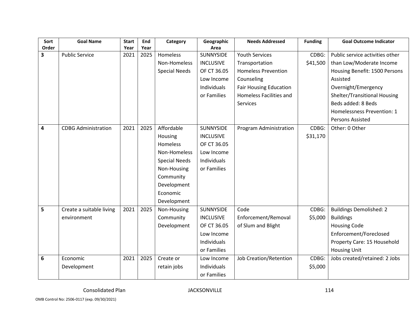| Sort  | <b>Goal Name</b>           | <b>Start</b> | End  | Category             | Geographic         | <b>Needs Addressed</b>         | <b>Funding</b> | <b>Goal Outcome Indicator</b>   |
|-------|----------------------------|--------------|------|----------------------|--------------------|--------------------------------|----------------|---------------------------------|
| Order |                            | Year         | Year |                      | Area               |                                |                |                                 |
| 3     | <b>Public Service</b>      | 2021         | 2025 | Homeless             | <b>SUNNYSIDE</b>   | <b>Youth Services</b>          | CDBG:          | Public service activities other |
|       |                            |              |      | Non-Homeless         | <b>INCLUSIVE</b>   | Transportation                 | \$41,500       | than Low/Moderate Income        |
|       |                            |              |      | <b>Special Needs</b> | OF CT 36.05        | <b>Homeless Prevention</b>     |                | Housing Benefit: 1500 Persons   |
|       |                            |              |      |                      | Low Income         | Counseling                     |                | Assisted                        |
|       |                            |              |      |                      | <b>Individuals</b> | <b>Fair Housing Education</b>  |                | Overnight/Emergency             |
|       |                            |              |      |                      | or Families        | <b>Homeless Facilities and</b> |                | Shelter/Transitional Housing    |
|       |                            |              |      |                      |                    | <b>Services</b>                |                | Beds added: 8 Beds              |
|       |                            |              |      |                      |                    |                                |                | Homelessness Prevention: 1      |
|       |                            |              |      |                      |                    |                                |                | <b>Persons Assisted</b>         |
| 4     | <b>CDBG Administration</b> | 2021         | 2025 | Affordable           | SUNNYSIDE          | Program Administration         | CDBG:          | Other: 0 Other                  |
|       |                            |              |      | Housing              | <b>INCLUSIVE</b>   |                                | \$31,170       |                                 |
|       |                            |              |      | Homeless             | OF CT 36.05        |                                |                |                                 |
|       |                            |              |      | Non-Homeless         | Low Income         |                                |                |                                 |
|       |                            |              |      | <b>Special Needs</b> | Individuals        |                                |                |                                 |
|       |                            |              |      | Non-Housing          | or Families        |                                |                |                                 |
|       |                            |              |      | Community            |                    |                                |                |                                 |
|       |                            |              |      | Development          |                    |                                |                |                                 |
|       |                            |              |      | Economic             |                    |                                |                |                                 |
|       |                            |              |      | Development          |                    |                                |                |                                 |
| 5     | Create a suitable living   | 2021         | 2025 | Non-Housing          | SUNNYSIDE          | Code                           | CDBG:          | <b>Buildings Demolished: 2</b>  |
|       | environment                |              |      | Community            | <b>INCLUSIVE</b>   | Enforcement/Removal            | \$5,000        | <b>Buildings</b>                |
|       |                            |              |      | Development          | OF CT 36.05        | of Slum and Blight             |                | <b>Housing Code</b>             |
|       |                            |              |      |                      | Low Income         |                                |                | Enforcement/Foreclosed          |
|       |                            |              |      |                      | Individuals        |                                |                | Property Care: 15 Household     |
|       |                            |              |      |                      | or Families        |                                |                | <b>Housing Unit</b>             |
| 6     | Economic                   | 2021         | 2025 | Create or            | Low Income         | Job Creation/Retention         | CDBG:          | Jobs created/retained: 2 Jobs   |
|       | Development                |              |      | retain jobs          | Individuals        |                                | \$5,000        |                                 |
|       |                            |              |      |                      | or Families        |                                |                |                                 |

Consolidated Plan 114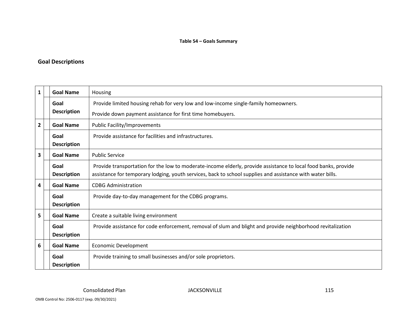#### **Goal Descriptions**

| $\mathbf{1}$   | <b>Goal Name</b>           | Housing                                                                                                                                                                                                                      |
|----------------|----------------------------|------------------------------------------------------------------------------------------------------------------------------------------------------------------------------------------------------------------------------|
|                | Goal                       | Provide limited housing rehab for very low and low-income single-family homeowners.                                                                                                                                          |
|                | <b>Description</b>         | Provide down payment assistance for first time homebuyers.                                                                                                                                                                   |
| $\overline{2}$ | <b>Goal Name</b>           | <b>Public Facility/Improvements</b>                                                                                                                                                                                          |
|                | Goal<br><b>Description</b> | Provide assistance for facilities and infrastructures.                                                                                                                                                                       |
| 3              | <b>Goal Name</b>           | <b>Public Service</b>                                                                                                                                                                                                        |
|                | Goal<br><b>Description</b> | Provide transportation for the low to moderate-income elderly, provide assistance to local food banks, provide<br>assistance for temporary lodging, youth services, back to school supplies and assistance with water bills. |
| 4              | <b>Goal Name</b>           | <b>CDBG Administration</b>                                                                                                                                                                                                   |
|                | Goal<br><b>Description</b> | Provide day-to-day management for the CDBG programs.                                                                                                                                                                         |
| 5.             | <b>Goal Name</b>           | Create a suitable living environment                                                                                                                                                                                         |
|                | Goal<br><b>Description</b> | Provide assistance for code enforcement, removal of slum and blight and provide neighborhood revitalization                                                                                                                  |
| 6              | <b>Goal Name</b>           | <b>Economic Development</b>                                                                                                                                                                                                  |
|                | Goal<br><b>Description</b> | Provide training to small businesses and/or sole proprietors.                                                                                                                                                                |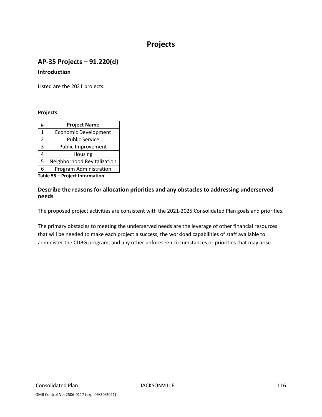# **Projects**

## **AP-35 Projects – 91.220(d)**

#### **Introduction**

Listed are the 2021 projects.

#### **Projects**

| # | <b>Project Name</b>         |
|---|-----------------------------|
| 1 | <b>Economic Development</b> |
| 2 | <b>Public Service</b>       |
| 3 | Public Improvement          |
| 4 | Housing                     |
| 5 | Neighborhood Revitalization |
| 6 | Program Administration      |

**Table 55 – Project Information**

#### **Describe the reasons for allocation priorities and any obstacles to addressing underserved needs**

The proposed project activities are consistent with the 2021-2025 Consolidated Plan goals and priorities.

The primary obstacles to meeting the underserved needs are the leverage of other financial resources that will be needed to make each project a success, the workload capabilities of staff available to administer the CDBG program, and any other unforeseen circumstances or priorities that may arise.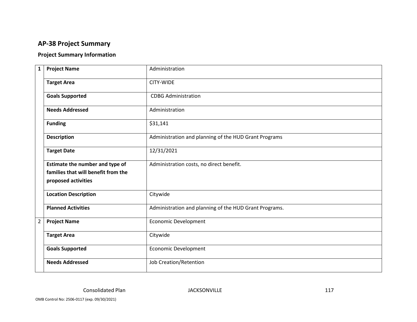# **AP-38 Project Summary**

## **Project Summary Information**

| $\mathbf{1}$   | <b>Project Name</b>                 | Administration                                         |  |  |  |
|----------------|-------------------------------------|--------------------------------------------------------|--|--|--|
|                | <b>Target Area</b>                  | CITY-WIDE                                              |  |  |  |
|                | <b>Goals Supported</b>              | <b>CDBG Administration</b>                             |  |  |  |
|                | <b>Needs Addressed</b>              | Administration                                         |  |  |  |
|                | <b>Funding</b>                      | \$31,141                                               |  |  |  |
|                | <b>Description</b>                  | Administration and planning of the HUD Grant Programs  |  |  |  |
|                | <b>Target Date</b>                  | 12/31/2021                                             |  |  |  |
|                | Estimate the number and type of     | Administration costs, no direct benefit.               |  |  |  |
|                | families that will benefit from the |                                                        |  |  |  |
|                | proposed activities                 |                                                        |  |  |  |
|                | <b>Location Description</b>         | Citywide                                               |  |  |  |
|                | <b>Planned Activities</b>           | Administration and planning of the HUD Grant Programs. |  |  |  |
| $\overline{2}$ | <b>Project Name</b>                 | <b>Economic Development</b>                            |  |  |  |
|                | <b>Target Area</b>                  | Citywide                                               |  |  |  |
|                | <b>Goals Supported</b>              | Economic Development                                   |  |  |  |
|                | <b>Needs Addressed</b>              | Job Creation/Retention                                 |  |  |  |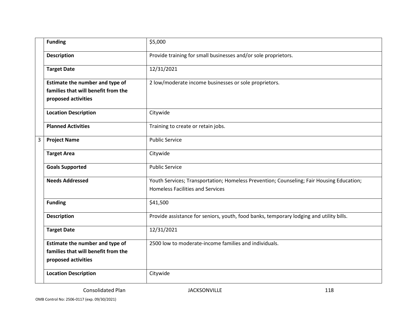|                | <b>Funding</b>                      | \$5,000                                                                                  |
|----------------|-------------------------------------|------------------------------------------------------------------------------------------|
|                | <b>Description</b>                  | Provide training for small businesses and/or sole proprietors.                           |
|                | <b>Target Date</b>                  | 12/31/2021                                                                               |
|                | Estimate the number and type of     | 2 low/moderate income businesses or sole proprietors.                                    |
|                | families that will benefit from the |                                                                                          |
|                | proposed activities                 |                                                                                          |
|                | <b>Location Description</b>         | Citywide                                                                                 |
|                | <b>Planned Activities</b>           | Training to create or retain jobs.                                                       |
| $\overline{3}$ | <b>Project Name</b>                 | <b>Public Service</b>                                                                    |
|                | <b>Target Area</b>                  | Citywide                                                                                 |
|                | <b>Goals Supported</b>              | <b>Public Service</b>                                                                    |
|                | <b>Needs Addressed</b>              | Youth Services; Transportation; Homeless Prevention; Counseling; Fair Housing Education; |
|                |                                     | <b>Homeless Facilities and Services</b>                                                  |
|                | <b>Funding</b>                      | \$41,500                                                                                 |
|                | <b>Description</b>                  | Provide assistance for seniors, youth, food banks, temporary lodging and utility bills.  |
|                | <b>Target Date</b>                  | 12/31/2021                                                                               |
|                | Estimate the number and type of     | 2500 low to moderate-income families and individuals.                                    |
|                | families that will benefit from the |                                                                                          |
|                | proposed activities                 |                                                                                          |
|                | <b>Location Description</b>         | Citywide                                                                                 |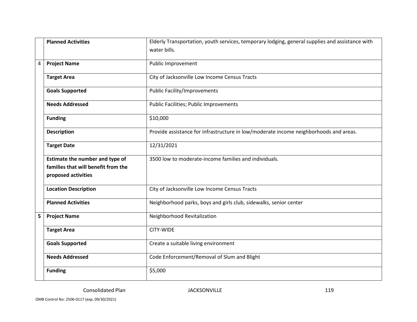|   | <b>Planned Activities</b>           | Elderly Transportation, youth services, temporary lodging, general supplies and assistance with |
|---|-------------------------------------|-------------------------------------------------------------------------------------------------|
|   |                                     | water bills.                                                                                    |
| 4 | <b>Project Name</b>                 | Public Improvement                                                                              |
|   |                                     |                                                                                                 |
|   | <b>Target Area</b>                  | City of Jacksonville Low Income Census Tracts                                                   |
|   | <b>Goals Supported</b>              | <b>Public Facility/Improvements</b>                                                             |
|   | <b>Needs Addressed</b>              | Public Facilities; Public Improvements                                                          |
|   | <b>Funding</b>                      | \$10,000                                                                                        |
|   | <b>Description</b>                  | Provide assistance for infrastructure in low/moderate income neighborhoods and areas.           |
|   | <b>Target Date</b>                  | 12/31/2021                                                                                      |
|   | Estimate the number and type of     | 3500 low to moderate-income families and individuals.                                           |
|   | families that will benefit from the |                                                                                                 |
|   | proposed activities                 |                                                                                                 |
|   | <b>Location Description</b>         | City of Jacksonville Low Income Census Tracts                                                   |
|   | <b>Planned Activities</b>           | Neighborhood parks, boys and girls club, sidewalks, senior center                               |
| 5 | <b>Project Name</b>                 | Neighborhood Revitalization                                                                     |
|   | <b>Target Area</b>                  | CITY-WIDE                                                                                       |
|   | <b>Goals Supported</b>              | Create a suitable living environment                                                            |
|   | <b>Needs Addressed</b>              | Code Enforcement/Removal of Slum and Blight                                                     |
|   | <b>Funding</b>                      | \$5,000                                                                                         |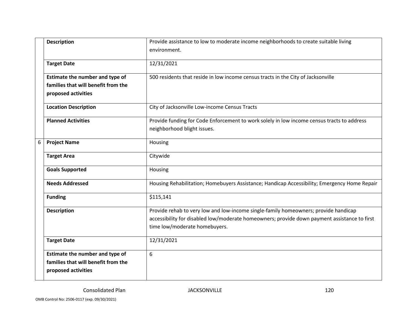|   | <b>Description</b>                                                                            | Provide assistance to low to moderate income neighborhoods to create suitable living<br>environment.                                                                                                                 |
|---|-----------------------------------------------------------------------------------------------|----------------------------------------------------------------------------------------------------------------------------------------------------------------------------------------------------------------------|
|   | <b>Target Date</b>                                                                            | 12/31/2021                                                                                                                                                                                                           |
|   | Estimate the number and type of<br>families that will benefit from the<br>proposed activities | 500 residents that reside in low income census tracts in the City of Jacksonville                                                                                                                                    |
|   | <b>Location Description</b>                                                                   | City of Jacksonville Low-income Census Tracts                                                                                                                                                                        |
|   | <b>Planned Activities</b>                                                                     | Provide funding for Code Enforcement to work solely in low income census tracts to address<br>neighborhood blight issues.                                                                                            |
| 6 | <b>Project Name</b>                                                                           | Housing                                                                                                                                                                                                              |
|   | <b>Target Area</b>                                                                            | Citywide                                                                                                                                                                                                             |
|   | <b>Goals Supported</b>                                                                        | Housing                                                                                                                                                                                                              |
|   | <b>Needs Addressed</b>                                                                        | Housing Rehabilitation; Homebuyers Assistance; Handicap Accessibility; Emergency Home Repair                                                                                                                         |
|   | <b>Funding</b>                                                                                | \$115,141                                                                                                                                                                                                            |
|   | <b>Description</b>                                                                            | Provide rehab to very low and low-income single-family homeowners; provide handicap<br>accessibility for disabled low/moderate homeowners; provide down payment assistance to first<br>time low/moderate homebuyers. |
|   | <b>Target Date</b>                                                                            | 12/31/2021                                                                                                                                                                                                           |
|   | Estimate the number and type of<br>families that will benefit from the<br>proposed activities | 6                                                                                                                                                                                                                    |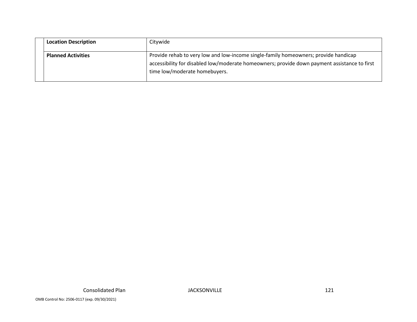| <b>Location Description</b> | Citywide                                                                                                                                                                                                             |
|-----------------------------|----------------------------------------------------------------------------------------------------------------------------------------------------------------------------------------------------------------------|
| <b>Planned Activities</b>   | Provide rehab to very low and low-income single-family homeowners; provide handicap<br>accessibility for disabled low/moderate homeowners; provide down payment assistance to first<br>time low/moderate homebuyers. |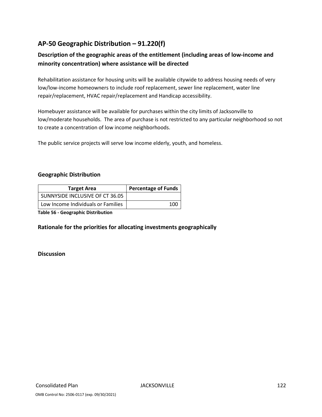## **AP-50 Geographic Distribution – 91.220(f)**

## **Description of the geographic areas of the entitlement (including areas of low-income and minority concentration) where assistance will be directed**

Rehabilitation assistance for housing units will be available citywide to address housing needs of very low/low-income homeowners to include roof replacement, sewer line replacement, water line repair/replacement, HVAC repair/replacement and Handicap accessibility.

Homebuyer assistance will be available for purchases within the city limits of Jacksonville to low/moderate households. The area of purchase is not restricted to any particular neighborhood so not to create a concentration of low income neighborhoods.

The public service projects will serve low income elderly, youth, and homeless.

#### **Geographic Distribution**

| <b>Target Area</b>                 | <b>Percentage of Funds</b> |
|------------------------------------|----------------------------|
| SUNNYSIDE INCLUSIVE OF CT 36.05    |                            |
| Low Income Individuals or Families | 100                        |

**Table 56 - Geographic Distribution** 

#### **Rationale for the priorities for allocating investments geographically**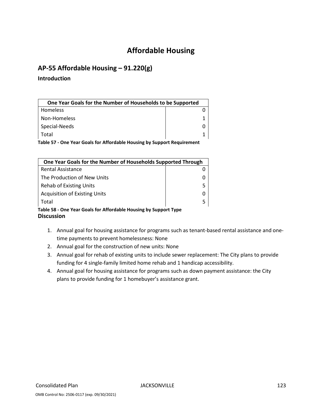# **Affordable Housing**

## **AP-55 Affordable Housing – 91.220(g)**

#### **Introduction**

| One Year Goals for the Number of Households to be Supported             |  |  |  |  |  |
|-------------------------------------------------------------------------|--|--|--|--|--|
| Homeless                                                                |  |  |  |  |  |
| Non-Homeless                                                            |  |  |  |  |  |
| Special-Needs                                                           |  |  |  |  |  |
| Total                                                                   |  |  |  |  |  |
| Table 57 - One Year Goals for Affordable Housing by Support Requirement |  |  |  |  |  |

| One Year Goals for the Number of Households Supported Through                         |  |
|---------------------------------------------------------------------------------------|--|
| <b>Rental Assistance</b>                                                              |  |
| The Production of New Units                                                           |  |
| <b>Rehab of Existing Units</b>                                                        |  |
| <b>Acquisition of Existing Units</b>                                                  |  |
| Total                                                                                 |  |
| Table 58 - One Year Goals for Affordable Housing by Support Type<br><b>Discussion</b> |  |

- 1. Annual goal for housing assistance for programs such as tenant-based rental assistance and onetime payments to prevent homelessness: None
- 2. Annual goal for the construction of new units: None
- 3. Annual goal for rehab of existing units to include sewer replacement: The City plans to provide funding for 4 single-family limited home rehab and 1 handicap accessibility.
- 4. Annual goal for housing assistance for programs such as down payment assistance: the City plans to provide funding for 1 homebuyer's assistance grant.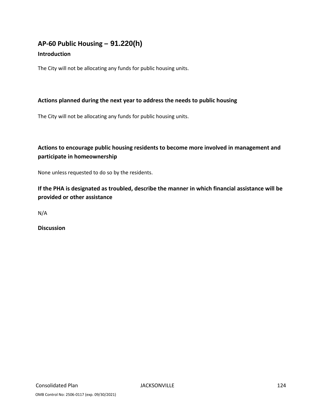## **AP-60 Public Housing** *–* **91.220(h)**

#### **Introduction**

The City will not be allocating any funds for public housing units.

#### **Actions planned during the next year to address the needs to public housing**

The City will not be allocating any funds for public housing units.

## **Actions to encourage public housing residents to become more involved in management and participate in homeownership**

None unless requested to do so by the residents.

## **If the PHA is designated as troubled, describe the manner in which financial assistance will be provided or other assistance**

N/A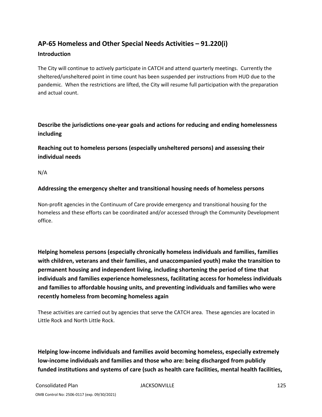## **AP-65 Homeless and Other Special Needs Activities – 91.220(i)**

#### **Introduction**

The City will continue to actively participate in CATCH and attend quarterly meetings. Currently the sheltered/unsheltered point in time count has been suspended per instructions from HUD due to the pandemic. When the restrictions are lifted, the City will resume full participation with the preparation and actual count.

**Describe the jurisdictions one-year goals and actions for reducing and ending homelessness including**

**Reaching out to homeless persons (especially unsheltered persons) and assessing their individual needs**

N/A

#### **Addressing the emergency shelter and transitional housing needs of homeless persons**

Non-profit agencies in the Continuum of Care provide emergency and transitional housing for the homeless and these efforts can be coordinated and/or accessed through the Community Development office.

**Helping homeless persons (especially chronically homeless individuals and families, families with children, veterans and their families, and unaccompanied youth) make the transition to permanent housing and independent living, including shortening the period of time that individuals and families experience homelessness, facilitating access for homeless individuals and families to affordable housing units, and preventing individuals and families who were recently homeless from becoming homeless again**

These activities are carried out by agencies that serve the CATCH area. These agencies are located in Little Rock and North Little Rock.

**Helping low-income individuals and families avoid becoming homeless, especially extremely low-income individuals and families and those who are: being discharged from publicly funded institutions and systems of care (such as health care facilities, mental health facilities,** 

Consolidated Plan JACKSONVILLE 125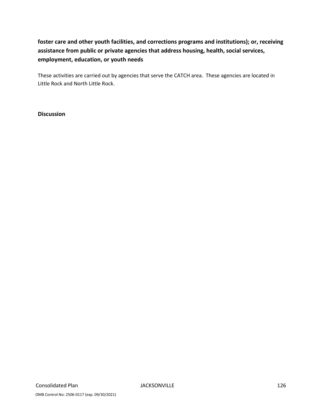## **foster care and other youth facilities, and corrections programs and institutions); or, receiving assistance from public or private agencies that address housing, health, social services, employment, education, or youth needs**

These activities are carried out by agencies that serve the CATCH area. These agencies are located in Little Rock and North Little Rock.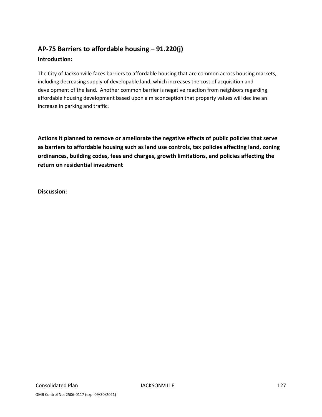## **AP-75 Barriers to affordable housing – 91.220(j) Introduction:**

The City of Jacksonville faces barriers to affordable housing that are common across housing markets, including decreasing supply of developable land, which increases the cost of acquisition and development of the land. Another common barrier is negative reaction from neighbors regarding affordable housing development based upon a misconception that property values will decline an increase in parking and traffic.

**Actions it planned to remove or ameliorate the negative effects of public policies that serve as barriers to affordable housing such as land use controls, tax policies affecting land, zoning ordinances, building codes, fees and charges, growth limitations, and policies affecting the return on residential investment**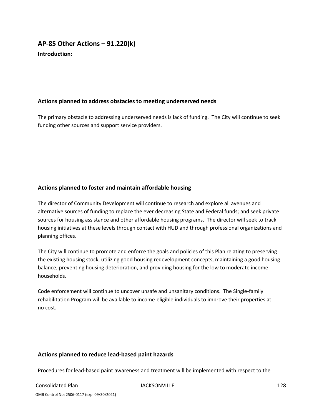# **AP-85 Other Actions – 91.220(k)**

#### **Introduction:**

#### **Actions planned to address obstacles to meeting underserved needs**

The primary obstacle to addressing underserved needs is lack of funding. The City will continue to seek funding other sources and support service providers.

#### **Actions planned to foster and maintain affordable housing**

The director of Community Development will continue to research and explore all avenues and alternative sources of funding to replace the ever decreasing State and Federal funds; and seek private sources for housing assistance and other affordable housing programs. The director will seek to track housing initiatives at these levels through contact with HUD and through professional organizations and planning offices.

The City will continue to promote and enforce the goals and policies of this Plan relating to preserving the existing housing stock, utilizing good housing redevelopment concepts, maintaining a good housing balance, preventing housing deterioration, and providing housing for the low to moderate income households.

Code enforcement will continue to uncover unsafe and unsanitary conditions. The Single-family rehabilitation Program will be available to income-eligible individuals to improve their properties at no cost.

#### **Actions planned to reduce lead-based paint hazards**

Procedures for lead-based paint awareness and treatment will be implemented with respect to the

#### Consolidated Plan JACKSONVILLE 128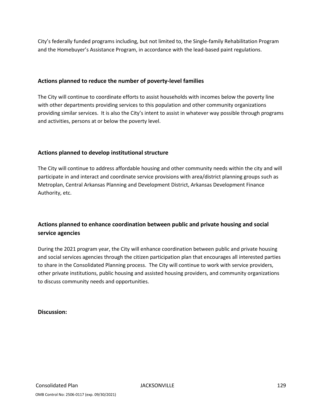City's federally funded programs including, but not limited to, the Single-family Rehabilitation Program and the Homebuyer's Assistance Program, in accordance with the lead-based paint regulations.

#### **Actions planned to reduce the number of poverty-level families**

The City will continue to coordinate efforts to assist households with incomes below the poverty line with other departments providing services to this population and other community organizations providing similar services. It is also the City's intent to assist in whatever way possible through programs and activities, persons at or below the poverty level.

#### **Actions planned to develop institutional structure**

The City will continue to address affordable housing and other community needs within the city and will participate in and interact and coordinate service provisions with area/district planning groups such as Metroplan, Central Arkansas Planning and Development District, Arkansas Development Finance Authority, etc.

## **Actions planned to enhance coordination between public and private housing and social service agencies**

During the 2021 program year, the City will enhance coordination between public and private housing and social services agencies through the citizen participation plan that encourages all interested parties to share in the Consolidated Planning process. The City will continue to work with service providers, other private institutions, public housing and assisted housing providers, and community organizations to discuss community needs and opportunities.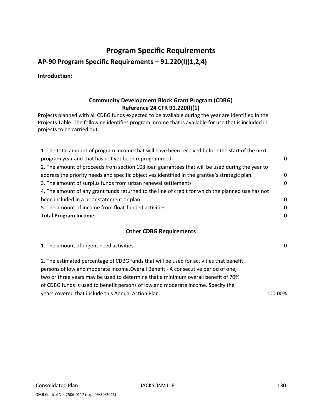## **Program Specific Requirements**

**AP-90 Program Specific Requirements – 91.220(l)(1,2,4)**

**Introduction:** 

## **Community Development Block Grant Program (CDBG) Reference 24 CFR 91.220(l)(1)**

Projects planned with all CDBG funds expected to be available during the year are identified in the Projects Table. The following identifies program income that is available for use that is included in projects to be carried out.

| 1. The total amount of program income that will have been received before the start of the next   |          |
|---------------------------------------------------------------------------------------------------|----------|
| program year and that has not yet been reprogrammed                                               | $\Omega$ |
| 2. The amount of proceeds from section 108 loan guarantees that will be used during the year to   |          |
| address the priority needs and specific objectives identified in the grantee's strategic plan.    | 0        |
| 3. The amount of surplus funds from urban renewal settlements                                     | $\Omega$ |
| 4. The amount of any grant funds returned to the line of credit for which the planned use has not |          |
| been included in a prior statement or plan                                                        | $\Omega$ |
| 5. The amount of income from float-funded activities                                              | $\Omega$ |
| <b>Total Program Income:</b>                                                                      | 0        |
|                                                                                                   |          |

#### **Other CDBG Requirements**

1. The amount of urgent need activities 0

2. The estimated percentage of CDBG funds that will be used for activities that benefit persons of low and moderate income.Overall Benefit - A consecutive period of one, two or three years may be used to determine that a minimum overall benefit of 70% of CDBG funds is used to benefit persons of low and moderate income. Specify the years covered that include this Annual Action Plan. 100.000 100.000 100.000 100.000 100.000 100.000 100.000 10